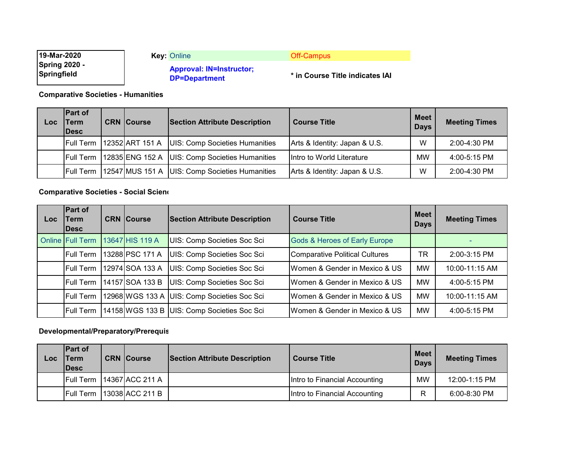| 19-Mar-2020                         | <b>Kev: Online</b>                                      | Off-Campus                      |
|-------------------------------------|---------------------------------------------------------|---------------------------------|
| <b>Spring 2020 -</b><br>Springfield | <b>Approval: IN=Instructor;</b><br><b>DP=Department</b> | * in Course Title indicates IAI |

**Comparative Societies - Humanities**

| Loc | <b>Part of</b><br><b>Term</b><br><b>IDesc</b> | <b>CRN</b> Course | <b>Section Attribute Description</b>             | <b>Course Title</b>           | <b>Meet</b><br><b>Days</b> | <b>Meeting Times</b> |
|-----|-----------------------------------------------|-------------------|--------------------------------------------------|-------------------------------|----------------------------|----------------------|
|     | <b>Full Term</b>                              | 12352 ART 151 A   | <b>UIS: Comp Societies Humanities</b>            | Arts & Identity: Japan & U.S. | W                          | 2:00-4:30 PM         |
|     | <b>Full Term</b>                              |                   | 12835 ENG 152 A UIS: Comp Societies Humanities   | Intro to World Literature     | MW                         | $4:00 - 5:15$ PM     |
|     | <b>Full Term</b>                              |                   | 12547 MUS 151 A   UIS: Comp Societies Humanities | Arts & Identity: Japan & U.S. | W                          | $2:00-4:30$ PM       |

# **Comparative Societies - Social Scienc**

| Loc | <b>Part of</b><br><b>Term</b><br>lDesc | <b>CRN Course</b> | <b>Section Attribute Description</b>        | <b>Course Title</b>                      | <b>Meet</b><br><b>Days</b> | <b>Meeting Times</b> |
|-----|----------------------------------------|-------------------|---------------------------------------------|------------------------------------------|----------------------------|----------------------|
|     | <b>Online Full Term</b>                | 13647 HIS 119 A   | UIS: Comp Societies Soc Sci                 | <b>Gods &amp; Heroes of Early Europe</b> |                            |                      |
|     | <b>Full Term</b>                       | 13288 PSC 171 A   | UIS: Comp Societies Soc Sci                 | <b>Comparative Political Cultures</b>    | TR                         | 2:00-3:15 PM         |
|     | <b>Full Term</b>                       | 12974 SOA 133 A   | UIS: Comp Societies Soc Sci                 | Women & Gender in Mexico & US            | <b>MW</b>                  | 10:00-11:15 AM       |
|     | <b>Full Term</b>                       | 14157 SOA 133 B   | UIS: Comp Societies Soc Sci                 | Women & Gender in Mexico & US            | <b>MW</b>                  | 4:00-5:15 PM         |
|     | <b>Full Term</b>                       |                   | 12968 WGS 133 A UIS: Comp Societies Soc Sci | Women & Gender in Mexico & US            | <b>MW</b>                  | 10:00-11:15 AM       |
|     | <b>Full Term</b>                       |                   | 14158 WGS 133 B UIS: Comp Societies Soc Sci | Women & Gender in Mexico & US            | <b>MW</b>                  | 4:00-5:15 PM         |

# **Developmental/Preparatory/Prerequis**

| Loc | <b>IPart of</b><br><b>Term</b><br><b>IDesc</b> | <b>CRN Course</b> | <b>Section Attribute Description</b> | <b>Course Title</b>           | <b>Meet</b><br><b>Days</b> | <b>Meeting Times</b> |
|-----|------------------------------------------------|-------------------|--------------------------------------|-------------------------------|----------------------------|----------------------|
|     | <b>Full Term</b>                               | 14367 ACC 211 A   |                                      | Intro to Financial Accounting | MW                         | 12:00-1:15 PM        |
|     | <b>Full Term</b>                               | 13038 ACC 211 B   |                                      | Intro to Financial Accounting | R                          | 6:00-8:30 PM         |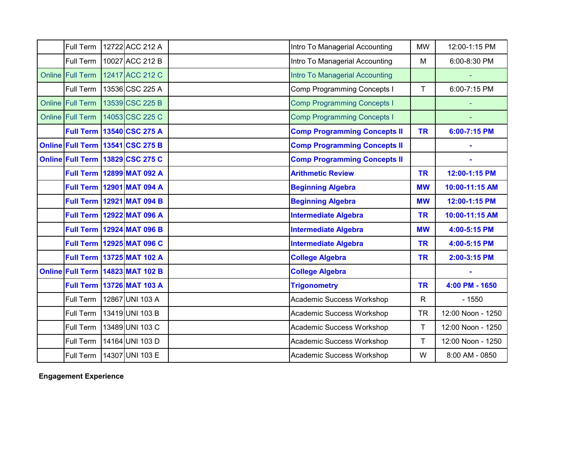| Full Term        | 12722 ACC 212 A                    | Intro To Managerial Accounting      | <b>MW</b>    | 12:00-1:15 PM     |
|------------------|------------------------------------|-------------------------------------|--------------|-------------------|
| Full Term        | 10027 ACC 212 B                    | Intro To Managerial Accounting      | M            | 6:00-8:30 PM      |
| Online Full Term | 12417 ACC 212 C                    | Intro To Managerial Accounting      |              |                   |
| Full Term        | 13536 CSC 225 A                    | <b>Comp Programming Concepts I</b>  | T.           | 6:00-7:15 PM      |
| Online Full Term | 13539 CSC 225 B                    | <b>Comp Programming Concepts I</b>  |              |                   |
| Online Full Term | 14053 CSC 225 C                    | <b>Comp Programming Concepts I</b>  |              |                   |
|                  | <b>Full Term 13540 CSC 275 A</b>   | <b>Comp Programming Concepts II</b> | <b>TR</b>    | 6:00-7:15 PM      |
|                  | Online Full Term 13541 CSC 275 B   | <b>Comp Programming Concepts II</b> |              |                   |
|                  | Online Full Term 13829 CSC 275 C   | <b>Comp Programming Concepts II</b> |              |                   |
|                  | <b>Full Term 12899 MAT 092 A</b>   | <b>Arithmetic Review</b>            | <b>TR</b>    | 12:00-1:15 PM     |
|                  | <b>Full Term 12901 MAT 094 A</b>   | <b>Beginning Algebra</b>            | <b>MW</b>    | 10:00-11:15 AM    |
|                  | <b>Full Term 12921 MAT 094 B</b>   | <b>Beginning Algebra</b>            | <b>MW</b>    | 12:00-1:15 PM     |
|                  | Full Term   12922 MAT 096 A        | <b>Intermediate Algebra</b>         | <b>TR</b>    | 10:00-11:15 AM    |
|                  | <b>Full Term   12924 MAT 096 B</b> | <b>Intermediate Algebra</b>         | <b>MW</b>    | 4:00-5:15 PM      |
|                  | <b>Full Term 12925 MAT 096 C</b>   | <b>Intermediate Algebra</b>         | <b>TR</b>    | 4:00-5:15 PM      |
| <b>Full Term</b> | 13725 MAT 102 A                    | <b>College Algebra</b>              | <b>TR</b>    | 2:00-3:15 PM      |
|                  | Online Full Term 14823 MAT 102 B   | <b>College Algebra</b>              |              |                   |
| <b>Full Term</b> | 13726 MAT 103 A                    | <b>Trigonometry</b>                 | <b>TR</b>    | 4:00 PM - 1650    |
| Full Term        | 12867 UNI 103 A                    | <b>Academic Success Workshop</b>    | $\mathsf{R}$ | $-1550$           |
| Full Term        | 13419 UNI 103 B                    | Academic Success Workshop           | <b>TR</b>    | 12:00 Noon - 1250 |
| Full Term        | 13489 UNI 103 C                    | Academic Success Workshop           | T            | 12:00 Noon - 1250 |
| Full Term        | 14164 UNI 103 D                    | Academic Success Workshop           | T            | 12:00 Noon - 1250 |
| Full Term        | 14307 UNI 103 E                    | Academic Success Workshop           | W            | 8:00 AM - 0850    |

**Engagement Experience**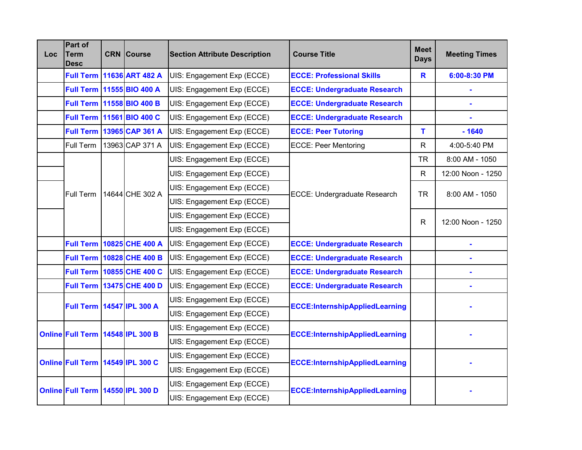| Loc | <b>Part of</b><br><b>Term</b><br><b>Desc</b> |  | <b>CRN</b> Course                                        | <b>Section Attribute Description</b> | <b>Course Title</b>                   | <b>Meet</b><br><b>Days</b> | <b>Meeting Times</b> |
|-----|----------------------------------------------|--|----------------------------------------------------------|--------------------------------------|---------------------------------------|----------------------------|----------------------|
|     |                                              |  | <b>Full Term 11636 ART 482 A</b>                         | UIS: Engagement Exp (ECCE)           | <b>ECCE: Professional Skills</b>      | $\mathbf R$                | 6:00-8:30 PM         |
|     |                                              |  | Full Term 11555 BIO 400 A                                | UIS: Engagement Exp (ECCE)           | <b>ECCE: Undergraduate Research</b>   |                            |                      |
|     |                                              |  | Full Term 11558 BIO 400 B                                | UIS: Engagement Exp (ECCE)           | <b>ECCE: Undergraduate Research</b>   |                            |                      |
|     |                                              |  | Full Term 11561 BIO 400 C                                | UIS: Engagement Exp (ECCE)           | <b>ECCE: Undergraduate Research</b>   |                            |                      |
|     |                                              |  | Full Term   13965 CAP 361 A                              | UIS: Engagement Exp (ECCE)           | <b>ECCE: Peer Tutoring</b>            | T.                         | $-1640$              |
|     | Full Term                                    |  | 13963 CAP 371 A                                          | UIS: Engagement Exp (ECCE)           | <b>ECCE: Peer Mentoring</b>           | $\mathsf{R}$               | 4:00-5:40 PM         |
|     |                                              |  |                                                          | UIS: Engagement Exp (ECCE)           |                                       | <b>TR</b>                  | 8:00 AM - 1050       |
|     |                                              |  |                                                          | UIS: Engagement Exp (ECCE)           |                                       | $\mathsf{R}$               | 12:00 Noon - 1250    |
|     | Full Term                                    |  | 14644 CHE 302 A                                          | UIS: Engagement Exp (ECCE)           | ECCE: Undergraduate Research          | <b>TR</b>                  | 8:00 AM - 1050       |
|     |                                              |  |                                                          | UIS: Engagement Exp (ECCE)           |                                       |                            |                      |
|     |                                              |  |                                                          | UIS: Engagement Exp (ECCE)           |                                       | R                          | 12:00 Noon - 1250    |
|     |                                              |  |                                                          | UIS: Engagement Exp (ECCE)           |                                       |                            |                      |
|     |                                              |  | <b>Full Term 10825 CHE 400 A</b>                         | UIS: Engagement Exp (ECCE)           | <b>ECCE: Undergraduate Research</b>   |                            |                      |
|     |                                              |  | <b>Full Term 10828 CHE 400 B</b>                         | UIS: Engagement Exp (ECCE)           | <b>ECCE: Undergraduate Research</b>   |                            |                      |
|     |                                              |  | Full Term 10855 CHE 400 C                                | UIS: Engagement Exp (ECCE)           | <b>ECCE: Undergraduate Research</b>   |                            |                      |
|     |                                              |  | <b>Full Term 13475 CHE 400 D</b>                         | UIS: Engagement Exp (ECCE)           | <b>ECCE: Undergraduate Research</b>   |                            |                      |
|     | Full Term   14547 IPL 300 A                  |  |                                                          | UIS: Engagement Exp (ECCE)           | <b>ECCE:InternshipAppliedLearning</b> |                            |                      |
|     |                                              |  |                                                          | UIS: Engagement Exp (ECCE)           |                                       |                            |                      |
|     | Online Full Term 14548 IPL 300 B             |  |                                                          | UIS: Engagement Exp (ECCE)           |                                       |                            |                      |
|     |                                              |  |                                                          | UIS: Engagement Exp (ECCE)           | <b>ECCE:InternshipAppliedLearning</b> |                            |                      |
|     | Online Full Term 14549 IPL 300 C             |  |                                                          | UIS: Engagement Exp (ECCE)           |                                       |                            |                      |
|     |                                              |  |                                                          | UIS: Engagement Exp (ECCE)           | <b>ECCE:InternshipAppliedLearning</b> |                            |                      |
|     |                                              |  | UIS: Engagement Exp (ECCE)<br>UIS: Engagement Exp (ECCE) |                                      |                                       |                            |                      |
|     | Online Full Term 14550 IPL 300 D             |  |                                                          |                                      | <b>ECCE:InternshipAppliedLearning</b> |                            |                      |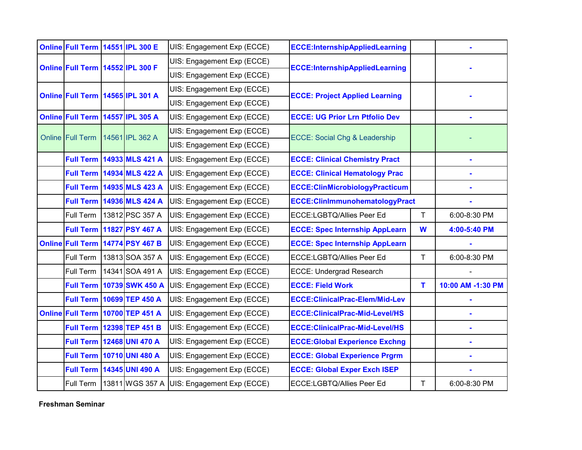|                  | Online Full Term 14551 IPL 300 E |  |                                    | UIS: Engagement Exp (ECCE) | <b>ECCE:InternshipAppliedLearning</b>    |    |                   |
|------------------|----------------------------------|--|------------------------------------|----------------------------|------------------------------------------|----|-------------------|
|                  | Online Full Term 14552 IPL 300 F |  |                                    | UIS: Engagement Exp (ECCE) |                                          |    |                   |
|                  |                                  |  |                                    | UIS: Engagement Exp (ECCE) | <b>ECCE:InternshipAppliedLearning</b>    |    |                   |
|                  |                                  |  | Online Full Term 14565 IPL 301 A   | UIS: Engagement Exp (ECCE) | <b>ECCE: Project Applied Learning</b>    |    |                   |
|                  |                                  |  |                                    | UIS: Engagement Exp (ECCE) |                                          |    |                   |
|                  | Online Full Term 14557 IPL 305 A |  |                                    | UIS: Engagement Exp (ECCE) | <b>ECCE: UG Prior Lrn Ptfolio Dev</b>    |    | L,                |
| Online Full Term |                                  |  | 14561 IPL 362 A                    | UIS: Engagement Exp (ECCE) | <b>ECCE: Social Chg &amp; Leadership</b> |    |                   |
|                  |                                  |  |                                    | UIS: Engagement Exp (ECCE) |                                          |    |                   |
|                  |                                  |  | <b>Full Term 14933 MLS 421 A</b>   | UIS: Engagement Exp (ECCE) | <b>ECCE: Clinical Chemistry Pract</b>    |    |                   |
|                  |                                  |  | <b>Full Term   14934 MLS 422 A</b> | UIS: Engagement Exp (ECCE) | <b>ECCE: Clinical Hematology Prac</b>    |    |                   |
|                  |                                  |  | <b>Full Term 14935 MLS 423 A</b>   | UIS: Engagement Exp (ECCE) | <b>ECCE:ClinMicrobiologyPracticum</b>    |    |                   |
|                  | <b>Full Term</b>                 |  | 14936 MLS 424 A                    | UIS: Engagement Exp (ECCE) | ECCE: ClinImmunohematologyPract          |    |                   |
|                  | Full Term                        |  | 13812 PSC 357 A                    | UIS: Engagement Exp (ECCE) | ECCE:LGBTQ/Allies Peer Ed                | T. | 6:00-8:30 PM      |
|                  |                                  |  | <b>Full Term 11827 PSY 467 A</b>   | UIS: Engagement Exp (ECCE) | <b>ECCE: Spec Internship AppLearn</b>    | W  | 4:00-5:40 PM      |
|                  |                                  |  | Online Full Term 14774 PSY 467 B   | UIS: Engagement Exp (ECCE) | <b>ECCE: Spec Internship AppLearn</b>    |    |                   |
|                  | Full Term                        |  | 13813 SOA 357 A                    | UIS: Engagement Exp (ECCE) | ECCE:LGBTQ/Allies Peer Ed                | T  | 6:00-8:30 PM      |
|                  | Full Term                        |  | 14341 SOA 491 A                    | UIS: Engagement Exp (ECCE) | <b>ECCE: Undergrad Research</b>          |    |                   |
|                  | <b>Full Term</b>                 |  | 10739 SWK 450 A                    | UIS: Engagement Exp (ECCE) | <b>ECCE: Field Work</b>                  | T  | 10:00 AM -1:30 PM |
|                  | <b>Full Term</b>                 |  | 10699 TEP 450 A                    | UIS: Engagement Exp (ECCE) | <b>ECCE: ClinicalPrac-Elem/Mid-Lev</b>   |    |                   |
|                  |                                  |  | Online Full Term 10700 TEP 451 A   | UIS: Engagement Exp (ECCE) | <b>ECCE: ClinicalPrac-Mid-Level/HS</b>   |    |                   |
|                  |                                  |  | Full Term 12398 TEP 451 B          | UIS: Engagement Exp (ECCE) | <b>ECCE: ClinicalPrac-Mid-Level/HS</b>   |    |                   |
|                  | <b>Full Term</b>                 |  | <b>12468 UNI 470 A</b>             | UIS: Engagement Exp (ECCE) | <b>ECCE: Global Experience Exchng</b>    |    |                   |
|                  | <b>Full Term</b>                 |  | 10710 UNI 480 A                    | UIS: Engagement Exp (ECCE) | <b>ECCE: Global Experience Prgrm</b>     |    |                   |
|                  | <b>Full Term</b>                 |  | 14345 UNI 490 A                    | UIS: Engagement Exp (ECCE) | <b>ECCE: Global Exper Exch ISEP</b>      |    |                   |
|                  | Full Term                        |  | 13811 WGS 357 A                    | UIS: Engagement Exp (ECCE) | ECCE:LGBTQ/Allies Peer Ed                | T  | 6:00-8:30 PM      |

**Freshman Seminar**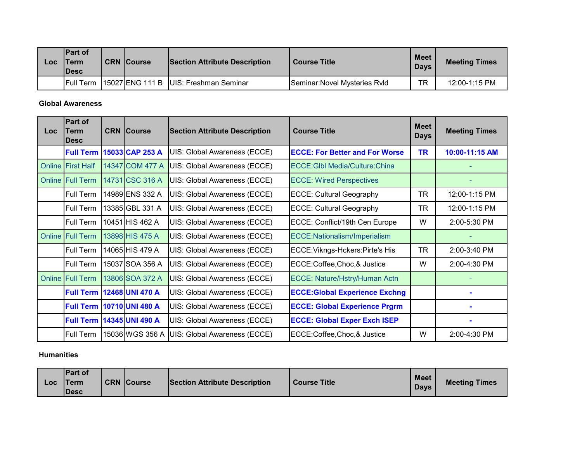| Loc | <b>IPart of</b><br><b>Term</b><br><b>IDesc</b> | <b>CRN Course</b> | <b>Section Attribute Description</b>    | <b>Course Title</b>           | <b>Meet</b><br><b>Days</b> | <b>Meeting Times</b> |
|-----|------------------------------------------------|-------------------|-----------------------------------------|-------------------------------|----------------------------|----------------------|
|     | <b>Full Term</b>                               |                   | 15027 ENG 111 B   UIS: Freshman Seminar | Seminar: Novel Mysteries Ryld | <b>TR</b>                  | 12:00-1:15 PM        |

#### **Global Awareness**

| <b>Loc</b> | Part of<br>Term<br><b>Desc</b> | <b>CRN Course</b>                | <b>Section Attribute Description</b> | <b>Course Title</b>                   | <b>Meet</b><br><b>Days</b> | <b>Meeting Times</b> |
|------------|--------------------------------|----------------------------------|--------------------------------------|---------------------------------------|----------------------------|----------------------|
|            | <b>Full Term</b>               | 15033 CAP 253 A                  | UIS: Global Awareness (ECCE)         | <b>ECCE: For Better and For Worse</b> | <b>TR</b>                  | 10:00-11:15 AM       |
|            | <b>Online First Half</b>       | 14347 COM 477 A                  | UIS: Global Awareness (ECCE)         | ECCE: GIbI Media/Culture: China       |                            |                      |
|            | <b>Online Full Term</b>        | 14731 CSC 316 A                  | UIS: Global Awareness (ECCE)         | <b>ECCE: Wired Perspectives</b>       |                            |                      |
|            | Full Term                      | 14989 ENS 332 A                  | UIS: Global Awareness (ECCE)         | <b>ECCE: Cultural Geography</b>       | <b>TR</b>                  | 12:00-1:15 PM        |
|            | Full Term                      | 13385 GBL 331 A                  | UIS: Global Awareness (ECCE)         | <b>ECCE: Cultural Geography</b>       | TR                         | 12:00-1:15 PM        |
|            | Full Term                      | 10451 HIS 462 A                  | UIS: Global Awareness (ECCE)         | ECCE: Conflict/19th Cen Europe        | W                          | $2:00-5:30$ PM       |
|            | <b>Online Full Term</b>        | 13898 HIS 475 A                  | UIS: Global Awareness (ECCE)         | ECCE:Nationalism/Imperialism          |                            |                      |
|            | <b>Full Term</b>               | 14065 HIS 479 A                  | UIS: Global Awareness (ECCE)         | ECCE: Vikngs-Hckers: Pirte's His      | <b>TR</b>                  | 2:00-3:40 PM         |
|            | Full Term                      | 15037 SOA 356 A                  | UIS: Global Awareness (ECCE)         | ECCE:Coffee,Choc,& Justice            | W                          | 2:00-4:30 PM         |
|            | <b>Online Full Term</b>        | 13806 SOA 372 A                  | UIS: Global Awareness (ECCE)         | ECCE: Nature/Hstry/Human Actn         |                            |                      |
|            |                                | <b>Full Term 12468 UNI 470 A</b> | UIS: Global Awareness (ECCE)         | <b>ECCE:Global Experience Exchng</b>  |                            |                      |
|            |                                | <b>Full Term 10710 UNI 480 A</b> | UIS: Global Awareness (ECCE)         | <b>ECCE: Global Experience Prgrm</b>  |                            |                      |
|            | <b>Full Term</b>               | 14345 UNI 490 A                  | UIS: Global Awareness (ECCE)         | <b>ECCE: Global Exper Exch ISEP</b>   |                            |                      |
|            | Full Term                      | 15036 WGS 356 A                  | UIS: Global Awareness (ECCE)         | ECCE:Coffee,Choc,& Justice            | W                          | 2:00-4:30 PM         |

## **Humanities**

| <b>Part of</b><br><b>CRN Course</b><br><b>ITerm</b><br>Section Attribute Description<br><b>Course Title</b><br>Loc<br><b>IDesc</b> | <b>Meet</b><br><b>Days</b> | <b>Meeting Times</b> |
|------------------------------------------------------------------------------------------------------------------------------------|----------------------------|----------------------|
|------------------------------------------------------------------------------------------------------------------------------------|----------------------------|----------------------|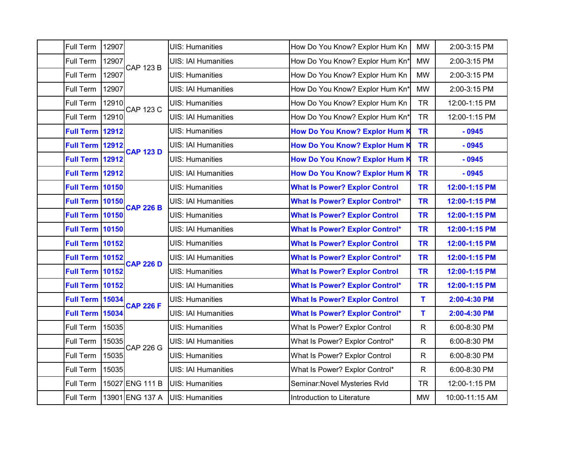| Full Term              | 12907 |                  | <b>UIS: Humanities</b>     | How Do You Know? Explor Hum Kn        | <b>MW</b>    | 2:00-3:15 PM   |
|------------------------|-------|------------------|----------------------------|---------------------------------------|--------------|----------------|
| Full Term              | 12907 | <b>CAP 123 B</b> | <b>UIS: IAI Humanities</b> | How Do You Know? Explor Hum Kn'       | <b>MW</b>    | 2:00-3:15 PM   |
| Full Term              | 12907 |                  | <b>UIS: Humanities</b>     | How Do You Know? Explor Hum Kn        | <b>MW</b>    | 2:00-3:15 PM   |
| Full Term              | 12907 |                  | <b>UIS: IAI Humanities</b> | How Do You Know? Explor Hum Kn*       | <b>MW</b>    | 2:00-3:15 PM   |
| Full Term              | 12910 | <b>CAP 123 C</b> | <b>UIS: Humanities</b>     | How Do You Know? Explor Hum Kn        | <b>TR</b>    | 12:00-1:15 PM  |
| Full Term              | 12910 |                  | <b>UIS: IAI Humanities</b> | How Do You Know? Explor Hum Kn*       | <b>TR</b>    | 12:00-1:15 PM  |
| <b>Full Term</b>       | 12912 |                  | <b>UIS: Humanities</b>     | <b>How Do You Know? Explor Hum K</b>  | <b>TR</b>    | $-0945$        |
| <b>Full Term 12912</b> |       | <b>CAP 123 D</b> | <b>UIS: IAI Humanities</b> | How Do You Know? Explor Hum K         | <b>TR</b>    | $-0945$        |
| <b>Full Term</b>       | 12912 |                  | <b>UIS: Humanities</b>     | How Do You Know? Explor Hum K         | <b>TR</b>    | $-0945$        |
| <b>Full Term</b>       | 12912 |                  | <b>UIS: IAI Humanities</b> | How Do You Know? Explor Hum K         | <b>TR</b>    | $-0945$        |
| <b>Full Term 10150</b> |       |                  | <b>UIS: Humanities</b>     | <b>What Is Power? Explor Control</b>  | <b>TR</b>    | 12:00-1:15 PM  |
| <b>Full Term 10150</b> |       | <b>CAP 226 B</b> | <b>UIS: IAI Humanities</b> | <b>What Is Power? Explor Control*</b> | <b>TR</b>    | 12:00-1:15 PM  |
| <b>Full Term 10150</b> |       |                  | <b>UIS: Humanities</b>     | <b>What Is Power? Explor Control</b>  | <b>TR</b>    | 12:00-1:15 PM  |
| <b>Full Term 10150</b> |       |                  | <b>UIS: IAI Humanities</b> | <b>What Is Power? Explor Control*</b> | <b>TR</b>    | 12:00-1:15 PM  |
| <b>Full Term 10152</b> |       |                  | <b>UIS: Humanities</b>     | <b>What Is Power? Explor Control</b>  | <b>TR</b>    | 12:00-1:15 PM  |
| <b>Full Term 10152</b> |       | <b>CAP 226 D</b> | <b>UIS: IAI Humanities</b> | <b>What Is Power? Explor Control*</b> | <b>TR</b>    | 12:00-1:15 PM  |
| <b>Full Term 10152</b> |       |                  | <b>UIS: Humanities</b>     | <b>What Is Power? Explor Control</b>  | <b>TR</b>    | 12:00-1:15 PM  |
| <b>Full Term</b>       | 10152 |                  | <b>UIS: IAI Humanities</b> | <b>What Is Power? Explor Control*</b> | <b>TR</b>    | 12:00-1:15 PM  |
| <b>Full Term</b>       | 15034 | <b>CAP 226 F</b> | <b>UIS: Humanities</b>     | <b>What Is Power? Explor Control</b>  | T            | 2:00-4:30 PM   |
| <b>Full Term</b>       | 15034 |                  | <b>UIS: IAI Humanities</b> | <b>What Is Power? Explor Control*</b> | T            | 2:00-4:30 PM   |
| Full Term              | 15035 |                  | <b>UIS: Humanities</b>     | What Is Power? Explor Control         | $\mathsf{R}$ | 6:00-8:30 PM   |
| Full Term              | 15035 | <b>CAP 226 G</b> | <b>UIS: IAI Humanities</b> | What Is Power? Explor Control*        | $\mathsf{R}$ | 6:00-8:30 PM   |
| Full Term              | 15035 |                  | <b>UIS: Humanities</b>     | What Is Power? Explor Control         | $\mathsf{R}$ | 6:00-8:30 PM   |
| Full Term              | 15035 |                  | <b>UIS: IAI Humanities</b> | What Is Power? Explor Control*        | $\mathsf{R}$ | 6:00-8:30 PM   |
| Full Term              |       | 15027 ENG 111 B  | <b>UIS: Humanities</b>     | Seminar: Novel Mysteries Rvld         | <b>TR</b>    | 12:00-1:15 PM  |
| Full Term              |       | 13901 ENG 137 A  | <b>UIS: Humanities</b>     | Introduction to Literature            | <b>MW</b>    | 10:00-11:15 AM |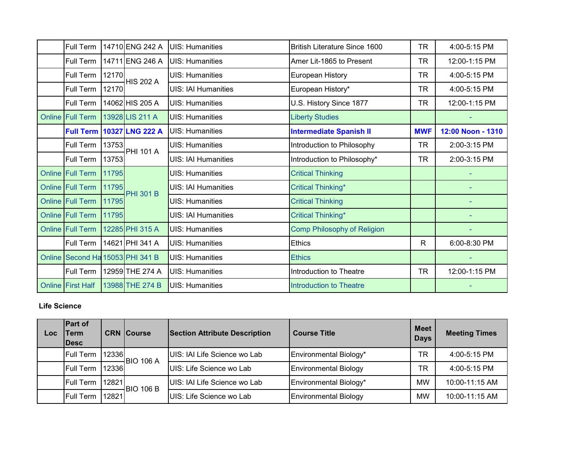| Full Term                        |       | 14710 ENG 242 A  | <b>UIS: Humanities</b>     | British Literature Since 1600      | TR         | 4:00-5:15 PM      |
|----------------------------------|-------|------------------|----------------------------|------------------------------------|------------|-------------------|
| <b>Full Term</b>                 |       | 14711 ENG 246 A  | <b>UIS: Humanities</b>     | Amer Lit-1865 to Present           | <b>TR</b>  | 12:00-1:15 PM     |
| Full Term                        | 12170 | <b>HIS 202 A</b> | <b>UIS: Humanities</b>     | <b>European History</b>            | TR         | 4:00-5:15 PM      |
| Full Term                        | 12170 |                  | <b>UIS: IAI Humanities</b> | European History*                  | <b>TR</b>  | 4:00-5:15 PM      |
| Full Term                        |       | 14062 HIS 205 A  | <b>UIS: Humanities</b>     | U.S. History Since 1877            | TR         | 12:00-1:15 PM     |
| Online Full Term                 |       | 13928 LIS 211 A  | <b>UIS: Humanities</b>     | <b>Liberty Studies</b>             |            |                   |
| <b>Full Term</b>                 |       | 10327 LNG 222 A  | <b>UIS: Humanities</b>     | <b>Intermediate Spanish II</b>     | <b>MWF</b> | 12:00 Noon - 1310 |
| Full Term                        | 13753 | <b>PHI 101 A</b> | <b>UIS: Humanities</b>     | Introduction to Philosophy         | <b>TR</b>  | 2:00-3:15 PM      |
| Full Term                        | 13753 |                  | <b>UIS: IAI Humanities</b> | Introduction to Philosophy*        | TR         | 2:00-3:15 PM      |
| Online Full Term                 | 11795 |                  | <b>UIS: Humanities</b>     | <b>Critical Thinking</b>           |            |                   |
| Online Full Term                 | 11795 | <b>PHI 301 B</b> | <b>UIS: IAI Humanities</b> | <b>Critical Thinking*</b>          |            |                   |
| <b>Online Full Term</b>          | 11795 |                  | <b>UIS: Humanities</b>     | <b>Critical Thinking</b>           |            |                   |
| <b>Online Full Term</b>          | 11795 |                  | <b>UIS: IAI Humanities</b> | Critical Thinking*                 |            |                   |
| <b>Online Full Term</b>          |       | 12285 PHI 315 A  | <b>UIS: Humanities</b>     | <b>Comp Philosophy of Religion</b> |            |                   |
| Full Term                        |       | 14621 PHI 341 A  | <b>UIS: Humanities</b>     | <b>Ethics</b>                      | R          | 6:00-8:30 PM      |
| Online Second Ha 15053 PHI 341 B |       |                  | <b>UIS: Humanities</b>     | <b>Ethics</b>                      |            |                   |
| Full Term                        |       | 12959 THE 274 A  | <b>UIS: Humanities</b>     | Introduction to Theatre            | TR         | 12:00-1:15 PM     |
| <b>Online First Half</b>         |       | 13988 THE 274 B  | UIS: Humanities            | <b>Introduction to Theatre</b>     |            |                   |

# **Life Science**

| Loc | <b>Part of</b><br><b>Term</b><br><b>IDesc</b> |        | <b>CRN Course</b> | <b>Section Attribute Description</b> | <b>Course Title</b>          | <b>Meet</b><br><b>Days</b> | <b>Meeting Times</b> |
|-----|-----------------------------------------------|--------|-------------------|--------------------------------------|------------------------------|----------------------------|----------------------|
|     | Full Term                                     | 12336  | $-$ BIO 106 A     | UIS: IAI Life Science wo Lab         | Environmental Biology*       | TR                         | 4:00-5:15 PM         |
|     | <b>Full Term</b>                              | 123361 |                   | UIS: Life Science wo Lab             | <b>Environmental Biology</b> | TR                         | 4:00-5:15 PM         |
|     | <b>Full Term</b>                              | 12821  |                   | UIS: IAI Life Science wo Lab         | Environmental Biology*       | <b>MW</b>                  | 10:00-11:15 AM       |
|     | <b>Full Term</b>                              | 12821  | <b>BIO 106 B</b>  | UIS: Life Science wo Lab             | <b>Environmental Biology</b> | <b>MW</b>                  | 10:00-11:15 AM       |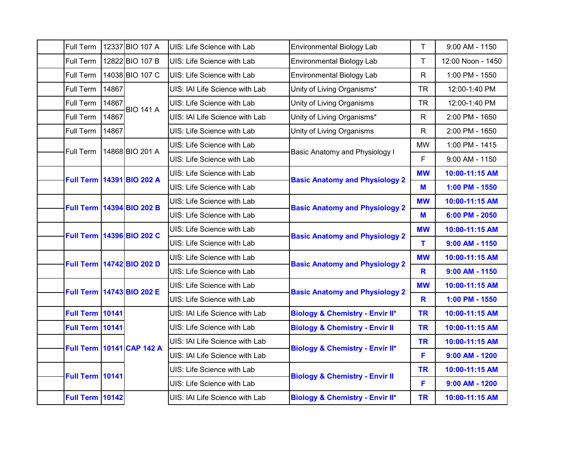| Full Term              |       | 12337 BIO 107 A           | UIS: Life Science with Lab     | <b>Environmental Biology Lab</b>           | $\mathsf{T}$ | 9:00 AM - 1150    |
|------------------------|-------|---------------------------|--------------------------------|--------------------------------------------|--------------|-------------------|
| Full Term              |       | 12822 BIO 107 B           | UIS: Life Science with Lab     | <b>Environmental Biology Lab</b>           | T            | 12:00 Noon - 1450 |
| Full Term              |       | 14038 BIO 107 C           | UIS: Life Science with Lab     | <b>Environmental Biology Lab</b>           | $\mathsf{R}$ | 1:00 PM - 1550    |
| Full Term              | 14867 |                           | UIS: IAI Life Science with Lab | Unity of Living Organisms*                 | <b>TR</b>    | 12:00-1:40 PM     |
| Full Term              | 14867 | <b>BIO 141 A</b>          | UIS: Life Science with Lab     | Unity of Living Organisms                  | <b>TR</b>    | 12:00-1:40 PM     |
| Full Term              | 14867 |                           | UIS: IAI Life Science with Lab | Unity of Living Organisms*                 | $\mathsf{R}$ | 2:00 PM - 1650    |
| Full Term              | 14867 |                           | UIS: Life Science with Lab     | Unity of Living Organisms                  | R            | 2:00 PM - 1650    |
| Full Term              |       | 14868 BIO 201 A           | UIS: Life Science with Lab     | Basic Anatomy and Physiology I             | <b>MW</b>    | 1:00 PM - 1415    |
|                        |       |                           | UIS: Life Science with Lab     |                                            | F            | 9:00 AM - 1150    |
| <b>Full Term</b>       |       | 14391 BIO 202 A           | UIS: Life Science with Lab     | <b>Basic Anatomy and Physiology 2</b>      | <b>MW</b>    | 10:00-11:15 AM    |
|                        |       |                           | UIS: Life Science with Lab     |                                            | M            | 1:00 PM - 1550    |
| <b>Full Term</b>       |       | 14394 BIO 202 B           | UIS: Life Science with Lab     | <b>Basic Anatomy and Physiology 2</b>      | <b>MW</b>    | 10:00-11:15 AM    |
|                        |       |                           | UIS: Life Science with Lab     |                                            | M            | 6:00 PM - 2050    |
| <b>Full Term</b>       |       | 14396 BIO 202 C           | UIS: Life Science with Lab     | <b>Basic Anatomy and Physiology 2</b>      | <b>MW</b>    | 10:00-11:15 AM    |
|                        |       |                           | UIS: Life Science with Lab     |                                            | T            | $9:00$ AM - 1150  |
|                        |       | Full Term 14742 BIO 202 D | UIS: Life Science with Lab     | <b>Basic Anatomy and Physiology 2</b>      | <b>MW</b>    | 10:00-11:15 AM    |
|                        |       |                           | UIS: Life Science with Lab     |                                            | R            | $9:00$ AM - 1150  |
|                        |       | Full Term 14743 BIO 202 E | UIS: Life Science with Lab     | <b>Basic Anatomy and Physiology 2</b>      | <b>MW</b>    | 10:00-11:15 AM    |
|                        |       |                           | UIS: Life Science with Lab     |                                            | R            | 1:00 PM - 1550    |
| <b>Full Term 10141</b> |       |                           | UIS: IAI Life Science with Lab | <b>Biology &amp; Chemistry - Envir II*</b> | <b>TR</b>    | 10:00-11:15 AM    |
| <b>Full Term 10141</b> |       |                           | UIS: Life Science with Lab     | <b>Biology &amp; Chemistry - Envir II</b>  | <b>TR</b>    | 10:00-11:15 AM    |
|                        |       | Full Term 10141 CAP 142 A | UIS: IAI Life Science with Lab | <b>Biology &amp; Chemistry - Envir II*</b> | <b>TR</b>    | 10:00-11:15 AM    |
|                        |       |                           | UIS: IAI Life Science with Lab |                                            | F            | $9:00$ AM - 1200  |
| <b>Full Term 10141</b> |       |                           | UIS: Life Science with Lab     |                                            | <b>TR</b>    | 10:00-11:15 AM    |
|                        |       |                           | UIS: Life Science with Lab     | <b>Biology &amp; Chemistry - Envir II</b>  | F            | $9:00$ AM - 1200  |
| <b>Full Term 10142</b> |       |                           | UIS: IAI Life Science with Lab | <b>Biology &amp; Chemistry - Envir II*</b> | <b>TR</b>    | 10:00-11:15 AM    |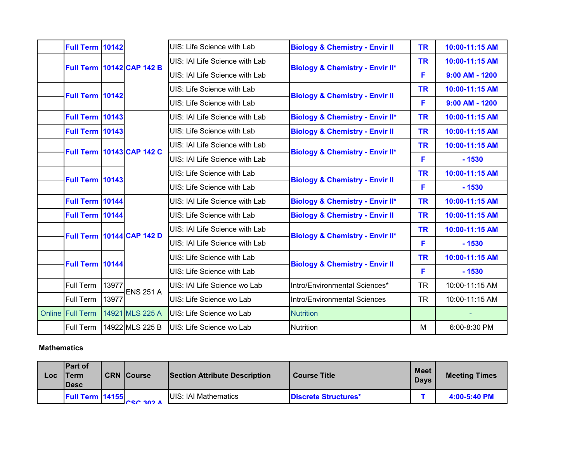| <b>Full Term 10142</b> |       |                                  | UIS: Life Science with Lab     | <b>Biology &amp; Chemistry - Envir II</b>  | <b>TR</b> | 10:00-11:15 AM   |
|------------------------|-------|----------------------------------|--------------------------------|--------------------------------------------|-----------|------------------|
|                        |       | <b>Full Term 10142 CAP 142 B</b> | UIS: IAI Life Science with Lab | <b>Biology &amp; Chemistry - Envir II*</b> | <b>TR</b> | 10:00-11:15 AM   |
|                        |       |                                  | UIS: IAI Life Science with Lab |                                            | F         | $9:00$ AM - 1200 |
| <b>Full Term 10142</b> |       |                                  | UIS: Life Science with Lab     |                                            | <b>TR</b> | 10:00-11:15 AM   |
|                        |       |                                  | UIS: Life Science with Lab     | <b>Biology &amp; Chemistry - Envir II</b>  | F         | $9:00$ AM - 1200 |
| <b>Full Term 10143</b> |       |                                  | UIS: IAI Life Science with Lab | <b>Biology &amp; Chemistry - Envir II*</b> | <b>TR</b> | 10:00-11:15 AM   |
| <b>Full Term 10143</b> |       |                                  | UIS: Life Science with Lab     | <b>Biology &amp; Chemistry - Envir II</b>  | <b>TR</b> | 10:00-11:15 AM   |
|                        |       | <b>Full Term 10143 CAP 142 C</b> | UIS: IAI Life Science with Lab |                                            | <b>TR</b> | 10:00-11:15 AM   |
|                        |       |                                  | UIS: IAI Life Science with Lab | <b>Biology &amp; Chemistry - Envir II*</b> | F         | $-1530$          |
| <b>Full Term 10143</b> |       |                                  | UIS: Life Science with Lab     | <b>Biology &amp; Chemistry - Envir II</b>  | <b>TR</b> | 10:00-11:15 AM   |
|                        |       |                                  | UIS: Life Science with Lab     |                                            | F         | $-1530$          |
| <b>Full Term 10144</b> |       |                                  | UIS: IAI Life Science with Lab | <b>Biology &amp; Chemistry - Envir II*</b> | <b>TR</b> | 10:00-11:15 AM   |
| Full Term 10144        |       |                                  | UIS: Life Science with Lab     | <b>Biology &amp; Chemistry - Envir II</b>  | <b>TR</b> | 10:00-11:15 AM   |
|                        |       | <b>Full Term 10144 CAP 142 D</b> | UIS: IAI Life Science with Lab | <b>Biology &amp; Chemistry - Envir II*</b> | <b>TR</b> | 10:00-11:15 AM   |
|                        |       |                                  | UIS: IAI Life Science with Lab |                                            | F         | $-1530$          |
| Full Term 10144        |       |                                  | UIS: Life Science with Lab     |                                            | <b>TR</b> | 10:00-11:15 AM   |
|                        |       |                                  | UIS: Life Science with Lab     | <b>Biology &amp; Chemistry - Envir II</b>  | F         | $-1530$          |
| Full Term              | 13977 | <b>ENS 251 A</b>                 | UIS: IAI Life Science wo Lab   | Intro/Environmental Sciences*              | <b>TR</b> | 10:00-11:15 AM   |
| Full Term              | 13977 |                                  | UIS: Life Science wo Lab       | Intro/Environmental Sciences               | <b>TR</b> | 10:00-11:15 AM   |
| Online Full Term       |       | 14921 MLS 225 A                  | UIS: Life Science wo Lab       | <b>Nutrition</b>                           |           |                  |
| Full Term              |       | 14922 MLS 225 B                  | UIS: Life Science wo Lab       | <b>Nutrition</b>                           | M         | 6:00-8:30 PM     |

**Mathematics**

| Loc | <b>Part of</b><br><b>Term</b><br><b>IDesc</b> | <b>CRN Course</b> | <b>Section Attribute Description</b> | <b>Course Title</b>         | <b>Meet</b><br><b>Davs</b> | <b>Meeting Times</b> |
|-----|-----------------------------------------------|-------------------|--------------------------------------|-----------------------------|----------------------------|----------------------|
|     | <b>Full Term 14155</b>                        | <b>COC 202A</b>   | <b>UIS: IAI Mathematics</b>          | <b>Discrete Structures*</b> |                            | 4:00-5:40 PM         |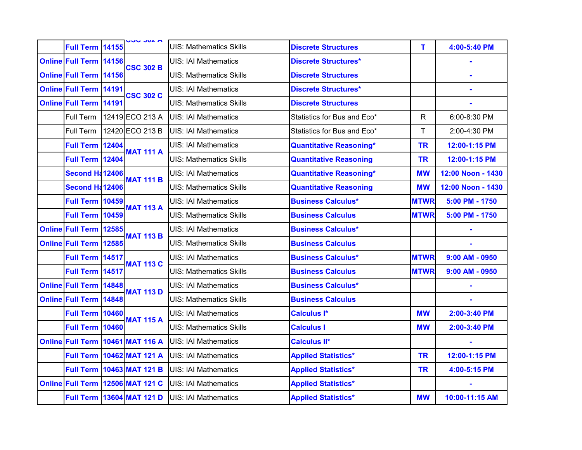| Full Term 14155               | <b>UUU JUL M</b>                   | <b>UIS: Mathematics Skills</b> | <b>Discrete Structures</b>     | T.          | 4:00-5:40 PM      |
|-------------------------------|------------------------------------|--------------------------------|--------------------------------|-------------|-------------------|
| Online Full Term 14156        | <b>CSC 302 B</b>                   | <b>UIS: IAI Mathematics</b>    | <b>Discrete Structures*</b>    |             |                   |
| <b>Online Full Term 14156</b> |                                    | <b>UIS: Mathematics Skills</b> | <b>Discrete Structures</b>     |             |                   |
| <b>Online Full Term 14191</b> | <b>CSC 302 C</b>                   | <b>UIS: IAI Mathematics</b>    | <b>Discrete Structures*</b>    |             |                   |
| <b>Online Full Term 14191</b> |                                    | <b>UIS: Mathematics Skills</b> | <b>Discrete Structures</b>     |             |                   |
|                               | Full Term   12419 ECO 213 A        | <b>UIS: IAI Mathematics</b>    | Statistics for Bus and Eco*    | R           | 6:00-8:30 PM      |
| Full Term                     | 12420 ECO 213 B                    | <b>UIS: IAI Mathematics</b>    | Statistics for Bus and Eco*    | T           | 2:00-4:30 PM      |
| <b>Full Term 12404</b>        | <b>MAT 111 A</b>                   | <b>UIS: IAI Mathematics</b>    | <b>Quantitative Reasoning*</b> | <b>TR</b>   | 12:00-1:15 PM     |
| <b>Full Term 12404</b>        |                                    | <b>UIS: Mathematics Skills</b> | <b>Quantitative Reasoning</b>  | <b>TR</b>   | 12:00-1:15 PM     |
| <b>Second H: 12406</b>        |                                    | <b>UIS: IAI Mathematics</b>    | <b>Quantitative Reasoning*</b> | <b>MW</b>   | 12:00 Noon - 1430 |
| Second Ha12406                | <b>MAT 111 B</b>                   | <b>UIS: Mathematics Skills</b> | <b>Quantitative Reasoning</b>  | <b>MW</b>   | 12:00 Noon - 1430 |
| Full Term 10459               |                                    | <b>UIS: IAI Mathematics</b>    | <b>Business Calculus*</b>      | <b>MTWR</b> | 5:00 PM - 1750    |
| <b>Full Term 10459</b>        | <b>MAT 113 A</b>                   | <b>UIS: Mathematics Skills</b> | <b>Business Calculus</b>       | <b>MTWR</b> | 5:00 PM - 1750    |
| Online Full Term 12585        | <b>MAT 113 B</b>                   | <b>UIS: IAI Mathematics</b>    | <b>Business Calculus*</b>      |             |                   |
| Online Full Term 12585        |                                    | <b>UIS: Mathematics Skills</b> | <b>Business Calculus</b>       |             |                   |
| Full Term 14517               | <b>MAT 113 C</b>                   | <b>UIS: IAI Mathematics</b>    | <b>Business Calculus*</b>      | <b>MTWR</b> | $9:00$ AM - 0950  |
| Full Term 14517               |                                    | <b>UIS: Mathematics Skills</b> | <b>Business Calculus</b>       | <b>MTWR</b> | $9:00$ AM - 0950  |
| <b>Online Full Term 14848</b> | <b>MAT 113 D</b>                   | <b>UIS: IAI Mathematics</b>    | <b>Business Calculus*</b>      |             |                   |
| <b>Online Full Term 14848</b> |                                    | <b>UIS: Mathematics Skills</b> | <b>Business Calculus</b>       |             |                   |
| <b>Full Term 10460</b>        | <b>MAT 115 A</b>                   | <b>UIS: IAI Mathematics</b>    | Calculus <sup>1*</sup>         | <b>MW</b>   | 2:00-3:40 PM      |
| <b>Full Term 10460</b>        |                                    | <b>UIS: Mathematics Skills</b> | <b>Calculus I</b>              | <b>MW</b>   | 2:00-3:40 PM      |
|                               | Online Full Term 10461 MAT 116 A   | <b>UIS: IAI Mathematics</b>    | <b>Calculus II*</b>            |             | ä,                |
|                               | Full Term 10462 MAT 121 A          | <b>UIS: IAI Mathematics</b>    | <b>Applied Statistics*</b>     | <b>TR</b>   | 12:00-1:15 PM     |
|                               | <b>Full Term   10463 MAT 121 B</b> | <b>UIS: IAI Mathematics</b>    | <b>Applied Statistics*</b>     | <b>TR</b>   | 4:00-5:15 PM      |
|                               | Online Full Term 12506 MAT 121 C   | <b>UIS: IAI Mathematics</b>    | <b>Applied Statistics*</b>     |             |                   |
|                               | Full Term 13604 MAT 121 D          | <b>UIS: IAI Mathematics</b>    | <b>Applied Statistics*</b>     | <b>MW</b>   | 10:00-11:15 AM    |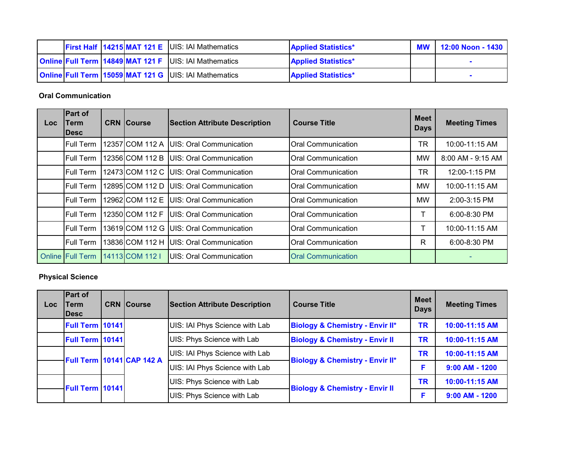|  |  | <b>First Half 14215 MAT 121 E UIS: IAI Mathematics</b>       | <b>Applied Statistics*</b> | <b>MW</b> | 12:00 Noon - 1430 |
|--|--|--------------------------------------------------------------|----------------------------|-----------|-------------------|
|  |  | <b>Online Full Term 14849 MAT 121 F UIS: IAI Mathematics</b> | <b>Applied Statistics*</b> |           |                   |
|  |  | <b>Online Full Term 15059 MAT 121 G UIS: IAI Mathematics</b> | <b>Applied Statistics*</b> |           |                   |

**Oral Communication**

| Loc. | <b>Part of</b><br>Term<br><b>IDesc</b> | <b>CRN Course</b> | <b>Section Attribute Description</b>      | <b>Course Title</b>       | <b>Meet</b><br><b>Days</b> | <b>Meeting Times</b> |
|------|----------------------------------------|-------------------|-------------------------------------------|---------------------------|----------------------------|----------------------|
|      | <b>Full Term</b>                       | 12357 COM 112 A   | <b>IUIS: Oral Communication</b>           | <b>Oral Communication</b> | TR                         | 10:00-11:15 AM       |
|      | <b>Full Term</b>                       | 12356 COM 112 B   | <b>IUIS: Oral Communication</b>           | <b>Oral Communication</b> | MW                         | 8:00 AM - 9:15 AM    |
|      | <b>Full Term</b>                       |                   | 12473 COM 112 C   UIS: Oral Communication | Oral Communication        | TR                         | 12:00-1:15 PM        |
|      | Full Term                              | 12895 COM 112 D   | <b>IUIS: Oral Communication</b>           | <b>Oral Communication</b> | <b>MW</b>                  | 10:00-11:15 AM       |
|      | <b>Full Term</b>                       | 12962 COM 112 E   | UIS: Oral Communication                   | <b>Oral Communication</b> | MW                         | 2:00-3:15 PM         |
|      | <b>Full Term</b>                       | 12350 COM 112 F   | <b>IUIS: Oral Communication</b>           | <b>Oral Communication</b> |                            | 6:00-8:30 PM         |
|      | <b>Full Term</b>                       |                   | 13619 COM 112 G UIS: Oral Communication   | <b>Oral Communication</b> |                            | 10:00-11:15 AM       |
|      | <b>Full Term</b>                       | 13836 COM 112 H   | UIS: Oral Communication                   | <b>Oral Communication</b> | R                          | 6:00-8:30 PM         |
|      | <b>Online Full Term</b>                | 14113 COM 112 I   | IUIS: Oral Communication                  | <b>Oral Communication</b> |                            |                      |

### **Physical Science**

| Loc | <b>Part of</b><br><b>Term</b><br><b>IDesc</b> | <b>CRN</b> Course                | <b>Section Attribute Description</b> | <b>Course Title</b>                        | <b>Meet</b><br><b>Days</b> | <b>Meeting Times</b> |
|-----|-----------------------------------------------|----------------------------------|--------------------------------------|--------------------------------------------|----------------------------|----------------------|
|     | <b>Full Term 10141</b>                        |                                  | UIS: IAI Phys Science with Lab       | <b>Biology &amp; Chemistry - Envir II*</b> | <b>TR</b>                  | 10:00-11:15 AM       |
|     | <b>Full Term 10141</b>                        |                                  | UIS: Phys Science with Lab           | <b>Biology &amp; Chemistry - Envir II</b>  | <b>TR</b>                  | 10:00-11:15 AM       |
|     |                                               | <b>Full Term 10141 CAP 142 A</b> | UIS: IAI Phys Science with Lab       | <b>Biology &amp; Chemistry - Envir II*</b> | <b>TR</b>                  | 10:00-11:15 AM       |
|     |                                               |                                  | UIS: IAI Phys Science with Lab       |                                            |                            | $9:00$ AM - 1200     |
|     |                                               |                                  | UIS: Phys Science with Lab           |                                            | TR                         | 10:00-11:15 AM       |
|     | Full Term 10141                               |                                  | UIS: Phys Science with Lab           | <b>Biology &amp; Chemistry - Envir II</b>  |                            | $9:00$ AM - 1200     |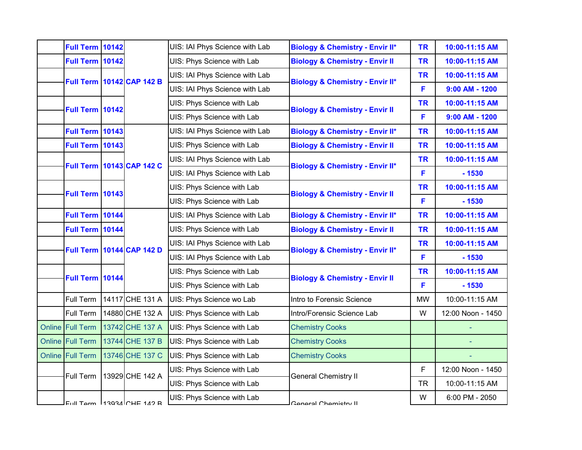| Full Term 10142        |                                 |                                  | UIS: IAI Phys Science with Lab                                          | <b>Biology &amp; Chemistry - Envir II*</b> | <b>TR</b> | 10:00-11:15 AM    |
|------------------------|---------------------------------|----------------------------------|-------------------------------------------------------------------------|--------------------------------------------|-----------|-------------------|
| Full Term 10142        |                                 |                                  | UIS: Phys Science with Lab                                              | <b>Biology &amp; Chemistry - Envir II</b>  | <b>TR</b> | 10:00-11:15 AM    |
|                        |                                 | <b>Full Term 10142 CAP 142 B</b> | UIS: IAI Phys Science with Lab                                          | <b>Biology &amp; Chemistry - Envir II*</b> | <b>TR</b> | 10:00-11:15 AM    |
|                        |                                 |                                  | UIS: IAI Phys Science with Lab                                          |                                            | F         | $9:00$ AM - 1200  |
| <b>Full Term 10142</b> |                                 |                                  | UIS: Phys Science with Lab                                              | <b>Biology &amp; Chemistry - Envir II</b>  | <b>TR</b> | 10:00-11:15 AM    |
|                        |                                 |                                  | UIS: Phys Science with Lab                                              |                                            | F         | $9:00$ AM - 1200  |
| <b>Full Term 10143</b> |                                 |                                  | UIS: IAI Phys Science with Lab                                          | <b>Biology &amp; Chemistry - Envir II*</b> | <b>TR</b> | 10:00-11:15 AM    |
| <b>Full Term 10143</b> |                                 |                                  | UIS: Phys Science with Lab                                              | <b>Biology &amp; Chemistry - Envir II</b>  | <b>TR</b> | 10:00-11:15 AM    |
|                        |                                 | <b>Full Term 10143 CAP 142 C</b> | UIS: IAI Phys Science with Lab                                          | <b>Biology &amp; Chemistry - Envir II*</b> | <b>TR</b> | 10:00-11:15 AM    |
|                        |                                 |                                  | UIS: IAI Phys Science with Lab                                          |                                            | F         | $-1530$           |
| <b>Full Term 10143</b> |                                 |                                  | UIS: Phys Science with Lab                                              |                                            | <b>TR</b> | 10:00-11:15 AM    |
|                        |                                 |                                  | <b>Biology &amp; Chemistry - Envir II</b><br>UIS: Phys Science with Lab | F                                          | $-1530$   |                   |
| Full Term 10144        |                                 |                                  | UIS: IAI Phys Science with Lab                                          | <b>Biology &amp; Chemistry - Envir II*</b> | <b>TR</b> | 10:00-11:15 AM    |
| Full Term 10144        |                                 |                                  | UIS: Phys Science with Lab                                              | <b>Biology &amp; Chemistry - Envir II</b>  | <b>TR</b> | 10:00-11:15 AM    |
|                        |                                 | <b>Full Term 10144 CAP 142 D</b> | UIS: IAI Phys Science with Lab                                          | <b>Biology &amp; Chemistry - Envir II*</b> | <b>TR</b> | 10:00-11:15 AM    |
|                        |                                 |                                  | UIS: IAI Phys Science with Lab                                          |                                            | F         | $-1530$           |
| Full Term 10144        |                                 |                                  | UIS: Phys Science with Lab                                              |                                            | <b>TR</b> | 10:00-11:15 AM    |
|                        |                                 |                                  | UIS: Phys Science with Lab                                              | <b>Biology &amp; Chemistry - Envir II</b>  | F         | $-1530$           |
| Full Term              |                                 | 14117 CHE 131 A                  | UIS: Phys Science wo Lab                                                | Intro to Forensic Science                  | <b>MW</b> | 10:00-11:15 AM    |
| Full Term              |                                 | 14880 CHE 132 A                  | UIS: Phys Science with Lab                                              | Intro/Forensic Science Lab                 | W         | 12:00 Noon - 1450 |
| Online Full Term       |                                 | 13742 CHE 137 A                  | UIS: Phys Science with Lab                                              | <b>Chemistry Cooks</b>                     |           |                   |
| Online Full Term       |                                 | 13744 CHE 137 B                  | UIS: Phys Science with Lab                                              | <b>Chemistry Cooks</b>                     |           |                   |
| Online Full Term       |                                 | 13746 CHE 137 C                  | UIS: Phys Science with Lab                                              | <b>Chemistry Cooks</b>                     |           |                   |
|                        |                                 | 13929 CHE 142 A                  | UIS: Phys Science with Lab                                              |                                            | F         | 12:00 Noon - 1450 |
| Full Term              |                                 |                                  | UIS: Phys Science with Lab                                              | <b>General Chemistry II</b>                | <b>TR</b> | 10:00-11:15 AM    |
|                        |                                 |                                  | UIS: Phys Science with Lab                                              | General Chemistry II                       | W         | 6:00 PM - 2050    |
|                        | $FU$ III Term $13934$ CHE 142 R |                                  |                                                                         |                                            |           |                   |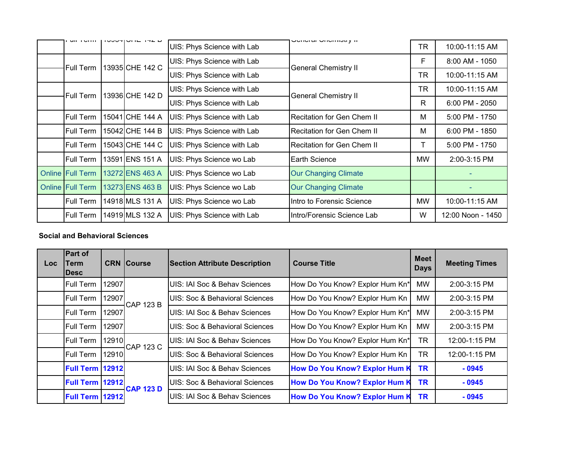| $III \cup 1$            | ם גידו שהוטודיטטו | UIS: Phys Science with Lab | יו אַ טטוווסווע וסוסט       | <b>TR</b> | 10:00-11:15 AM    |
|-------------------------|-------------------|----------------------------|-----------------------------|-----------|-------------------|
| Full Term               | 13935 CHE 142 C   | UIS: Phys Science with Lab | <b>General Chemistry II</b> | F         | $8:00$ AM - 1050  |
|                         |                   | UIS: Phys Science with Lab |                             | <b>TR</b> | 10:00-11:15 AM    |
| Full Term               | 13936 CHE 142 D   | UIS: Phys Science with Lab | <b>General Chemistry II</b> | <b>TR</b> | 10:00-11:15 AM    |
|                         |                   | UIS: Phys Science with Lab |                             | R         | $6:00$ PM - 2050  |
| <b>Full Term</b>        | 15041 CHE 144 A   | UIS: Phys Science with Lab | Recitation for Gen Chem II  | M         | $5:00$ PM - 1750  |
| Full Term               | 15042 CHE 144 B   | UIS: Phys Science with Lab | IRecitation for Gen Chem II | M         | $6:00$ PM - 1850  |
| Full Term               | 15043 CHE 144 C   | UIS: Phys Science with Lab | IRecitation for Gen Chem II |           | 5:00 PM - 1750    |
| Full Term               | 13591 ENS 151 A   | UIS: Phys Science wo Lab   | Earth Science               | <b>MW</b> | 2:00-3:15 PM      |
| <b>Online Full Term</b> | 13272 ENS 463 A   | UIS: Phys Science wo Lab   | <b>Our Changing Climate</b> |           |                   |
| <b>Online Full Term</b> | 13273 ENS 463 B   | UIS: Phys Science wo Lab   | <b>Our Changing Climate</b> |           | ۰                 |
| <b>Full Term</b>        | 14918 MLS 131 A   | UIS: Phys Science wo Lab   | Intro to Forensic Science   | <b>MW</b> | 10:00-11:15 AM    |
| <b>Full Term</b>        | 14919 MLS 132 A   | UIS: Phys Science with Lab | Intro/Forensic Science Lab  | W         | 12:00 Noon - 1450 |

### **Social and Behavioral Sciences**

| Loc: | Part of<br>Term<br><b>IDesc</b> |       | <b>CRN Course</b> | <b>Section Attribute Description</b>      | <b>Course Title</b>                  | <b>Meet</b><br><b>Days</b> | <b>Meeting Times</b> |
|------|---------------------------------|-------|-------------------|-------------------------------------------|--------------------------------------|----------------------------|----------------------|
|      | Full Term                       | 12907 |                   | UIS: IAI Soc & Behav Sciences             | How Do You Know? Explor Hum Kn*      | <b>MW</b>                  | 2:00-3:15 PM         |
|      | Full Term                       | 12907 | <b>CAP 123 B</b>  | UIS: Soc & Behavioral Sciences            | How Do You Know? Explor Hum Kn       | <b>MW</b>                  | 2:00-3:15 PM         |
|      | Full Term                       | 12907 |                   | UIS: IAI Soc & Behav Sciences             | How Do You Know? Explor Hum Kn*      | <b>MW</b>                  | 2:00-3:15 PM         |
|      | Full Term                       | 12907 |                   | UIS: Soc & Behavioral Sciences            | How Do You Know? Explor Hum Kn       | <b>MW</b>                  | 2:00-3:15 PM         |
|      | Full Term                       | 12910 | <b>CAP 123 C</b>  | UIS: IAI Soc & Behav Sciences             | How Do You Know? Explor Hum Kn*      | <b>TR</b>                  | 12:00-1:15 PM        |
|      | Full Term                       | 12910 |                   | UIS: Soc & Behavioral Sciences            | How Do You Know? Explor Hum Kn       | <b>TR</b>                  | 12:00-1:15 PM        |
|      | <b>Full Term   12912</b>        |       |                   | UIS: IAI Soc & Behav Sciences             | How Do You Know? Explor Hum K        | <b>TR</b>                  | $-0945$              |
|      | <b>Full Term   12912</b>        |       |                   | <b>UIS: Soc &amp; Behavioral Sciences</b> | <b>How Do You Know? Explor Hum K</b> | <b>TR</b>                  | $-0945$              |
|      | Full Term 12912                 |       | <b>CAP 123 D</b>  | UIS: IAI Soc & Behav Sciences             | <b>How Do You Know? Explor Hum K</b> | <b>TR</b>                  | $-0945$              |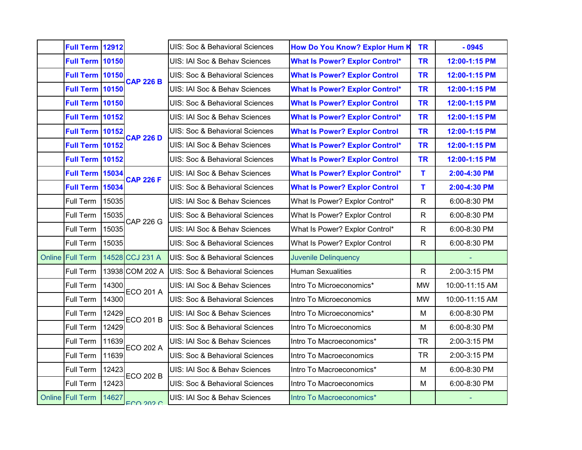| Full Term 12912<br><b>Full Term 10150</b><br>UIS: IAI Soc & Behav Sciences<br><b>What Is Power? Explor Control*</b><br><b>TR</b><br>12:00-1:15 PM<br><b>Full Term 10150</b><br><b>What Is Power? Explor Control</b><br>12:00-1:15 PM<br>UIS: Soc & Behavioral Sciences<br><b>TR</b><br><b>CAP 226 B</b><br><b>Full Term 10150</b><br>UIS: IAI Soc & Behav Sciences<br><b>What Is Power? Explor Control*</b><br><b>TR</b><br>12:00-1:15 PM<br><b>Full Term 10150</b><br>UIS: Soc & Behavioral Sciences<br><b>What Is Power? Explor Control</b><br><b>TR</b><br>12:00-1:15 PM<br><b>Full Term 10152</b><br><b>What Is Power? Explor Control*</b><br><b>TR</b><br>UIS: IAI Soc & Behav Sciences<br>12:00-1:15 PM<br><b>Full Term 10152</b><br>UIS: Soc & Behavioral Sciences<br><b>What Is Power? Explor Control</b><br><b>TR</b><br>12:00-1:15 PM<br><b>CAP 226 D</b><br><b>Full Term 10152</b><br>UIS: IAI Soc & Behav Sciences<br><b>What Is Power? Explor Control*</b><br><b>TR</b><br>12:00-1:15 PM<br><b>Full Term 10152</b><br>UIS: Soc & Behavioral Sciences<br><b>What Is Power? Explor Control</b><br><b>TR</b><br>12:00-1:15 PM<br><b>Full Term 15034</b><br>T<br>UIS: IAI Soc & Behav Sciences<br><b>What Is Power? Explor Control*</b><br>2:00-4:30 PM<br><b>CAP 226 F</b><br><b>Full Term 15034</b><br>T<br>UIS: Soc & Behavioral Sciences<br><b>What Is Power? Explor Control</b><br>2:00-4:30 PM<br>Full Term<br>15035<br>$\mathsf{R}$<br>UIS: IAI Soc & Behav Sciences<br>What Is Power? Explor Control*<br>6:00-8:30 PM<br>Full Term<br>15035<br>What Is Power? Explor Control<br>$\mathsf{R}$<br>6:00-8:30 PM<br>UIS: Soc & Behavioral Sciences<br><b>CAP 226 G</b><br>Full Term<br>15035<br>UIS: IAI Soc & Behav Sciences<br>What Is Power? Explor Control*<br>$\mathsf{R}$<br>6:00-8:30 PM<br>Full Term<br>15035<br>What Is Power? Explor Control<br>$\mathsf{R}$<br>6:00-8:30 PM<br>UIS: Soc & Behavioral Sciences<br>14528 CCJ 231 A<br>Online Full Term<br><b>UIS: Soc &amp; Behavioral Sciences</b><br><b>Juvenile Delinquency</b><br>13938 COM 202 A<br>Full Term<br><b>Human Sexualities</b><br>$\mathsf{R}$<br>2:00-3:15 PM<br><b>UIS: Soc &amp; Behavioral Sciences</b><br>Full Term<br>14300<br>UIS: IAI Soc & Behav Sciences<br>Intro To Microeconomics*<br><b>MW</b><br>10:00-11:15 AM<br><b>ECO 201 A</b><br>Full Term<br>14300<br><b>MW</b><br>10:00-11:15 AM<br>UIS: Soc & Behavioral Sciences<br>Intro To Microeconomics<br>Full Term<br>12429<br>M<br>UIS: IAI Soc & Behav Sciences<br>Intro To Microeconomics*<br>6:00-8:30 PM<br><b>ECO 201 B</b><br>Full Term<br>12429<br><b>UIS: Soc &amp; Behavioral Sciences</b><br>Intro To Microeconomics<br>M<br>6:00-8:30 PM<br>11639<br>Full Term<br>UIS: IAI Soc & Behav Sciences<br>Intro To Macroeconomics*<br><b>TR</b><br>2:00-3:15 PM<br><b>ECO 202 A</b><br>Full Term<br>11639<br>UIS: Soc & Behavioral Sciences<br><b>TR</b><br>2:00-3:15 PM<br>Intro To Macroeconomics<br>Full Term<br>12423<br>M<br>6:00-8:30 PM<br>UIS: IAI Soc & Behav Sciences<br>Intro To Macroeconomics*<br><b>ECO 202 B</b><br>Full Term<br>12423<br>M<br>6:00-8:30 PM<br>UIS: Soc & Behavioral Sciences<br>Intro To Macroeconomics<br>Online Full Term<br>14627<br>UIS: IAI Soc & Behav Sciences<br>Intro To Macroeconomics*<br>FCO 202 C |  |  |                                |                                      |           |         |
|---------------------------------------------------------------------------------------------------------------------------------------------------------------------------------------------------------------------------------------------------------------------------------------------------------------------------------------------------------------------------------------------------------------------------------------------------------------------------------------------------------------------------------------------------------------------------------------------------------------------------------------------------------------------------------------------------------------------------------------------------------------------------------------------------------------------------------------------------------------------------------------------------------------------------------------------------------------------------------------------------------------------------------------------------------------------------------------------------------------------------------------------------------------------------------------------------------------------------------------------------------------------------------------------------------------------------------------------------------------------------------------------------------------------------------------------------------------------------------------------------------------------------------------------------------------------------------------------------------------------------------------------------------------------------------------------------------------------------------------------------------------------------------------------------------------------------------------------------------------------------------------------------------------------------------------------------------------------------------------------------------------------------------------------------------------------------------------------------------------------------------------------------------------------------------------------------------------------------------------------------------------------------------------------------------------------------------------------------------------------------------------------------------------------------------------------------------------------------------------------------------------------------------------------------------------------------------------------------------------------------------------------------------------------------------------------------------------------------------------------------------------------------------------------------------------------------------------------------------------------------------------------------------------------------------------------------------------------------------------------------------------------------------------------------------------------------------------------------------------------------------------------------------------------------------------------------------------------------------------------------------------------------------------------------------|--|--|--------------------------------|--------------------------------------|-----------|---------|
|                                                                                                                                                                                                                                                                                                                                                                                                                                                                                                                                                                                                                                                                                                                                                                                                                                                                                                                                                                                                                                                                                                                                                                                                                                                                                                                                                                                                                                                                                                                                                                                                                                                                                                                                                                                                                                                                                                                                                                                                                                                                                                                                                                                                                                                                                                                                                                                                                                                                                                                                                                                                                                                                                                                                                                                                                                                                                                                                                                                                                                                                                                                                                                                                                                                                                                         |  |  | UIS: Soc & Behavioral Sciences | <b>How Do You Know? Explor Hum K</b> | <b>TR</b> | $-0945$ |
|                                                                                                                                                                                                                                                                                                                                                                                                                                                                                                                                                                                                                                                                                                                                                                                                                                                                                                                                                                                                                                                                                                                                                                                                                                                                                                                                                                                                                                                                                                                                                                                                                                                                                                                                                                                                                                                                                                                                                                                                                                                                                                                                                                                                                                                                                                                                                                                                                                                                                                                                                                                                                                                                                                                                                                                                                                                                                                                                                                                                                                                                                                                                                                                                                                                                                                         |  |  |                                |                                      |           |         |
|                                                                                                                                                                                                                                                                                                                                                                                                                                                                                                                                                                                                                                                                                                                                                                                                                                                                                                                                                                                                                                                                                                                                                                                                                                                                                                                                                                                                                                                                                                                                                                                                                                                                                                                                                                                                                                                                                                                                                                                                                                                                                                                                                                                                                                                                                                                                                                                                                                                                                                                                                                                                                                                                                                                                                                                                                                                                                                                                                                                                                                                                                                                                                                                                                                                                                                         |  |  |                                |                                      |           |         |
|                                                                                                                                                                                                                                                                                                                                                                                                                                                                                                                                                                                                                                                                                                                                                                                                                                                                                                                                                                                                                                                                                                                                                                                                                                                                                                                                                                                                                                                                                                                                                                                                                                                                                                                                                                                                                                                                                                                                                                                                                                                                                                                                                                                                                                                                                                                                                                                                                                                                                                                                                                                                                                                                                                                                                                                                                                                                                                                                                                                                                                                                                                                                                                                                                                                                                                         |  |  |                                |                                      |           |         |
|                                                                                                                                                                                                                                                                                                                                                                                                                                                                                                                                                                                                                                                                                                                                                                                                                                                                                                                                                                                                                                                                                                                                                                                                                                                                                                                                                                                                                                                                                                                                                                                                                                                                                                                                                                                                                                                                                                                                                                                                                                                                                                                                                                                                                                                                                                                                                                                                                                                                                                                                                                                                                                                                                                                                                                                                                                                                                                                                                                                                                                                                                                                                                                                                                                                                                                         |  |  |                                |                                      |           |         |
|                                                                                                                                                                                                                                                                                                                                                                                                                                                                                                                                                                                                                                                                                                                                                                                                                                                                                                                                                                                                                                                                                                                                                                                                                                                                                                                                                                                                                                                                                                                                                                                                                                                                                                                                                                                                                                                                                                                                                                                                                                                                                                                                                                                                                                                                                                                                                                                                                                                                                                                                                                                                                                                                                                                                                                                                                                                                                                                                                                                                                                                                                                                                                                                                                                                                                                         |  |  |                                |                                      |           |         |
|                                                                                                                                                                                                                                                                                                                                                                                                                                                                                                                                                                                                                                                                                                                                                                                                                                                                                                                                                                                                                                                                                                                                                                                                                                                                                                                                                                                                                                                                                                                                                                                                                                                                                                                                                                                                                                                                                                                                                                                                                                                                                                                                                                                                                                                                                                                                                                                                                                                                                                                                                                                                                                                                                                                                                                                                                                                                                                                                                                                                                                                                                                                                                                                                                                                                                                         |  |  |                                |                                      |           |         |
|                                                                                                                                                                                                                                                                                                                                                                                                                                                                                                                                                                                                                                                                                                                                                                                                                                                                                                                                                                                                                                                                                                                                                                                                                                                                                                                                                                                                                                                                                                                                                                                                                                                                                                                                                                                                                                                                                                                                                                                                                                                                                                                                                                                                                                                                                                                                                                                                                                                                                                                                                                                                                                                                                                                                                                                                                                                                                                                                                                                                                                                                                                                                                                                                                                                                                                         |  |  |                                |                                      |           |         |
|                                                                                                                                                                                                                                                                                                                                                                                                                                                                                                                                                                                                                                                                                                                                                                                                                                                                                                                                                                                                                                                                                                                                                                                                                                                                                                                                                                                                                                                                                                                                                                                                                                                                                                                                                                                                                                                                                                                                                                                                                                                                                                                                                                                                                                                                                                                                                                                                                                                                                                                                                                                                                                                                                                                                                                                                                                                                                                                                                                                                                                                                                                                                                                                                                                                                                                         |  |  |                                |                                      |           |         |
|                                                                                                                                                                                                                                                                                                                                                                                                                                                                                                                                                                                                                                                                                                                                                                                                                                                                                                                                                                                                                                                                                                                                                                                                                                                                                                                                                                                                                                                                                                                                                                                                                                                                                                                                                                                                                                                                                                                                                                                                                                                                                                                                                                                                                                                                                                                                                                                                                                                                                                                                                                                                                                                                                                                                                                                                                                                                                                                                                                                                                                                                                                                                                                                                                                                                                                         |  |  |                                |                                      |           |         |
|                                                                                                                                                                                                                                                                                                                                                                                                                                                                                                                                                                                                                                                                                                                                                                                                                                                                                                                                                                                                                                                                                                                                                                                                                                                                                                                                                                                                                                                                                                                                                                                                                                                                                                                                                                                                                                                                                                                                                                                                                                                                                                                                                                                                                                                                                                                                                                                                                                                                                                                                                                                                                                                                                                                                                                                                                                                                                                                                                                                                                                                                                                                                                                                                                                                                                                         |  |  |                                |                                      |           |         |
|                                                                                                                                                                                                                                                                                                                                                                                                                                                                                                                                                                                                                                                                                                                                                                                                                                                                                                                                                                                                                                                                                                                                                                                                                                                                                                                                                                                                                                                                                                                                                                                                                                                                                                                                                                                                                                                                                                                                                                                                                                                                                                                                                                                                                                                                                                                                                                                                                                                                                                                                                                                                                                                                                                                                                                                                                                                                                                                                                                                                                                                                                                                                                                                                                                                                                                         |  |  |                                |                                      |           |         |
|                                                                                                                                                                                                                                                                                                                                                                                                                                                                                                                                                                                                                                                                                                                                                                                                                                                                                                                                                                                                                                                                                                                                                                                                                                                                                                                                                                                                                                                                                                                                                                                                                                                                                                                                                                                                                                                                                                                                                                                                                                                                                                                                                                                                                                                                                                                                                                                                                                                                                                                                                                                                                                                                                                                                                                                                                                                                                                                                                                                                                                                                                                                                                                                                                                                                                                         |  |  |                                |                                      |           |         |
|                                                                                                                                                                                                                                                                                                                                                                                                                                                                                                                                                                                                                                                                                                                                                                                                                                                                                                                                                                                                                                                                                                                                                                                                                                                                                                                                                                                                                                                                                                                                                                                                                                                                                                                                                                                                                                                                                                                                                                                                                                                                                                                                                                                                                                                                                                                                                                                                                                                                                                                                                                                                                                                                                                                                                                                                                                                                                                                                                                                                                                                                                                                                                                                                                                                                                                         |  |  |                                |                                      |           |         |
|                                                                                                                                                                                                                                                                                                                                                                                                                                                                                                                                                                                                                                                                                                                                                                                                                                                                                                                                                                                                                                                                                                                                                                                                                                                                                                                                                                                                                                                                                                                                                                                                                                                                                                                                                                                                                                                                                                                                                                                                                                                                                                                                                                                                                                                                                                                                                                                                                                                                                                                                                                                                                                                                                                                                                                                                                                                                                                                                                                                                                                                                                                                                                                                                                                                                                                         |  |  |                                |                                      |           |         |
|                                                                                                                                                                                                                                                                                                                                                                                                                                                                                                                                                                                                                                                                                                                                                                                                                                                                                                                                                                                                                                                                                                                                                                                                                                                                                                                                                                                                                                                                                                                                                                                                                                                                                                                                                                                                                                                                                                                                                                                                                                                                                                                                                                                                                                                                                                                                                                                                                                                                                                                                                                                                                                                                                                                                                                                                                                                                                                                                                                                                                                                                                                                                                                                                                                                                                                         |  |  |                                |                                      |           |         |
|                                                                                                                                                                                                                                                                                                                                                                                                                                                                                                                                                                                                                                                                                                                                                                                                                                                                                                                                                                                                                                                                                                                                                                                                                                                                                                                                                                                                                                                                                                                                                                                                                                                                                                                                                                                                                                                                                                                                                                                                                                                                                                                                                                                                                                                                                                                                                                                                                                                                                                                                                                                                                                                                                                                                                                                                                                                                                                                                                                                                                                                                                                                                                                                                                                                                                                         |  |  |                                |                                      |           |         |
|                                                                                                                                                                                                                                                                                                                                                                                                                                                                                                                                                                                                                                                                                                                                                                                                                                                                                                                                                                                                                                                                                                                                                                                                                                                                                                                                                                                                                                                                                                                                                                                                                                                                                                                                                                                                                                                                                                                                                                                                                                                                                                                                                                                                                                                                                                                                                                                                                                                                                                                                                                                                                                                                                                                                                                                                                                                                                                                                                                                                                                                                                                                                                                                                                                                                                                         |  |  |                                |                                      |           |         |
|                                                                                                                                                                                                                                                                                                                                                                                                                                                                                                                                                                                                                                                                                                                                                                                                                                                                                                                                                                                                                                                                                                                                                                                                                                                                                                                                                                                                                                                                                                                                                                                                                                                                                                                                                                                                                                                                                                                                                                                                                                                                                                                                                                                                                                                                                                                                                                                                                                                                                                                                                                                                                                                                                                                                                                                                                                                                                                                                                                                                                                                                                                                                                                                                                                                                                                         |  |  |                                |                                      |           |         |
|                                                                                                                                                                                                                                                                                                                                                                                                                                                                                                                                                                                                                                                                                                                                                                                                                                                                                                                                                                                                                                                                                                                                                                                                                                                                                                                                                                                                                                                                                                                                                                                                                                                                                                                                                                                                                                                                                                                                                                                                                                                                                                                                                                                                                                                                                                                                                                                                                                                                                                                                                                                                                                                                                                                                                                                                                                                                                                                                                                                                                                                                                                                                                                                                                                                                                                         |  |  |                                |                                      |           |         |
|                                                                                                                                                                                                                                                                                                                                                                                                                                                                                                                                                                                                                                                                                                                                                                                                                                                                                                                                                                                                                                                                                                                                                                                                                                                                                                                                                                                                                                                                                                                                                                                                                                                                                                                                                                                                                                                                                                                                                                                                                                                                                                                                                                                                                                                                                                                                                                                                                                                                                                                                                                                                                                                                                                                                                                                                                                                                                                                                                                                                                                                                                                                                                                                                                                                                                                         |  |  |                                |                                      |           |         |
|                                                                                                                                                                                                                                                                                                                                                                                                                                                                                                                                                                                                                                                                                                                                                                                                                                                                                                                                                                                                                                                                                                                                                                                                                                                                                                                                                                                                                                                                                                                                                                                                                                                                                                                                                                                                                                                                                                                                                                                                                                                                                                                                                                                                                                                                                                                                                                                                                                                                                                                                                                                                                                                                                                                                                                                                                                                                                                                                                                                                                                                                                                                                                                                                                                                                                                         |  |  |                                |                                      |           |         |
|                                                                                                                                                                                                                                                                                                                                                                                                                                                                                                                                                                                                                                                                                                                                                                                                                                                                                                                                                                                                                                                                                                                                                                                                                                                                                                                                                                                                                                                                                                                                                                                                                                                                                                                                                                                                                                                                                                                                                                                                                                                                                                                                                                                                                                                                                                                                                                                                                                                                                                                                                                                                                                                                                                                                                                                                                                                                                                                                                                                                                                                                                                                                                                                                                                                                                                         |  |  |                                |                                      |           |         |
|                                                                                                                                                                                                                                                                                                                                                                                                                                                                                                                                                                                                                                                                                                                                                                                                                                                                                                                                                                                                                                                                                                                                                                                                                                                                                                                                                                                                                                                                                                                                                                                                                                                                                                                                                                                                                                                                                                                                                                                                                                                                                                                                                                                                                                                                                                                                                                                                                                                                                                                                                                                                                                                                                                                                                                                                                                                                                                                                                                                                                                                                                                                                                                                                                                                                                                         |  |  |                                |                                      |           |         |
|                                                                                                                                                                                                                                                                                                                                                                                                                                                                                                                                                                                                                                                                                                                                                                                                                                                                                                                                                                                                                                                                                                                                                                                                                                                                                                                                                                                                                                                                                                                                                                                                                                                                                                                                                                                                                                                                                                                                                                                                                                                                                                                                                                                                                                                                                                                                                                                                                                                                                                                                                                                                                                                                                                                                                                                                                                                                                                                                                                                                                                                                                                                                                                                                                                                                                                         |  |  |                                |                                      |           |         |
|                                                                                                                                                                                                                                                                                                                                                                                                                                                                                                                                                                                                                                                                                                                                                                                                                                                                                                                                                                                                                                                                                                                                                                                                                                                                                                                                                                                                                                                                                                                                                                                                                                                                                                                                                                                                                                                                                                                                                                                                                                                                                                                                                                                                                                                                                                                                                                                                                                                                                                                                                                                                                                                                                                                                                                                                                                                                                                                                                                                                                                                                                                                                                                                                                                                                                                         |  |  |                                |                                      |           |         |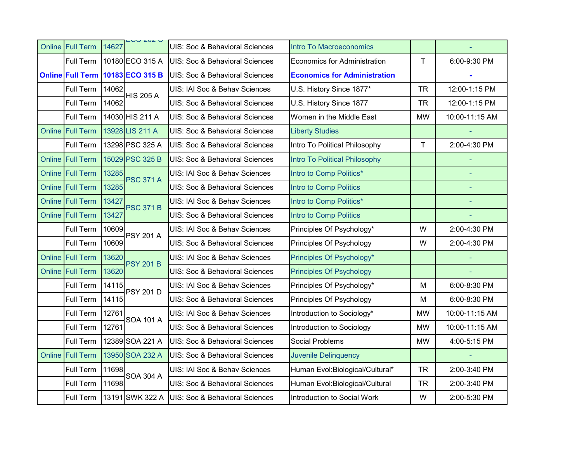| <b>Online Full Term</b> | 14627 | $-0.202$         | UIS: Soc & Behavioral Sciences | <b>Intro To Macroeconomics</b>      |           |                |
|-------------------------|-------|------------------|--------------------------------|-------------------------------------|-----------|----------------|
| Full Term               |       | 10180 ECO 315 A  | UIS: Soc & Behavioral Sciences | <b>Economics for Administration</b> | T         | 6:00-9:30 PM   |
| <b>Online Full Term</b> |       | 10183 ECO 315 B  | UIS: Soc & Behavioral Sciences | <b>Economics for Administration</b> |           |                |
| Full Term               | 14062 | <b>HIS 205 A</b> | UIS: IAI Soc & Behav Sciences  | U.S. History Since 1877*            | <b>TR</b> | 12:00-1:15 PM  |
| Full Term               | 14062 |                  | UIS: Soc & Behavioral Sciences | U.S. History Since 1877             | <b>TR</b> | 12:00-1:15 PM  |
| Full Term               |       | 14030 HIS 211 A  | UIS: Soc & Behavioral Sciences | Women in the Middle East            | <b>MW</b> | 10:00-11:15 AM |
| Online Full Term        |       | 13928 LIS 211 A  | UIS: Soc & Behavioral Sciences | <b>Liberty Studies</b>              |           |                |
| Full Term               |       | 13298 PSC 325 A  | UIS: Soc & Behavioral Sciences | Intro To Political Philosophy       | T         | 2:00-4:30 PM   |
| <b>Online Full Term</b> |       | 15029 PSC 325 B  | UIS: Soc & Behavioral Sciences | Intro To Political Philosophy       |           |                |
| Online Full Term        | 13285 | <b>PSC 371 A</b> | UIS: IAI Soc & Behav Sciences  | Intro to Comp Politics*             |           |                |
| <b>Online Full Term</b> | 13285 |                  | UIS: Soc & Behavioral Sciences | Intro to Comp Politics              |           | u,             |
| Online Full Term        | 13427 | <b>PSC 371 B</b> | UIS: IAI Soc & Behav Sciences  | Intro to Comp Politics*             |           |                |
| Online Full Term        | 13427 |                  | UIS: Soc & Behavioral Sciences | <b>Intro to Comp Politics</b>       |           |                |
| Full Term               | 10609 | <b>PSY 201 A</b> | UIS: IAI Soc & Behav Sciences  | Principles Of Psychology*           | W         | 2:00-4:30 PM   |
| Full Term               | 10609 |                  | UIS: Soc & Behavioral Sciences | Principles Of Psychology            | W         | 2:00-4:30 PM   |
| <b>Online Full Term</b> | 13620 | <b>PSY 201 B</b> | UIS: IAI Soc & Behav Sciences  | Principles Of Psychology*           |           |                |
| <b>Online Full Term</b> | 13620 |                  | UIS: Soc & Behavioral Sciences | <b>Principles Of Psychology</b>     |           |                |
| Full Term               | 14115 | <b>PSY 201 D</b> | UIS: IAI Soc & Behav Sciences  | Principles Of Psychology*           | M         | 6:00-8:30 PM   |
| Full Term               | 14115 |                  | UIS: Soc & Behavioral Sciences | Principles Of Psychology            | M         | 6:00-8:30 PM   |
| Full Term               | 12761 | <b>SOA 101 A</b> | UIS: IAI Soc & Behav Sciences  | Introduction to Sociology*          | <b>MW</b> | 10:00-11:15 AM |
| Full Term               | 12761 |                  | UIS: Soc & Behavioral Sciences | Introduction to Sociology           | <b>MW</b> | 10:00-11:15 AM |
| Full Term               |       | 12389 SOA 221 A  | UIS: Soc & Behavioral Sciences | Social Problems                     | <b>MW</b> | 4:00-5:15 PM   |
| Online Full Term        |       | 13950 SOA 232 A  | UIS: Soc & Behavioral Sciences | <b>Juvenile Delinquency</b>         |           |                |
| Full Term               | 11698 | <b>SOA 304 A</b> | UIS: IAI Soc & Behav Sciences  | Human Evol: Biological/Cultural*    | <b>TR</b> | 2:00-3:40 PM   |
| Full Term               | 11698 |                  | UIS: Soc & Behavioral Sciences | Human Evol: Biological/Cultural     | <b>TR</b> | 2:00-3:40 PM   |
| Full Term               |       | 13191 SWK 322 A  | UIS: Soc & Behavioral Sciences | Introduction to Social Work         | W         | 2:00-5:30 PM   |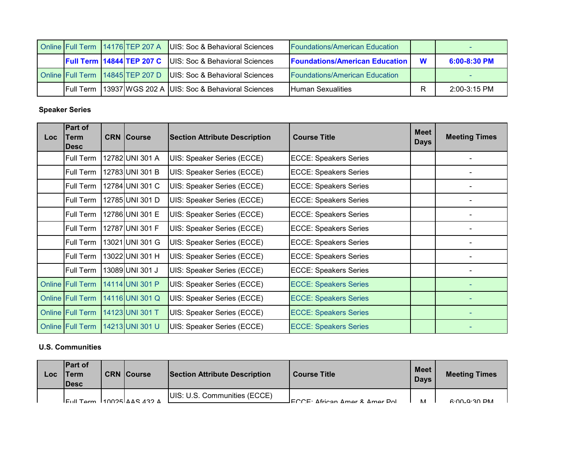|                   | Online Full Term 14176 TEP 207 A   | UIS: Soc & Behavioral Sciences                 | <b>Foundations/American Education</b> |   |                |
|-------------------|------------------------------------|------------------------------------------------|---------------------------------------|---|----------------|
|                   | <b>Full Term 14844 TEP 207 C</b>   | UIS: Soc & Behavioral Sciences                 | <b>Foundations/American Education</b> | W | $6:00-8:30$ PM |
|                   | Online Full Term   14845 TEP 207 D | UIS: Soc & Behavioral Sciences                 | <b>Foundations/American Education</b> |   |                |
| <b>IFull Term</b> |                                    | 13937 WGS 202 A UIS: Soc & Behavioral Sciences | <b>IHuman Sexualities</b>             |   | $2:00-3:15$ PM |

#### **Speaker Series**

| Loc | Part of<br>Term<br>Desc | <b>CRN Course</b>                                                             | <b>Section Attribute Description</b> | <b>Course Title</b>          | <b>Meet</b><br><b>Days</b> | <b>Meeting Times</b> |
|-----|-------------------------|-------------------------------------------------------------------------------|--------------------------------------|------------------------------|----------------------------|----------------------|
|     | Full Term               | 12782 UNI 301 A<br>UIS: Speaker Series (ECCE)<br><b>ECCE: Speakers Series</b> |                                      |                              |                            |                      |
|     | Full Term               | 12783 UNI 301 B                                                               | UIS: Speaker Series (ECCE)           | <b>ECCE: Speakers Series</b> |                            |                      |
|     | Full Term               | 12784 UNI 301 C                                                               | UIS: Speaker Series (ECCE)           | <b>ECCE: Speakers Series</b> |                            |                      |
|     | Full Term               | 12785 UNI 301 D                                                               | UIS: Speaker Series (ECCE)           | <b>ECCE: Speakers Series</b> |                            |                      |
|     | Full Term               | 12786 UNI 301 E                                                               | UIS: Speaker Series (ECCE)           | <b>ECCE: Speakers Series</b> |                            |                      |
|     | Full Term               | 12787 UNI 301 F                                                               | UIS: Speaker Series (ECCE)           | <b>ECCE: Speakers Series</b> |                            |                      |
|     | Full Term               | 13021 UNI 301 G                                                               | UIS: Speaker Series (ECCE)           | <b>ECCE: Speakers Series</b> |                            |                      |
|     | Full Term               | 13022 UNI 301 H                                                               | UIS: Speaker Series (ECCE)           | <b>ECCE: Speakers Series</b> |                            |                      |
|     | Full Term               | 13089 UNI 301 J                                                               | UIS: Speaker Series (ECCE)           | <b>ECCE: Speakers Series</b> |                            |                      |
|     | <b>Online Full Term</b> | 14114 UNI 301 P                                                               | UIS: Speaker Series (ECCE)           | <b>ECCE: Speakers Series</b> |                            |                      |
|     | <b>Online Full Term</b> | 14116 UNI 301 Q                                                               | UIS: Speaker Series (ECCE)           | <b>ECCE: Speakers Series</b> |                            |                      |
|     | <b>Online Full Term</b> | 14123 UNI 301 T                                                               | <b>UIS: Speaker Series (ECCE)</b>    | <b>ECCE: Speakers Series</b> |                            |                      |
|     | <b>Online Full Term</b> | 14213 UNI 301 U                                                               | <b>UIS: Speaker Series (ECCE)</b>    | <b>ECCE: Speakers Series</b> |                            |                      |

### **U.S. Communities**

| LOC | <b>IPart of</b><br>Term<br><b>IDesc</b> | <b>CRN Course</b>                                       | Section Attribute Description | <b>Course Title</b>             | Meet<br><b>Days</b> | <b>Meeting Times</b> |
|-----|-----------------------------------------|---------------------------------------------------------|-------------------------------|---------------------------------|---------------------|----------------------|
|     |                                         | $F_{\text{full Term}}$ $10025$ $\Delta$ AS 432 $\Delta$ | UIS: U.S. Communities (ECCE)  | JFCCF: Δfrican Δmer & Δmer Pol. | NЛ                  | $6.00 - 9.30$ PM     |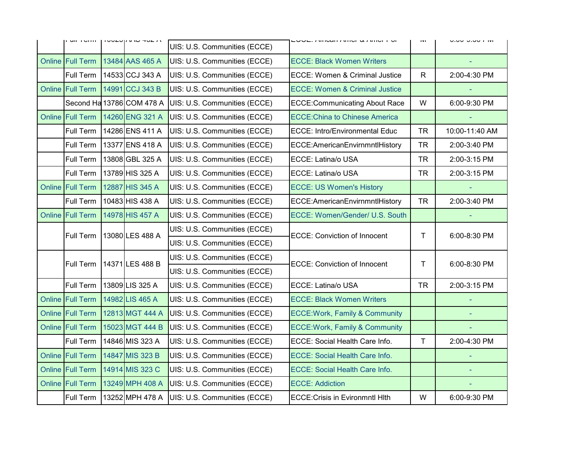|        | וווסו ושון              | ח שער טרעזון טשטעו        | UIS: U.S. Communities (ECCE) | בעעב. תוווסמו תוווסו ע תוווסו דעו         | <b>IVI</b>   | <b>U.UU-U.UU I IVI</b> |
|--------|-------------------------|---------------------------|------------------------------|-------------------------------------------|--------------|------------------------|
|        | <b>Online Full Term</b> | 13484 AAS 465 A           | UIS: U.S. Communities (ECCE) | <b>ECCE: Black Women Writers</b>          |              |                        |
|        | Full Term               | 14533 CCJ 343 A           | UIS: U.S. Communities (ECCE) | <b>ECCE: Women &amp; Criminal Justice</b> | $\mathsf{R}$ | 2:00-4:30 PM           |
| Online | <b>Full Term</b>        | 14991 CCJ 343 B           | UIS: U.S. Communities (ECCE) | <b>ECCE: Women &amp; Criminal Justice</b> |              |                        |
|        |                         | Second Ha 13786 COM 478 A | UIS: U.S. Communities (ECCE) | <b>ECCE:Communicating About Race</b>      | W            | 6:00-9:30 PM           |
|        | <b>Online Full Term</b> | 14260 ENG 321 A           | UIS: U.S. Communities (ECCE) | <b>ECCE: China to Chinese America</b>     |              |                        |
|        | Full Term               | 14286 ENS 411 A           | UIS: U.S. Communities (ECCE) | <b>ECCE: Intro/Environmental Educ</b>     | <b>TR</b>    | 10:00-11:40 AM         |
|        | Full Term               | 13377 ENS 418 A           | UIS: U.S. Communities (ECCE) | ECCE:AmericanEnvirnmntlHistory            | <b>TR</b>    | 2:00-3:40 PM           |
|        | Full Term               | 13808 GBL 325 A           | UIS: U.S. Communities (ECCE) | ECCE: Latina/o USA                        | <b>TR</b>    | 2:00-3:15 PM           |
|        | Full Term               | 13789 HIS 325 A           | UIS: U.S. Communities (ECCE) | ECCE: Latina/o USA                        | <b>TR</b>    | 2:00-3:15 PM           |
|        | Online Full Term        | 12887 HIS 345 A           | UIS: U.S. Communities (ECCE) | <b>ECCE: US Women's History</b>           |              |                        |
|        | Full Term               | 10483 HIS 438 A           | UIS: U.S. Communities (ECCE) | ECCE:AmericanEnvirnmntlHistory            | <b>TR</b>    | 2:00-3:40 PM           |
| Online | <b>Full Term</b>        | 14978 HIS 457 A           | UIS: U.S. Communities (ECCE) | ECCE: Women/Gender/ U.S. South            |              |                        |
|        | <b>Full Term</b>        | 13080 LES 488 A           | UIS: U.S. Communities (ECCE) | <b>ECCE: Conviction of Innocent</b>       | T            | 6:00-8:30 PM           |
|        |                         |                           | UIS: U.S. Communities (ECCE) |                                           |              |                        |
|        | <b>Full Term</b>        | 14371 LES 488 B           | UIS: U.S. Communities (ECCE) | <b>ECCE: Conviction of Innocent</b>       | T.           | 6:00-8:30 PM           |
|        |                         |                           | UIS: U.S. Communities (ECCE) |                                           |              |                        |
|        | Full Term               | 13809 LIS 325 A           | UIS: U.S. Communities (ECCE) | ECCE: Latina/o USA                        | <b>TR</b>    | 2:00-3:15 PM           |
|        | Online Full Term        | 14982 LIS 465 A           | UIS: U.S. Communities (ECCE) | <b>ECCE: Black Women Writers</b>          |              |                        |
|        | Online Full Term        | 12813 MGT 444 A           | UIS: U.S. Communities (ECCE) | <b>ECCE: Work, Family &amp; Community</b> |              |                        |
|        | <b>Online Full Term</b> | 15023 MGT 444 B           | UIS: U.S. Communities (ECCE) | <b>ECCE: Work, Family &amp; Community</b> |              |                        |
|        | Full Term               | 14846 MIS 323 A           | UIS: U.S. Communities (ECCE) | ECCE: Social Health Care Info.            | $\mathsf{T}$ | 2:00-4:30 PM           |
|        | Online Full Term        | 14847 MIS 323 B           | UIS: U.S. Communities (ECCE) | <b>ECCE: Social Health Care Info.</b>     |              |                        |
|        | <b>Online Full Term</b> | 14914 MIS 323 C           | UIS: U.S. Communities (ECCE) | <b>ECCE: Social Health Care Info.</b>     |              |                        |
|        | Online Full Term        | 13249 MPH 408 A           | UIS: U.S. Communities (ECCE) | <b>ECCE: Addiction</b>                    |              |                        |
|        | Full Term               | 13252 MPH 478 A           | UIS: U.S. Communities (ECCE) | <b>ECCE: Crisis in Evironmntl Hlth</b>    | W            | 6:00-9:30 PM           |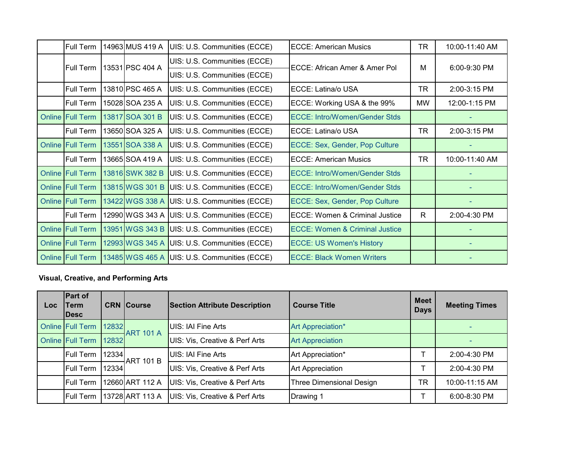| Full Term               | 14963 MUS 419 A | UIS: U.S. Communities (ECCE)                 | <b>ECCE: American Musics</b>              | TR        | 10:00-11:40 AM |
|-------------------------|-----------------|----------------------------------------------|-------------------------------------------|-----------|----------------|
| Full Term               | 13531 PSC 404 A | UIS: U.S. Communities (ECCE)                 | ECCE: African Amer & Amer Pol             | M         | 6:00-9:30 PM   |
|                         |                 | UIS: U.S. Communities (ECCE)                 |                                           |           |                |
| Full Term               | 13810 PSC 465 A | UIS: U.S. Communities (ECCE)                 | ECCE: Latina/o USA                        | TR        | 2:00-3:15 PM   |
| Full Term               | 15028 SOA 235 A | UIS: U.S. Communities (ECCE)                 | ECCE: Working USA & the 99%               | <b>MW</b> | 12:00-1:15 PM  |
| Online Full Term        | 13817 SOA 301 B | UIS: U.S. Communities (ECCE)                 | <b>ECCE: Intro/Women/Gender Stds</b>      |           |                |
| Full Term               | 13650 SOA 325 A | UIS: U.S. Communities (ECCE)                 | ECCE: Latina/o USA                        | TR        | 2:00-3:15 PM   |
| Online Full Term        | 13551 SOA 338 A | UIS: U.S. Communities (ECCE)                 | ECCE: Sex, Gender, Pop Culture            |           |                |
| <b>Full Term</b>        | 13665 SOA 419 A | UIS: U.S. Communities (ECCE)                 | <b>ECCE: American Musics</b>              | <b>TR</b> | 10:00-11:40 AM |
| Online Full Term        | 13816 SWK 382 B | UIS: U.S. Communities (ECCE)                 | <b>ECCE: Intro/Women/Gender Stds</b>      |           |                |
| <b>Online Full Term</b> | 13815 WGS 301 B | UIS: U.S. Communities (ECCE)                 | <b>ECCE: Intro/Women/Gender Stds</b>      |           |                |
| <b>Online Full Term</b> | 13422 WGS 338 A | UIS: U.S. Communities (ECCE)                 | ECCE: Sex, Gender, Pop Culture            |           |                |
| <b>Full Term</b>        | 12990 WGS 343 A | UIS: U.S. Communities (ECCE)                 | <b>ECCE: Women &amp; Criminal Justice</b> | R.        | 2:00-4:30 PM   |
| <b>Online Full Term</b> | 13951 WGS 343 B | UIS: U.S. Communities (ECCE)                 | <b>ECCE: Women &amp; Criminal Justice</b> |           |                |
| <b>Online Full Term</b> | 12993 WGS 345 A | UIS: U.S. Communities (ECCE)                 | <b>ECCE: US Women's History</b>           |           |                |
| <b>Online Full Term</b> |                 | 13485 WGS 465 A UIS: U.S. Communities (ECCE) | <b>ECCE: Black Women Writers</b>          |           |                |

## **Visual, Creative, and Performing Arts**

| Loc | <b>Part of</b><br>Term<br><b>IDesc</b> |                     | <b>CRN</b> Course | <b>Section Attribute Description</b> | <b>Course Title</b>      | <b>Meet</b><br><b>Days</b> | <b>Meeting Times</b> |
|-----|----------------------------------------|---------------------|-------------------|--------------------------------------|--------------------------|----------------------------|----------------------|
|     | <b>Online Full Term</b>                | 12832               | <b>ART 101 A</b>  | UIS: IAI Fine Arts                   | Art Appreciation*        |                            |                      |
|     | Online Full Term                       | $\vert 12832 \vert$ |                   | UIS: Vis, Creative & Perf Arts       | <b>Art Appreciation</b>  |                            |                      |
|     | Full Term                              | 12334               | <b>ART 101 B</b>  | <b>UIS: IAI Fine Arts</b>            | Art Appreciation*        |                            | 2:00-4:30 PM         |
|     | Full Term                              | 12334               |                   | UIS: Vis, Creative & Perf Arts       | <b>Art Appreciation</b>  |                            | $2:00-4:30$ PM       |
|     | <b>Full Term</b>                       |                     | 12660 ART 112 A   | UIS: Vis, Creative & Perf Arts       | Three Dimensional Design | TR                         | 10:00-11:15 AM       |
|     | <b>Full Term</b>                       |                     | 13728 ART 113 A   | UIS: Vis, Creative & Perf Arts       | Drawing 1                |                            | 6:00-8:30 PM         |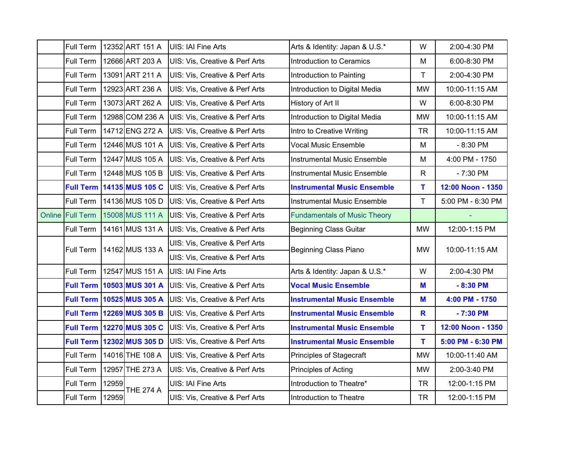| Full Term        |                                                                                          | 12352 ART 151 A                  | <b>UIS: IAI Fine Arts</b>                 | Arts & Identity: Japan & U.S.*      | W            | 2:00-4:30 PM      |
|------------------|------------------------------------------------------------------------------------------|----------------------------------|-------------------------------------------|-------------------------------------|--------------|-------------------|
| Full Term        |                                                                                          | 12666 ART 203 A                  | <b>UIS: Vis, Creative &amp; Perf Arts</b> | <b>Introduction to Ceramics</b>     | M            | 6:00-8:30 PM      |
| Full Term        |                                                                                          | 13091 ART 211 A                  | UIS: Vis, Creative & Perf Arts            | Introduction to Painting            | T            | 2:00-4:30 PM      |
| Full Term        |                                                                                          | 12923 ART 236 A                  | <b>UIS: Vis, Creative &amp; Perf Arts</b> | Introduction to Digital Media       | <b>MW</b>    | 10:00-11:15 AM    |
| Full Term        |                                                                                          | 13073 ART 262 A                  | UIS: Vis, Creative & Perf Arts            | History of Art II                   | W            | 6:00-8:30 PM      |
| Full Term        |                                                                                          | 12988 COM 236 A                  | UIS: Vis, Creative & Perf Arts            | Introduction to Digital Media       | <b>MW</b>    | 10:00-11:15 AM    |
| Full Term        |                                                                                          | 14712 ENG 272 A                  | UIS: Vis, Creative & Perf Arts            | Intro to Creative Writing           | <b>TR</b>    | 10:00-11:15 AM    |
| Full Term        |                                                                                          | 12446 MUS 101 A                  | UIS: Vis, Creative & Perf Arts            | <b>Vocal Music Ensemble</b>         | M            | $-8:30$ PM        |
| Full Term        |                                                                                          | 12447 MUS 105 A                  | <b>UIS: Vis, Creative &amp; Perf Arts</b> | <b>Instrumental Music Ensemble</b>  | M            | 4:00 PM - 1750    |
| Full Term        |                                                                                          | 12448 MUS 105 B                  | <b>UIS: Vis, Creative &amp; Perf Arts</b> | <b>Instrumental Music Ensemble</b>  | $\mathsf{R}$ | $-7:30$ PM        |
|                  |                                                                                          | <b>Full Term 14135 MUS 105 C</b> | <b>UIS: Vis, Creative &amp; Perf Arts</b> | <b>Instrumental Music Ensemble</b>  | T            | 12:00 Noon - 1350 |
| Full Term        |                                                                                          | 14136 MUS 105 D                  | UIS: Vis, Creative & Perf Arts            | <b>Instrumental Music Ensemble</b>  | $\mathsf T$  | 5:00 PM - 6:30 PM |
| Online Full Term |                                                                                          | 15008 MUS 111 A                  | <b>UIS: Vis, Creative &amp; Perf Arts</b> | <b>Fundamentals of Music Theory</b> |              | ÷                 |
| Full Term        |                                                                                          | 14161 MUS 131 A                  | UIS: Vis, Creative & Perf Arts            | <b>Beginning Class Guitar</b>       | <b>MW</b>    | 12:00-1:15 PM     |
| Full Term        |                                                                                          |                                  | UIS: Vis, Creative & Perf Arts            | <b>Beginning Class Piano</b>        | <b>MW</b>    | 10:00-11:15 AM    |
|                  | 14162 MUS 133 A                                                                          |                                  | UIS: Vis, Creative & Perf Arts            |                                     |              |                   |
| Full Term        |                                                                                          | 12547 MUS 151 A                  | <b>UIS: IAI Fine Arts</b>                 | Arts & Identity: Japan & U.S.*      | W            | 2:00-4:30 PM      |
|                  |                                                                                          | <b>Full Term 10503 MUS 301 A</b> | <b>UIS: Vis, Creative &amp; Perf Arts</b> | <b>Vocal Music Ensemble</b>         | M            | $-8:30$ PM        |
|                  |                                                                                          | Full Term 10525 MUS 305 A        | UIS: Vis, Creative & Perf Arts            | <b>Instrumental Music Ensemble</b>  | M            | 4:00 PM - 1750    |
|                  |                                                                                          | <b>Full Term 12269 MUS 305 B</b> | UIS: Vis, Creative & Perf Arts            | <b>Instrumental Music Ensemble</b>  | R            | $-7:30$ PM        |
|                  |                                                                                          | <b>Full Term 12270 MUS 305 C</b> | <b>UIS: Vis, Creative &amp; Perf Arts</b> | <b>Instrumental Music Ensemble</b>  | T            | 12:00 Noon - 1350 |
|                  |                                                                                          | Full Term 12302 MUS 305 D        | UIS: Vis, Creative & Perf Arts            | <b>Instrumental Music Ensemble</b>  | T.           | 5:00 PM - 6:30 PM |
| Full Term        | 14016 THE 108 A<br><b>UIS: Vis, Creative &amp; Perf Arts</b><br>Principles of Stagecraft |                                  | <b>MW</b>                                 | 10:00-11:40 AM                      |              |                   |
| Full Term        |                                                                                          | 12957 THE 273 A                  | UIS: Vis, Creative & Perf Arts            | Principles of Acting                | <b>MW</b>    | 2:00-3:40 PM      |
| Full Term        | 12959                                                                                    | <b>THE 274 A</b>                 | UIS: IAI Fine Arts                        | Introduction to Theatre*            | <b>TR</b>    | 12:00-1:15 PM     |
| Full Term        | 12959                                                                                    |                                  | UIS: Vis, Creative & Perf Arts            | Introduction to Theatre             | <b>TR</b>    | 12:00-1:15 PM     |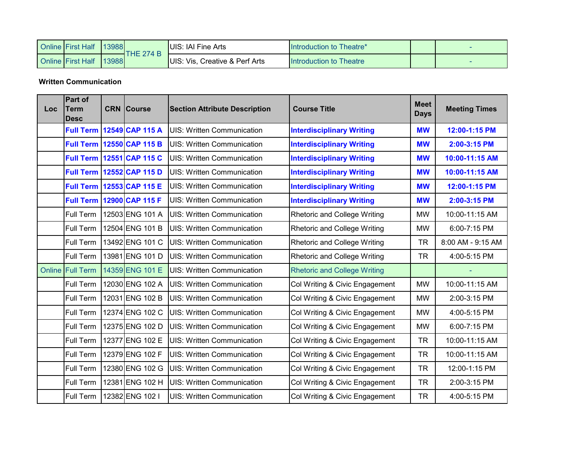| <b>Online First Half</b> | 13988 | THE 274 B | UIS: IAI Fine Arts             | Introduction to Theatre* |  |
|--------------------------|-------|-----------|--------------------------------|--------------------------|--|
| <b>Online First Half</b> | 13988 |           | UIS: Vis, Creative & Perf Arts | Introduction to Theatre  |  |

**Written Communication**

| <b>Loc</b> | Part of<br>Term<br><b>Desc</b> | <b>CRN</b> Course                                                                      | <b>Section Attribute Description</b> | <b>Course Title</b>                 | <b>Meet</b><br><b>Days</b> | <b>Meeting Times</b> |
|------------|--------------------------------|----------------------------------------------------------------------------------------|--------------------------------------|-------------------------------------|----------------------------|----------------------|
|            |                                | <b>Full Term 12549 CAP 115 A</b>                                                       | <b>UIS: Written Communication</b>    | <b>Interdisciplinary Writing</b>    | <b>MW</b>                  | 12:00-1:15 PM        |
|            |                                | <b>Full Term 12550 CAP 115 B</b>                                                       | <b>UIS: Written Communication</b>    | <b>Interdisciplinary Writing</b>    | <b>MW</b>                  | 2:00-3:15 PM         |
|            |                                | <b>Full Term 12551 CAP 115 C</b>                                                       | <b>UIS: Written Communication</b>    | <b>Interdisciplinary Writing</b>    | <b>MW</b>                  | 10:00-11:15 AM       |
|            |                                | <b>Full Term   12552 CAP 115 D</b>                                                     | <b>UIS: Written Communication</b>    | <b>Interdisciplinary Writing</b>    | <b>MW</b>                  | 10:00-11:15 AM       |
|            |                                | Full Term 12553 CAP 115 E                                                              | <b>UIS: Written Communication</b>    | <b>Interdisciplinary Writing</b>    | <b>MW</b>                  | 12:00-1:15 PM        |
|            |                                | Full Term 12900 CAP 115 F                                                              | <b>UIS: Written Communication</b>    | <b>Interdisciplinary Writing</b>    | <b>MW</b>                  | 2:00-3:15 PM         |
|            | Full Term                      | 12503 ENG 101 A                                                                        | <b>UIS: Written Communication</b>    | Rhetoric and College Writing        | <b>MW</b>                  | 10:00-11:15 AM       |
|            | Full Term                      | 12504 ENG 101 B                                                                        | <b>UIS: Written Communication</b>    | <b>Rhetoric and College Writing</b> | <b>MW</b>                  | 6:00-7:15 PM         |
|            | Full Term                      | 13492 ENG 101 C                                                                        | <b>UIS: Written Communication</b>    | <b>Rhetoric and College Writing</b> | <b>TR</b>                  | 8:00 AM - 9:15 AM    |
|            | Full Term                      | 13981 ENG 101 D                                                                        | <b>UIS: Written Communication</b>    | <b>Rhetoric and College Writing</b> | <b>TR</b>                  | 4:00-5:15 PM         |
|            | Online Full Term               | 14359 ENG 101 E                                                                        | <b>UIS: Written Communication</b>    | <b>Rhetoric and College Writing</b> |                            |                      |
|            | Full Term                      | 12030 ENG 102 A                                                                        | <b>UIS: Written Communication</b>    | Col Writing & Civic Engagement      | <b>MW</b>                  | 10:00-11:15 AM       |
|            | Full Term                      | 12031 ENG 102 B                                                                        | <b>UIS: Written Communication</b>    | Col Writing & Civic Engagement      | <b>MW</b>                  | 2:00-3:15 PM         |
|            | Full Term                      | 12374 ENG 102 C                                                                        | <b>UIS: Written Communication</b>    | Col Writing & Civic Engagement      | <b>MW</b>                  | 4:00-5:15 PM         |
|            | Full Term                      | 12375 ENG 102 D                                                                        | <b>UIS: Written Communication</b>    | Col Writing & Civic Engagement      | <b>MW</b>                  | 6:00-7:15 PM         |
|            | Full Term                      | 12377 ENG 102 E                                                                        | <b>UIS: Written Communication</b>    | Col Writing & Civic Engagement      | <b>TR</b>                  | 10:00-11:15 AM       |
|            | Full Term                      | 12379 ENG 102 F                                                                        | <b>UIS: Written Communication</b>    | Col Writing & Civic Engagement      | <b>TR</b>                  | 10:00-11:15 AM       |
|            | Full Term                      | 12380 ENG 102 G                                                                        | <b>UIS: Written Communication</b>    | Col Writing & Civic Engagement      | <b>TR</b>                  | 12:00-1:15 PM        |
|            | Full Term                      | 12381 ENG 102 H<br>Col Writing & Civic Engagement<br><b>UIS: Written Communication</b> |                                      |                                     | <b>TR</b>                  | 2:00-3:15 PM         |
|            | Full Term                      | 12382 ENG 102 I                                                                        | <b>UIS: Written Communication</b>    | Col Writing & Civic Engagement      | <b>TR</b>                  | 4:00-5:15 PM         |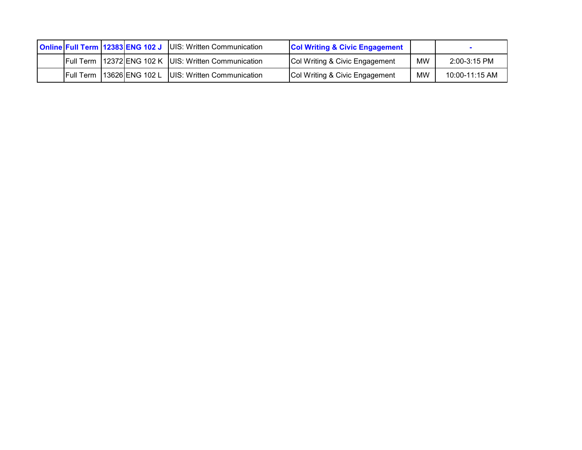|  |                  | <b>Online Full Term 12383 ENG 102 J UIS: Written Communication</b><br><b>Col Writing &amp; Civic Engagement</b> |  |                                                              |                                           |    |                |
|--|------------------|-----------------------------------------------------------------------------------------------------------------|--|--------------------------------------------------------------|-------------------------------------------|----|----------------|
|  |                  |                                                                                                                 |  | <b>Full Term 12372 ENG 102 K JUIS: Written Communication</b> | <b>Col Writing &amp; Civic Engagement</b> | MW | 2:00-3:15 PM   |
|  | <b>Full Term</b> |                                                                                                                 |  | 13626 ENG 102 L UIS: Written Communication                   | <b>Col Writing &amp; Civic Engagement</b> | MW | 10:00-11:15 AM |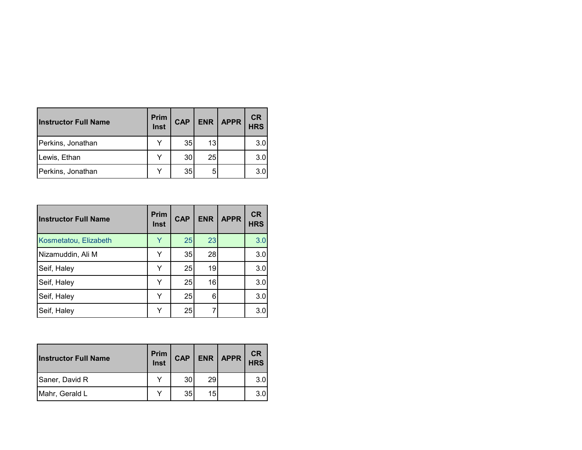| <b>Instructor Full Name</b> | <b>Prim</b><br>Inst | <b>CAP</b> | <b>ENR</b> | APPR | <b>CR</b><br><b>HRS</b> |
|-----------------------------|---------------------|------------|------------|------|-------------------------|
| Perkins, Jonathan           |                     | 35         | 13         |      | 3.0                     |
| Lewis, Ethan                |                     | 30         | 25         |      | 3.0                     |
| Perkins, Jonathan           |                     | 35         |            |      | 3.0                     |

| <b>Instructor Full Name</b> | <b>Prim</b><br><b>Inst</b> | <b>CAP</b> | <b>ENR</b> | <b>APPR</b> | <b>CR</b><br><b>HRS</b> |
|-----------------------------|----------------------------|------------|------------|-------------|-------------------------|
| Kosmetatou, Elizabeth       | Y                          | 25         | 23         |             | 3.0                     |
| Nizamuddin, Ali M           | Y                          | 35         | 28         |             | 3.0                     |
| Seif, Haley                 | Y                          | 25         | 19         |             | 3.0                     |
| Seif, Haley                 | Y                          | 25         | 16         |             | 3.0                     |
| Seif, Haley                 | Y                          | 25         | 6          |             | 3.0                     |
| Seif, Haley                 | v                          | 25         |            |             | 3.0                     |

| <b>Instructor Full Name</b> | Prim<br>Inst | <b>CAP</b>      | <b>ENR</b> | $ $ APPR | CR<br><b>HRS</b> |
|-----------------------------|--------------|-----------------|------------|----------|------------------|
| Saner, David R              | v            | 30              | 29         |          | 3.0              |
| Mahr, Gerald L              | ៶,           | 35 <sub>l</sub> | 15         |          | 3.0              |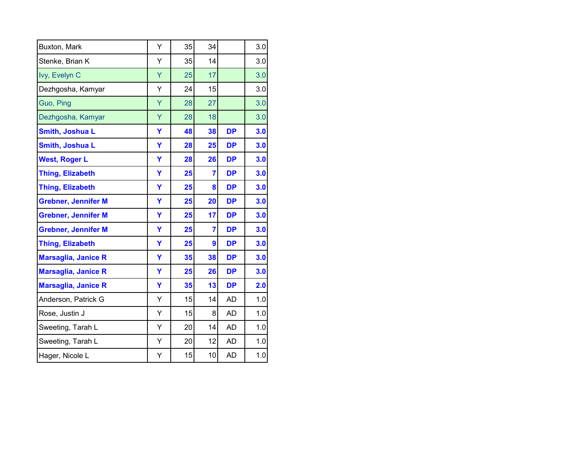| Buxton, Mark               | Y | 35 | 34 |           | 3.0 |
|----------------------------|---|----|----|-----------|-----|
| Stenke, Brian K            | Y | 35 | 14 |           | 3.0 |
| Ivy, Evelyn C              | Ÿ | 25 | 17 |           | 3.0 |
| Dezhgosha, Kamyar          | Υ | 24 | 15 |           | 3.0 |
| Guo, Ping                  | Ÿ | 28 | 27 |           | 3.0 |
| Dezhgosha, Kamyar          | Υ | 28 | 18 |           | 3.0 |
| Smith, Joshua L            | Ÿ | 48 | 38 | <b>DP</b> | 3.0 |
| Smith, Joshua L            | Ÿ | 28 | 25 | <b>DP</b> | 3.0 |
| <b>West, Roger L</b>       | Ÿ | 28 | 26 | <b>DP</b> | 3.0 |
| <b>Thing, Elizabeth</b>    | Υ | 25 | 7  | <b>DP</b> | 3.0 |
| <b>Thing, Elizabeth</b>    | Ÿ | 25 | 8  | <b>DP</b> | 3.0 |
| <b>Grebner, Jennifer M</b> | Ÿ | 25 | 20 | <b>DP</b> | 3.0 |
| <b>Grebner, Jennifer M</b> | Ÿ | 25 | 17 | <b>DP</b> | 3.0 |
| <b>Grebner, Jennifer M</b> | Y | 25 | 7  | <b>DP</b> | 3.0 |
| <b>Thing, Elizabeth</b>    | Υ | 25 | 9  | <b>DP</b> | 3.0 |
| <b>Marsaglia, Janice R</b> | Υ | 35 | 38 | <b>DP</b> | 3.0 |
| <b>Marsaglia, Janice R</b> | Y | 25 | 26 | <b>DP</b> | 3.0 |
| <b>Marsaglia, Janice R</b> | Y | 35 | 13 | <b>DP</b> | 2.0 |
| Anderson, Patrick G        | Y | 15 | 14 | <b>AD</b> | 1.0 |
| Rose, Justin J             | Y | 15 | 8  | <b>AD</b> | 1.0 |
| Sweeting, Tarah L          | Y | 20 | 14 | AD        | 1.0 |
| Sweeting, Tarah L          | Υ | 20 | 12 | <b>AD</b> | 1.0 |
| Hager, Nicole L            | Υ | 15 | 10 | <b>AD</b> | 1.0 |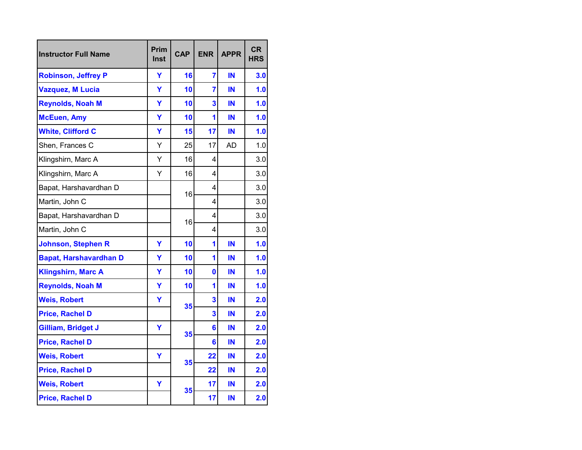| <b>Instructor Full Name</b>   | Prim<br><b>Inst</b> | <b>CAP</b> | <b>ENR</b>          | <b>APPR</b> | <b>CR</b><br><b>HRS</b> |
|-------------------------------|---------------------|------------|---------------------|-------------|-------------------------|
| <b>Robinson, Jeffrey P</b>    | Y                   | 16         | $\overline{7}$      | ΙN          | 3.0                     |
| <b>Vazquez, M Lucia</b>       | Ÿ                   | 10         | 7                   | ΙN          | 1.0                     |
| <b>Reynolds, Noah M</b>       | Y                   | 10         | 3                   | IN          | 1.0                     |
| <b>McEuen, Amy</b>            | Y                   | 10         | 1                   | IN          | 1.0                     |
| <b>White, Clifford C</b>      | Ÿ                   | 15         | 17                  | IN          | 1.0                     |
| Shen, Frances C               | Ý                   | 25         | 17                  | AD          | 1.0                     |
| Klingshirn, Marc A            | Y                   | 16         | 4                   |             | 3.0                     |
| Klingshirn, Marc A            | Y                   | 16         | 4                   |             | 3.0                     |
| Bapat, Harshavardhan D        |                     | 16         | 4                   |             | 3.0                     |
| Martin, John C                |                     |            | 4                   |             | 3.0                     |
| Bapat, Harshavardhan D        |                     | 16         | 4                   |             | 3.0                     |
| Martin, John C                |                     |            | 4                   |             | 3.0                     |
| <b>Johnson, Stephen R</b>     | Ÿ                   | 10         | 1                   | IN          | 1.0                     |
| <b>Bapat, Harshavardhan D</b> | Ÿ                   | 10         | 1                   | IN          | 1.0                     |
| <b>Klingshirn, Marc A</b>     | Y                   | 10         | $\mathbf{0}$        | IN          | 1.0                     |
| <b>Reynolds, Noah M</b>       | Ÿ                   | 10         | 1                   | IN          | 1.0                     |
| <b>Weis, Robert</b>           | Υ                   | 35         | 3                   | IN          | 2.0                     |
| <b>Price, Rachel D</b>        |                     |            | 3                   | IN          | 2.0                     |
| Gilliam, Bridget J            | Y                   | 35         | $\overline{\bf{6}}$ | IN          | 2.0                     |
| <b>Price, Rachel D</b>        |                     |            | 6                   | IN          | 2.0                     |
| <b>Weis, Robert</b>           | Υ                   |            | 22                  | IN          | 2.0                     |
| <b>Price, Rachel D</b>        |                     | 35         | 22                  | IN          | 2.0                     |
| <b>Weis, Robert</b>           | Y                   |            | 17                  | IN          | 2.0                     |
| <b>Price, Rachel D</b>        |                     | 35         | 17                  | IN          | 2.0                     |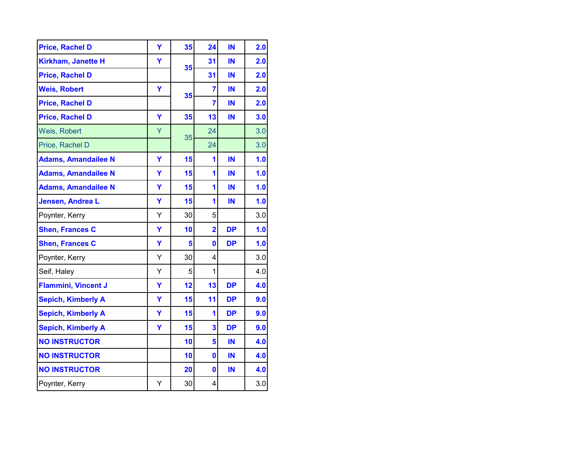| <b>Price, Rachel D</b>     | Y | 35 | 24             | IN        | 2.0 |
|----------------------------|---|----|----------------|-----------|-----|
| <b>Kirkham, Janette H</b>  | Y | 35 | 31             | IN        | 2.0 |
| <b>Price, Rachel D</b>     |   |    | 31             | IN        | 2.0 |
| <b>Weis, Robert</b>        | Y | 35 | 7              | IN        | 2.0 |
| <b>Price, Rachel D</b>     |   |    | 7              | IN        | 2.0 |
| <b>Price, Rachel D</b>     | Y | 35 | 13             | IN        | 3.0 |
| Weis, Robert               | Y | 35 | 24             |           | 3.0 |
| Price, Rachel D            |   |    | 24             |           | 3.0 |
| <b>Adams, Amandailee N</b> | Ÿ | 15 | 1              | IN        | 1.0 |
| <b>Adams, Amandailee N</b> | Ÿ | 15 | 1              | IN        | 1.0 |
| <b>Adams, Amandailee N</b> | Ÿ | 15 | 1              | IN        | 1.0 |
| Jensen, Andrea L           | Ÿ | 15 | 1              | IN        | 1.0 |
| Poynter, Kerry             | Y | 30 | 5              |           | 3.0 |
| <b>Shen, Frances C</b>     | Ÿ | 10 | $\overline{2}$ | <b>DP</b> | 1.0 |
| <b>Shen, Frances C</b>     | Ÿ | 5  | $\mathbf 0$    | <b>DP</b> | 1.0 |
| Poynter, Kerry             | Υ | 30 | 4              |           | 3.0 |
| Seif, Haley                | Υ | 5  | 1              |           | 4.0 |
| <b>Flammini, Vincent J</b> | Ÿ | 12 | 13             | <b>DP</b> | 4.0 |
| <b>Sepich, Kimberly A</b>  | Ÿ | 15 | 11             | <b>DP</b> | 9.0 |
| <b>Sepich, Kimberly A</b>  | Y | 15 | 1              | <b>DP</b> | 9.0 |
| <b>Sepich, Kimberly A</b>  | Y | 15 | 3              | <b>DP</b> | 9.0 |
| <b>NO INSTRUCTOR</b>       |   | 10 | 5              | IN        | 4.0 |
| <b>NO INSTRUCTOR</b>       |   | 10 | $\bf{0}$       | IN        | 4.0 |
| <b>NO INSTRUCTOR</b>       |   | 20 | $\mathbf{0}$   | IN        | 4.0 |
| Poynter, Kerry             | Υ | 30 | 4              |           | 3.0 |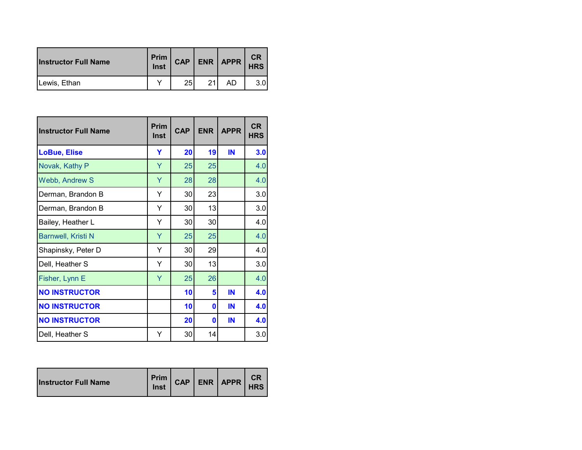| <b>Instructor Full Name</b> | Prim<br>Inst | <b>CAP</b> | <b>ENR</b> | APPR | <b>CR</b><br><b>HRS</b> |
|-----------------------------|--------------|------------|------------|------|-------------------------|
| Lewis, Ethan                |              | 25         | 21         | AD   |                         |

| <b>Instructor Full Name</b> | <b>Prim</b><br><b>Inst</b> | <b>CAP</b> | <b>ENR</b> | <b>APPR</b> | <b>CR</b><br><b>HRS</b> |
|-----------------------------|----------------------------|------------|------------|-------------|-------------------------|
| <b>LoBue, Elise</b>         | Y                          | 20         | 19         | IN          | 3.0                     |
| Novak, Kathy P              | Y                          | 25         | 25         |             | 4.0                     |
| Webb, Andrew S              | Y                          | 28         | 28         |             | 4.0                     |
| Derman, Brandon B           | Υ                          | 30         | 23         |             | 3.0                     |
| Derman, Brandon B           | Υ                          | 30         | 13         |             | 3.0                     |
| Bailey, Heather L           | Y                          | 30         | 30         |             | 4.0                     |
| <b>Barnwell, Kristi N</b>   | Y                          | 25         | 25         |             | 4.0                     |
| Shapinsky, Peter D          | Y                          | 30         | 29         |             | 4.0                     |
| Dell, Heather S             | Y                          | 30         | 13         |             | 3.0                     |
| Fisher, Lynn E              | Y                          | 25         | 26         |             | 4.0                     |
| <b>NO INSTRUCTOR</b>        |                            | 10         | 5          | IN          | 4.0                     |
| <b>NO INSTRUCTOR</b>        |                            | 10         | 0          | IN          | 4.0                     |
| <b>NO INSTRUCTOR</b>        |                            | 20         | 0          | IN          | 4.0                     |
| Dell, Heather S             | Y                          | 30         | 14         |             | 3.0                     |

| <b>Instructor Full Name</b> | <b>Prim</b><br>Inst |  |  | CAP   ENR   APPR | CR<br><b>HRS</b> |
|-----------------------------|---------------------|--|--|------------------|------------------|
|-----------------------------|---------------------|--|--|------------------|------------------|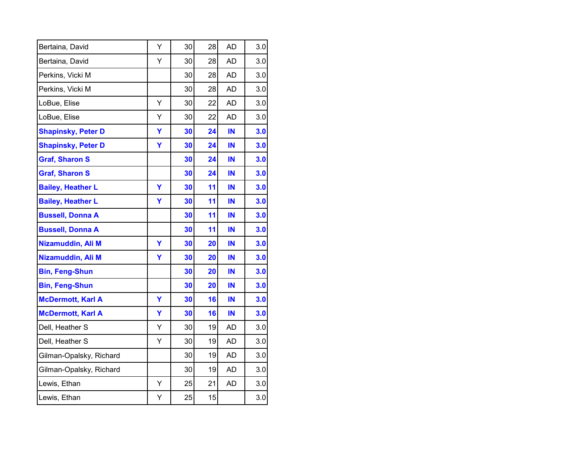| Bertaina, David           | Υ | 30 | 28 | AD        | 3.0 |
|---------------------------|---|----|----|-----------|-----|
| Bertaina, David           | Υ | 30 | 28 | AD        | 3.0 |
| Perkins, Vicki M          |   | 30 | 28 | <b>AD</b> | 3.0 |
| Perkins, Vicki M          |   | 30 | 28 | <b>AD</b> | 3.0 |
| LoBue, Elise              | Y | 30 | 22 | AD        | 3.0 |
| LoBue, Elise              | Υ | 30 | 22 | <b>AD</b> | 3.0 |
| <b>Shapinsky, Peter D</b> | Ÿ | 30 | 24 | IN        | 3.0 |
| <b>Shapinsky, Peter D</b> | Y | 30 | 24 | IN        | 3.0 |
| <b>Graf, Sharon S</b>     |   | 30 | 24 | IN        | 3.0 |
| <b>Graf, Sharon S</b>     |   | 30 | 24 | IN        | 3.0 |
| <b>Bailey, Heather L</b>  | Ÿ | 30 | 11 | IN        | 3.0 |
| <b>Bailey, Heather L</b>  | Y | 30 | 11 | IN        | 3.0 |
| <b>Bussell, Donna A</b>   |   | 30 | 11 | IN        | 3.0 |
| <b>Bussell, Donna A</b>   |   | 30 | 11 | IN        | 3.0 |
| Nizamuddin, Ali M         | Ÿ | 30 | 20 | IN        | 3.0 |
| Nizamuddin, Ali M         | Ÿ | 30 | 20 | IN        | 3.0 |
| <b>Bin, Feng-Shun</b>     |   | 30 | 20 | IN        | 3.0 |
| <b>Bin, Feng-Shun</b>     |   | 30 | 20 | IN        | 3.0 |
| <b>McDermott, Karl A</b>  | Ÿ | 30 | 16 | IN        | 3.0 |
| <b>McDermott, Karl A</b>  | Ÿ | 30 | 16 | IN        | 3.0 |
| Dell, Heather S           | Υ | 30 | 19 | AD        | 3.0 |
| Dell, Heather S           | Υ | 30 | 19 | AD        | 3.0 |
| Gilman-Opalsky, Richard   |   | 30 | 19 | AD        | 3.0 |
| Gilman-Opalsky, Richard   |   | 30 | 19 | <b>AD</b> | 3.0 |
| Lewis, Ethan              | Υ | 25 | 21 | <b>AD</b> | 3.0 |
| Lewis, Ethan              | Υ | 25 | 15 |           | 3.0 |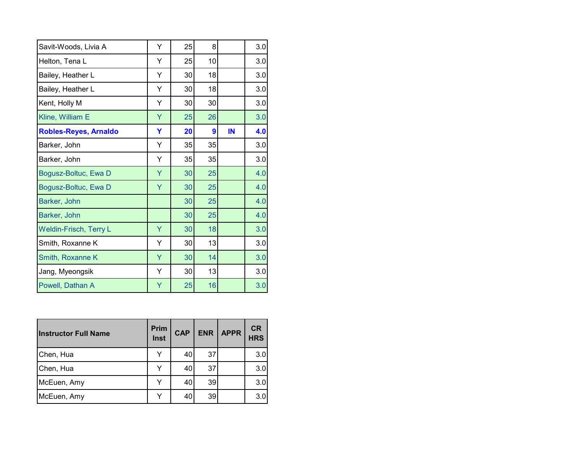| Y | 25 | 8  |    | 3.0 |
|---|----|----|----|-----|
| Y | 25 | 10 |    | 3.0 |
| Y | 30 | 18 |    | 3.0 |
| Y | 30 | 18 |    | 3.0 |
| Υ | 30 | 30 |    | 3.0 |
| Ÿ | 25 | 26 |    | 3.0 |
| Ÿ | 20 | 9  | IN | 4.0 |
| Y | 35 | 35 |    | 3.0 |
| Y | 35 | 35 |    | 3.0 |
| Y | 30 | 25 |    | 4.0 |
| Y | 30 | 25 |    | 4.0 |
|   | 30 | 25 |    | 4.0 |
|   | 30 | 25 |    | 4.0 |
| Ÿ | 30 | 18 |    | 3.0 |
| Υ | 30 | 13 |    | 3.0 |
| Y | 30 | 14 |    | 3.0 |
| Y | 30 | 13 |    | 3.0 |
| Ÿ | 25 | 16 |    | 3.0 |
|   |    |    |    |     |

| <b>Instructor Full Name</b> | <b>Prim</b><br>Inst | <b>CAP</b> | <b>ENR</b> | <b>APPR</b> | <b>CR</b><br><b>HRS</b> |
|-----------------------------|---------------------|------------|------------|-------------|-------------------------|
| Chen, Hua                   | Y                   | 40         | 37         |             | 3.0                     |
| Chen, Hua                   | Y                   | 40         | 37         |             | 3.0                     |
| McEuen, Amy                 | Y                   | 40         | 39         |             | 3.0                     |
| McEuen, Amy                 |                     | 40         | 39         |             | 3.0                     |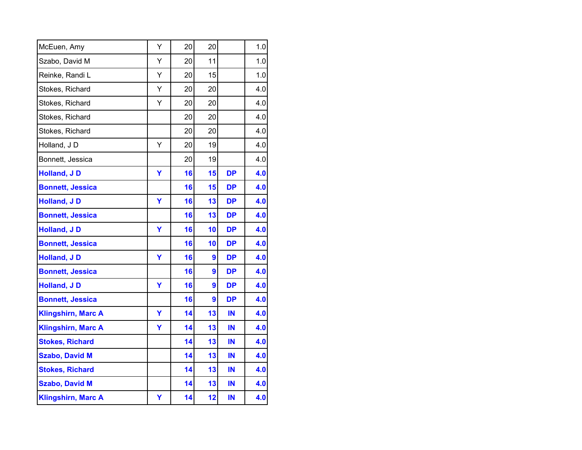| McEuen, Amy               | Υ | 20 | 20 |           | 1.0 |
|---------------------------|---|----|----|-----------|-----|
| Szabo, David M            | Υ | 20 | 11 |           | 1.0 |
| Reinke, Randi L           | Υ | 20 | 15 |           | 1.0 |
| Stokes, Richard           | Υ | 20 | 20 |           | 4.0 |
| Stokes, Richard           | Υ | 20 | 20 |           | 4.0 |
| Stokes, Richard           |   | 20 | 20 |           | 4.0 |
| Stokes, Richard           |   | 20 | 20 |           | 4.0 |
| Holland, JD               | Y | 20 | 19 |           | 4.0 |
| Bonnett, Jessica          |   | 20 | 19 |           | 4.0 |
| <b>Holland, JD</b>        | Ÿ | 16 | 15 | <b>DP</b> | 4.0 |
| <b>Bonnett, Jessica</b>   |   | 16 | 15 | <b>DP</b> | 4.0 |
| Holland, JD               | Ÿ | 16 | 13 | <b>DP</b> | 4.0 |
| <b>Bonnett, Jessica</b>   |   | 16 | 13 | <b>DP</b> | 4.0 |
| <b>Holland, JD</b>        | Ÿ | 16 | 10 | <b>DP</b> | 4.0 |
| <b>Bonnett, Jessica</b>   |   | 16 | 10 | <b>DP</b> | 4.0 |
| <b>Holland, JD</b>        | Ÿ | 16 | 9  | <b>DP</b> | 4.0 |
| <b>Bonnett, Jessica</b>   |   | 16 | 9  | <b>DP</b> | 4.0 |
| <b>Holland, JD</b>        | Y | 16 | 9  | <b>DP</b> | 4.0 |
| <b>Bonnett, Jessica</b>   |   | 16 | 9  | <b>DP</b> | 4.0 |
| <b>Klingshirn, Marc A</b> | Y | 14 | 13 | IN        | 4.0 |
| <b>Klingshirn, Marc A</b> | Y | 14 | 13 | IN        | 4.0 |
| <b>Stokes, Richard</b>    |   | 14 | 13 | IN        | 4.0 |
| <b>Szabo, David M</b>     |   | 14 | 13 | IN        | 4.0 |
| <b>Stokes, Richard</b>    |   | 14 | 13 | IN        | 4.0 |
| <b>Szabo, David M</b>     |   | 14 | 13 | IN        | 4.0 |
| <b>Klingshirn, Marc A</b> | Υ | 14 | 12 | IN        | 4.0 |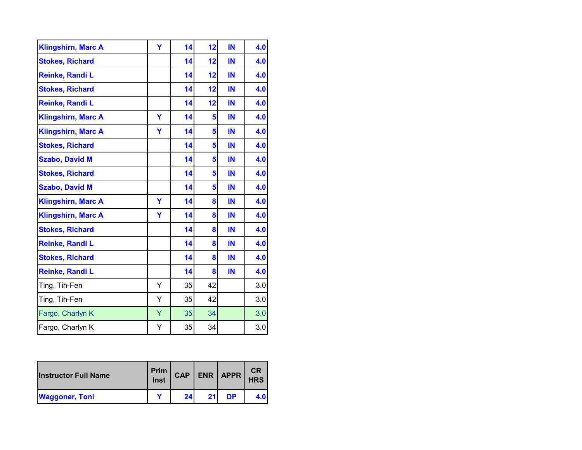| <b>Klingshirn, Marc A</b> | Ÿ | 14 | 12 | IN | 4.0 |
|---------------------------|---|----|----|----|-----|
| <b>Stokes, Richard</b>    |   | 14 | 12 | IN | 4.0 |
| Reinke, Randi L           |   | 14 | 12 | IN | 4.0 |
| <b>Stokes, Richard</b>    |   | 14 | 12 | IN | 4.0 |
| Reinke, Randi L           |   | 14 | 12 | IN | 4.0 |
| <b>Klingshirn, Marc A</b> | Ÿ | 14 | 5  | IN | 4.0 |
| <b>Klingshirn, Marc A</b> | Y | 14 | 5  | IN | 4.0 |
| <b>Stokes, Richard</b>    |   | 14 | 5  | IN | 4.0 |
| <b>Szabo, David M</b>     |   | 14 | 5  | IN | 4.0 |
| <b>Stokes, Richard</b>    |   | 14 | 5  | IN | 4.0 |
| <b>Szabo, David M</b>     |   | 14 | 5  | IN | 4.0 |
| <b>Klingshirn, Marc A</b> | Ÿ | 14 | 8  | IN | 4.0 |
| <b>Klingshirn, Marc A</b> | Y | 14 | 8  | IN | 4.0 |
| <b>Stokes, Richard</b>    |   | 14 | 8  | IN | 4.0 |
| Reinke, Randi L           |   | 14 | 8  | IN | 4.0 |
| <b>Stokes, Richard</b>    |   | 14 | 8  | IN | 4.0 |
| Reinke, Randi L           |   | 14 | 8  | IN | 4.0 |
| Ting, Tih-Fen             | Y | 35 | 42 |    | 3.0 |
| Ting, Tih-Fen             | Υ | 35 | 42 |    | 3.0 |
| Fargo, Charlyn K          | Y | 35 | 34 |    | 3.0 |
| Fargo, Charlyn K          | Υ | 35 | 34 |    | 3.0 |

| <b>Instructor Full Name</b> | Prim<br>Inst | <b>CAP</b> |    | $ENR$ $APPR$ | <b>CR</b><br><b>HRS</b> |
|-----------------------------|--------------|------------|----|--------------|-------------------------|
| <b>Waggoner, Toni</b>       |              | 241        | 21 | DP           | 4.0                     |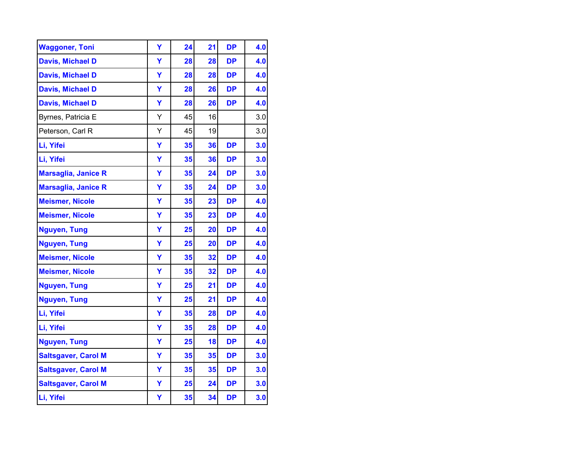| <b>Waggoner, Toni</b>      | Y | 24 | 21 | <b>DP</b> | 4.0 |
|----------------------------|---|----|----|-----------|-----|
| <b>Davis, Michael D</b>    | Ÿ | 28 | 28 | <b>DP</b> | 4.0 |
| <b>Davis, Michael D</b>    | Ÿ | 28 | 28 | <b>DP</b> | 4.0 |
| <b>Davis, Michael D</b>    | Y | 28 | 26 | <b>DP</b> | 4.0 |
| <b>Davis, Michael D</b>    | Ÿ | 28 | 26 | <b>DP</b> | 4.0 |
| Byrnes, Patricia E         | Υ | 45 | 16 |           | 3.0 |
| Peterson, Carl R           | Υ | 45 | 19 |           | 3.0 |
| Li, Yifei                  | Ÿ | 35 | 36 | <b>DP</b> | 3.0 |
| Li, Yifei                  | Ÿ | 35 | 36 | <b>DP</b> | 3.0 |
| <b>Marsaglia, Janice R</b> | Ÿ | 35 | 24 | <b>DP</b> | 3.0 |
| <b>Marsaglia, Janice R</b> | Ÿ | 35 | 24 | <b>DP</b> | 3.0 |
| <b>Meismer, Nicole</b>     | Y | 35 | 23 | <b>DP</b> | 4.0 |
| <b>Meismer, Nicole</b>     | Ÿ | 35 | 23 | <b>DP</b> | 4.0 |
| <b>Nguyen, Tung</b>        | Ÿ | 25 | 20 | <b>DP</b> | 4.0 |
| <b>Nguyen, Tung</b>        | Ÿ | 25 | 20 | <b>DP</b> | 4.0 |
| <b>Meismer, Nicole</b>     | Ÿ | 35 | 32 | <b>DP</b> | 4.0 |
| <b>Meismer, Nicole</b>     | Ÿ | 35 | 32 | <b>DP</b> | 4.0 |
| <b>Nguyen, Tung</b>        | Ÿ | 25 | 21 | <b>DP</b> | 4.0 |
| <b>Nguyen, Tung</b>        | Ÿ | 25 | 21 | <b>DP</b> | 4.0 |
| Li, Yifei                  | Ÿ | 35 | 28 | <b>DP</b> | 4.0 |
| Li, Yifei                  | Ÿ | 35 | 28 | <b>DP</b> | 4.0 |
| <b>Nguyen, Tung</b>        | Υ | 25 | 18 | <b>DP</b> | 4.0 |
| <b>Saltsgaver, Carol M</b> | Ÿ | 35 | 35 | <b>DP</b> | 3.0 |
| <b>Saltsgaver, Carol M</b> | Ÿ | 35 | 35 | <b>DP</b> | 3.0 |
| <b>Saltsgaver, Carol M</b> | Ÿ | 25 | 24 | <b>DP</b> | 3.0 |
| Li, Yifei                  | Y | 35 | 34 | <b>DP</b> | 3.0 |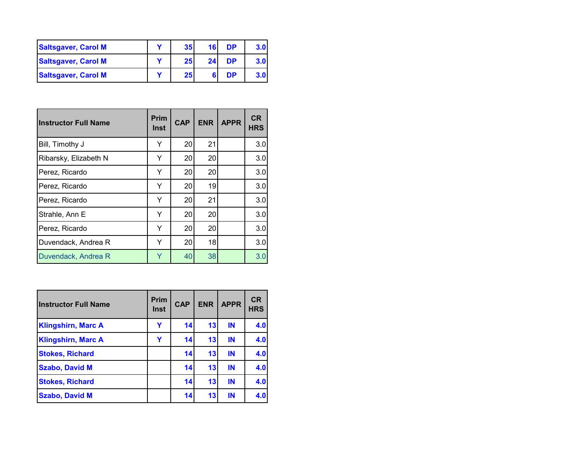| <b>Saltsgaver, Carol M</b> | 35 <sub>l</sub> | 16 | <b>DP</b> | 3.0 <sub>1</sub> |
|----------------------------|-----------------|----|-----------|------------------|
| <b>Saltsgaver, Carol M</b> | 25 <sub>l</sub> | 24 | <b>DP</b> | 3.0 <sub>l</sub> |
| <b>Saltsgaver, Carol M</b> | 25 <sub>l</sub> |    | <b>DP</b> | 3.0 <sub>1</sub> |

| <b>Instructor Full Name</b> | Prim<br><b>Inst</b> | <b>CAP</b> | <b>ENR</b> | <b>APPR</b> | <b>CR</b><br><b>HRS</b> |
|-----------------------------|---------------------|------------|------------|-------------|-------------------------|
| Bill, Timothy J             | Y                   | 20         | 21         |             | 3.0                     |
| Ribarsky, Elizabeth N       | Y                   | 20         | 20         |             | 3.0                     |
| Perez, Ricardo              | Y                   | 20         | 20         |             | 3.0                     |
| Perez, Ricardo              | Y                   | 20         | 19         |             | 3.0                     |
| Perez, Ricardo              | Y                   | 20         | 21         |             | 3.0                     |
| Strahle, Ann E              | Y                   | 20         | 20         |             | 3.0                     |
| Perez, Ricardo              | Y                   | 20         | 20         |             | 3.0                     |
| Duvendack, Andrea R         | Y                   | 20         | 18         |             | 3.0                     |
| Duvendack, Andrea R         | Y                   | 40         | 38         |             | 3.0                     |

| <b>Instructor Full Name</b> | <b>Prim</b><br><b>Inst</b> | <b>CAP</b> | <b>ENR</b> | <b>APPR</b> | <b>CR</b><br><b>HRS</b> |
|-----------------------------|----------------------------|------------|------------|-------------|-------------------------|
| <b>Klingshirn, Marc A</b>   | Y                          | 14         | 13         | IN          | 4.0                     |
| <b>Klingshirn, Marc A</b>   | Y                          | 14         | 13         | IN          | 4.0                     |
| <b>Stokes, Richard</b>      |                            | 14         | 13         | IN          | 4.0                     |
| <b>Szabo, David M</b>       |                            | 14         | 13         | IN          | 4.0                     |
| <b>Stokes, Richard</b>      |                            | 14         | 13         | IN          | 4.0                     |
| <b>Szabo, David M</b>       |                            | 14         | 13         | IN          | 4.0                     |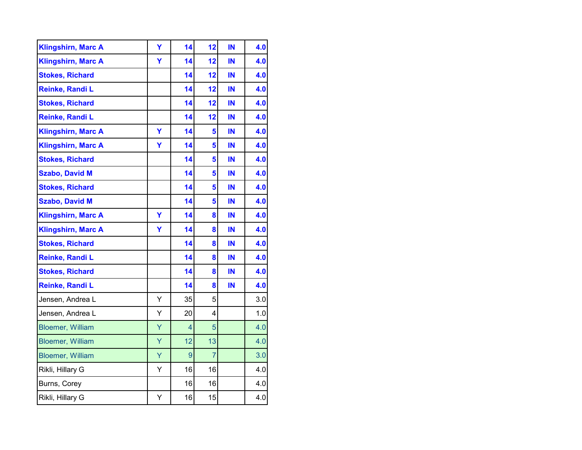| <b>Klingshirn, Marc A</b> | Y | 14             | 12 | IN | 4.0 |
|---------------------------|---|----------------|----|----|-----|
| <b>Klingshirn, Marc A</b> | Ÿ | 14             | 12 | IN | 4.0 |
| <b>Stokes, Richard</b>    |   | 14             | 12 | IN | 4.0 |
| Reinke, Randi L           |   | 14             | 12 | IN | 4.0 |
| <b>Stokes, Richard</b>    |   | 14             | 12 | IN | 4.0 |
| Reinke, Randi L           |   | 14             | 12 | IN | 4.0 |
| <b>Klingshirn, Marc A</b> | Ÿ | 14             | 5  | IN | 4.0 |
| <b>Klingshirn, Marc A</b> | Ÿ | 14             | 5  | IN | 4.0 |
| <b>Stokes, Richard</b>    |   | 14             | 5  | IN | 4.0 |
| <b>Szabo, David M</b>     |   | 14             | 5  | IN | 4.0 |
| <b>Stokes, Richard</b>    |   | 14             | 5  | IN | 4.0 |
| <b>Szabo, David M</b>     |   | 14             | 5  | IN | 4.0 |
| <b>Klingshirn, Marc A</b> | Y | 14             | 8  | IN | 4.0 |
| <b>Klingshirn, Marc A</b> | Ÿ | 14             | 8  | IN | 4.0 |
| <b>Stokes, Richard</b>    |   | 14             | 8  | IN | 4.0 |
| Reinke, Randi L           |   | 14             | 8  | IN | 4.0 |
| <b>Stokes, Richard</b>    |   | 14             | 8  | IN | 4.0 |
| Reinke, Randi L           |   | 14             | 8  | IN | 4.0 |
| Jensen, Andrea L          | Υ | 35             | 5  |    | 3.0 |
| Jensen, Andrea L          | Υ | 20             | 4  |    | 1.0 |
| <b>Bloemer, William</b>   | Ÿ | $\overline{4}$ | 5  |    | 4.0 |
| <b>Bloemer, William</b>   | Y | 12             | 13 |    | 4.0 |
| <b>Bloemer, William</b>   | Ÿ | 9              | 7  |    | 3.0 |
| Rikli, Hillary G          | Y | 16             | 16 |    | 4.0 |
| Burns, Corey              |   | 16             | 16 |    | 4.0 |
| Rikli, Hillary G          | Υ | 16             | 15 |    | 4.0 |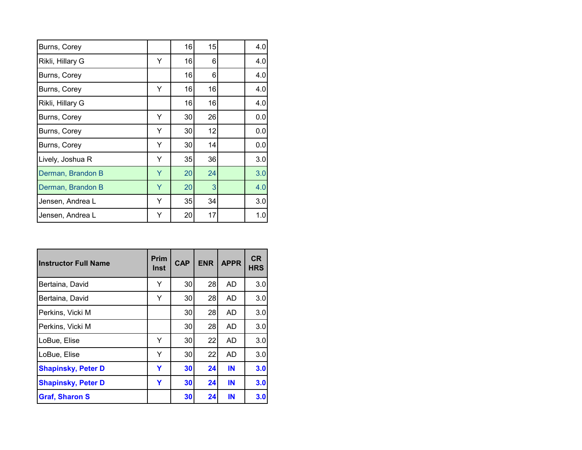| Burns, Corey      |   | 16 | 15 | 4.0 |
|-------------------|---|----|----|-----|
| Rikli, Hillary G  | Y | 16 | 6  | 4.0 |
| Burns, Corey      |   | 16 | 6  | 4.0 |
| Burns, Corey      | Y | 16 | 16 | 4.0 |
| Rikli, Hillary G  |   | 16 | 16 | 4.0 |
| Burns, Corey      | Y | 30 | 26 | 0.0 |
| Burns, Corey      | Y | 30 | 12 | 0.0 |
| Burns, Corey      | Υ | 30 | 14 | 0.0 |
| Lively, Joshua R  | Υ | 35 | 36 | 3.0 |
| Derman, Brandon B | Y | 20 | 24 | 3.0 |
| Derman, Brandon B | Y | 20 | 3  | 4.0 |
| Jensen, Andrea L  | Y | 35 | 34 | 3.0 |
| Jensen, Andrea L  | Y | 20 | 17 | 1.0 |

| <b>Instructor Full Name</b> | <b>Prim</b><br>Inst | <b>CAP</b> | <b>ENR</b> | <b>APPR</b> | <b>CR</b><br><b>HRS</b> |
|-----------------------------|---------------------|------------|------------|-------------|-------------------------|
| Bertaina, David             | Y                   | 30         | 28         | AD          | 3.0                     |
| Bertaina, David             | Y                   | 30         | 28         | AD          | 3.0                     |
| Perkins, Vicki M            |                     | 30         | 28         | AD          | 3.0                     |
| Perkins, Vicki M            |                     | 30         | 28         | AD          | 3.0                     |
| LoBue, Elise                | Y                   | 30         | 22         | AD          | 3.0                     |
| LoBue, Elise                | Y                   | 30         | 22         | AD          | 3.0                     |
| <b>Shapinsky, Peter D</b>   | Y                   | 30         | 24         | IN          | 3.0                     |
| <b>Shapinsky, Peter D</b>   | Y                   | 30         | 24         | IN          | 3.0                     |
| <b>Graf, Sharon S</b>       |                     | 30         | 24         | IN          | 3.0                     |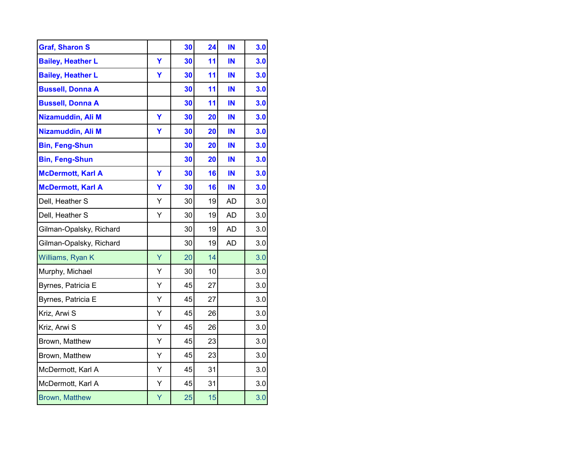| <b>Graf, Sharon S</b>    |   | 30 | 24 | IN        | 3.0 |
|--------------------------|---|----|----|-----------|-----|
| <b>Bailey, Heather L</b> | Ÿ | 30 | 11 | IN        | 3.0 |
| <b>Bailey, Heather L</b> | Ÿ | 30 | 11 | IN        | 3.0 |
| <b>Bussell, Donna A</b>  |   | 30 | 11 | IN        | 3.0 |
| <b>Bussell, Donna A</b>  |   | 30 | 11 | IN        | 3.0 |
| Nizamuddin, Ali M        | Ÿ | 30 | 20 | IN        | 3.0 |
| Nizamuddin, Ali M        | Ÿ | 30 | 20 | IN        | 3.0 |
| <b>Bin, Feng-Shun</b>    |   | 30 | 20 | IN        | 3.0 |
| <b>Bin, Feng-Shun</b>    |   | 30 | 20 | IN        | 3.0 |
| <b>McDermott, Karl A</b> | Ÿ | 30 | 16 | IN        | 3.0 |
| <b>McDermott, Karl A</b> | Ÿ | 30 | 16 | IN        | 3.0 |
| Dell, Heather S          | Y | 30 | 19 | <b>AD</b> | 3.0 |
| Dell, Heather S          | Υ | 30 | 19 | <b>AD</b> | 3.0 |
| Gilman-Opalsky, Richard  |   | 30 | 19 | <b>AD</b> | 3.0 |
| Gilman-Opalsky, Richard  |   | 30 | 19 | <b>AD</b> | 3.0 |
| Williams, Ryan K         | Ÿ | 20 | 14 |           | 3.0 |
| Murphy, Michael          | Υ | 30 | 10 |           | 3.0 |
| Byrnes, Patricia E       | Y | 45 | 27 |           | 3.0 |
| Byrnes, Patricia E       | Υ | 45 | 27 |           | 3.0 |
| Kriz, Arwi S             | Υ | 45 | 26 |           | 3.0 |
| Kriz, Arwi S             | Υ | 45 | 26 |           | 3.0 |
| Brown, Matthew           | Υ | 45 | 23 |           | 3.0 |
| Brown, Matthew           | Y | 45 | 23 |           | 3.0 |
| McDermott, Karl A        | Ý | 45 | 31 |           | 3.0 |
| McDermott, Karl A        | Υ | 45 | 31 |           | 3.0 |
| <b>Brown, Matthew</b>    | Υ | 25 | 15 |           | 3.0 |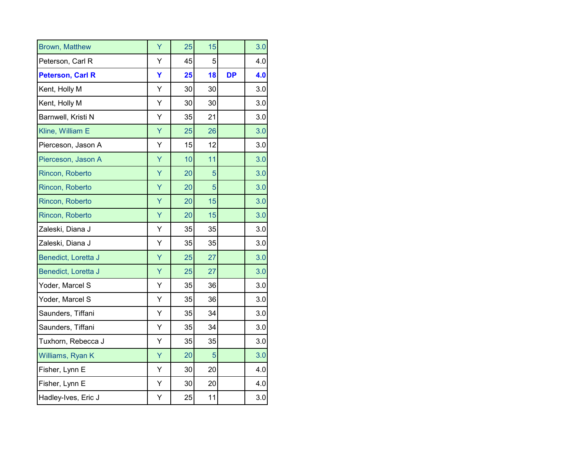| <b>Brown, Matthew</b>   | Ÿ | 25 | 15 |           | 3.0 |
|-------------------------|---|----|----|-----------|-----|
| Peterson, Carl R        | Υ | 45 | 5  |           | 4.0 |
| <b>Peterson, Carl R</b> | Ÿ | 25 | 18 | <b>DP</b> | 4.0 |
| Kent, Holly M           | Υ | 30 | 30 |           | 3.0 |
| Kent, Holly M           | Y | 30 | 30 |           | 3.0 |
| Barnwell, Kristi N      | Υ | 35 | 21 |           | 3.0 |
| Kline, William E        | Ÿ | 25 | 26 |           | 3.0 |
| Pierceson, Jason A      | Y | 15 | 12 |           | 3.0 |
| Pierceson, Jason A      | Ÿ | 10 | 11 |           | 3.0 |
| Rincon, Roberto         | Ÿ | 20 | 5  |           | 3.0 |
| Rincon, Roberto         | Ÿ | 20 | 5  |           | 3.0 |
| Rincon, Roberto         | Ÿ | 20 | 15 |           | 3.0 |
| Rincon, Roberto         | Y | 20 | 15 |           | 3.0 |
| Zaleski, Diana J        | Υ | 35 | 35 |           | 3.0 |
| Zaleski, Diana J        | Y | 35 | 35 |           | 3.0 |
| Benedict, Loretta J     | Ÿ | 25 | 27 |           | 3.0 |
| Benedict, Loretta J     | Ÿ | 25 | 27 |           | 3.0 |
| Yoder, Marcel S         | Υ | 35 | 36 |           | 3.0 |
| Yoder, Marcel S         | Υ | 35 | 36 |           | 3.0 |
| Saunders, Tiffani       | Υ | 35 | 34 |           | 3.0 |
| Saunders, Tiffani       | Υ | 35 | 34 |           | 3.0 |
| Tuxhorn, Rebecca J      | Υ | 35 | 35 |           | 3.0 |
| Williams, Ryan K        | Ÿ | 20 | 5  |           | 3.0 |
| Fisher, Lynn E          | Y | 30 | 20 |           | 4.0 |
| Fisher, Lynn E          | Y | 30 | 20 |           | 4.0 |
| Hadley-Ives, Eric J     | Υ | 25 | 11 |           | 3.0 |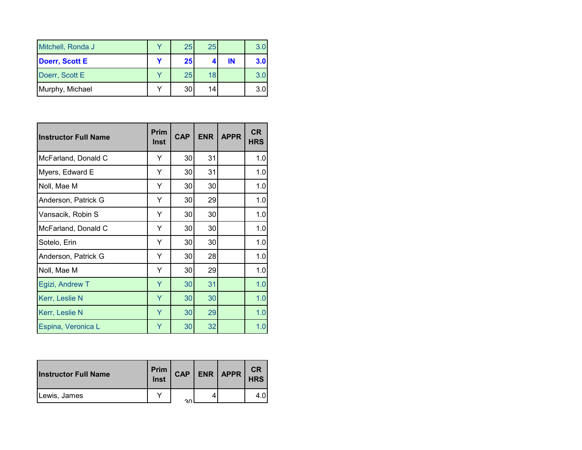| Mitchell, Ronda J     | 25 | 25 |    | 3.0 |
|-----------------------|----|----|----|-----|
| <b>Doerr, Scott E</b> | 25 |    | IN | 3.0 |
| Doerr, Scott E        | 25 | 18 |    |     |
| Murphy, Michael       | 30 | 14 |    | 3.0 |

| <b>Instructor Full Name</b> | Prim<br>Inst | <b>CAP</b> | <b>ENR</b> | <b>APPR</b> | <b>CR</b><br><b>HRS</b> |
|-----------------------------|--------------|------------|------------|-------------|-------------------------|
| McFarland, Donald C         | Y            | 30         | 31         |             | 1.0                     |
| Myers, Edward E             | Y            | 30         | 31         |             | 1.0                     |
| Noll, Mae M                 | Y            | 30         | 30         |             | 1.0                     |
| Anderson, Patrick G         | Y            | 30         | 29         |             | 1.0                     |
| Vansacik, Robin S           | Y            | 30         | 30         |             | 1.0                     |
| McFarland, Donald C         | Y            | 30         | 30         |             | 1.0                     |
| Sotelo, Erin                | Υ            | 30         | 30         |             | 1.0                     |
| Anderson, Patrick G         | Y            | 30         | 28         |             | 1.0                     |
| Noll, Mae M                 | Y            | 30         | 29         |             | 1.0                     |
| Egizi, Andrew T             | Y            | 30         | 31         |             | 1.0                     |
| Kerr, Leslie N              | Ÿ            | 30         | 30         |             | 1.0                     |
| Kerr, Leslie N              | Y            | 30         | 29         |             | 1.0                     |
| Espina, Veronica L          | Y            | 30         | 32         |             | 1.0                     |

| <b>Instructor Full Name</b> | Prim<br>Inst | <b>CAP</b> | $ENR$ $APPR$ | <b>CR</b><br><b>HRS</b> |
|-----------------------------|--------------|------------|--------------|-------------------------|
| Lewis, James                |              | ົ          |              | 4.0                     |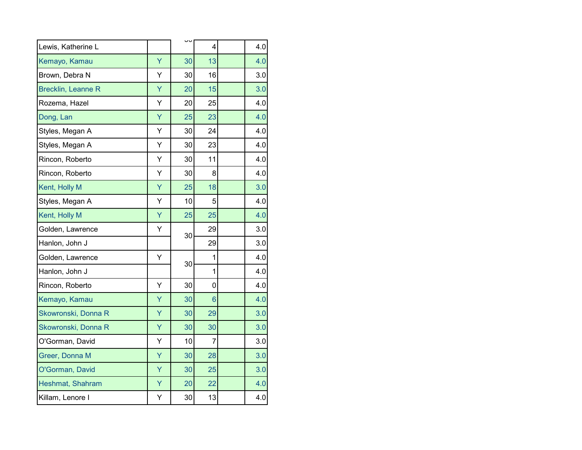| Lewis, Katherine L        |   |    | 4              | 4.0 |
|---------------------------|---|----|----------------|-----|
| Kemayo, Kamau             | Ÿ | 30 | 13             | 4.0 |
| Brown, Debra N            | Y | 30 | 16             | 3.0 |
| <b>Brecklin, Leanne R</b> | Ÿ | 20 | 15             | 3.0 |
| Rozema, Hazel             | Y | 20 | 25             | 4.0 |
| Dong, Lan                 | Ÿ | 25 | 23             | 4.0 |
| Styles, Megan A           | Υ | 30 | 24             | 4.0 |
| Styles, Megan A           | Υ | 30 | 23             | 4.0 |
| Rincon, Roberto           | Ý | 30 | 11             | 4.0 |
| Rincon, Roberto           | Y | 30 | 8              | 4.0 |
| Kent, Holly M             | Ÿ | 25 | 18             | 3.0 |
| Styles, Megan A           | Y | 10 | 5              | 4.0 |
| Kent, Holly M             | Ÿ | 25 | 25             | 4.0 |
| Golden, Lawrence          | Y |    | 29             | 3.0 |
| Hanlon, John J            |   | 30 | 29             | 3.0 |
| Golden, Lawrence          | Ý |    | 1              | 4.0 |
| Hanlon, John J            |   | 30 | $\mathbf{1}$   | 4.0 |
| Rincon, Roberto           | Υ | 30 | 0              | 4.0 |
| Kemayo, Kamau             | Ÿ | 30 | 6              | 4.0 |
| Skowronski, Donna R       | Ÿ | 30 | 29             | 3.0 |
| Skowronski, Donna R       | Ÿ | 30 | 30             | 3.0 |
| O'Gorman, David           | Υ | 10 | $\overline{7}$ | 3.0 |
| Greer, Donna M            | Ÿ | 30 | 28             | 3.0 |
| O'Gorman, David           | Ÿ | 30 | 25             | 3.0 |
| Heshmat, Shahram          | Ÿ | 20 | 22             | 4.0 |
| Killam, Lenore I          | Υ | 30 | 13             | 4.0 |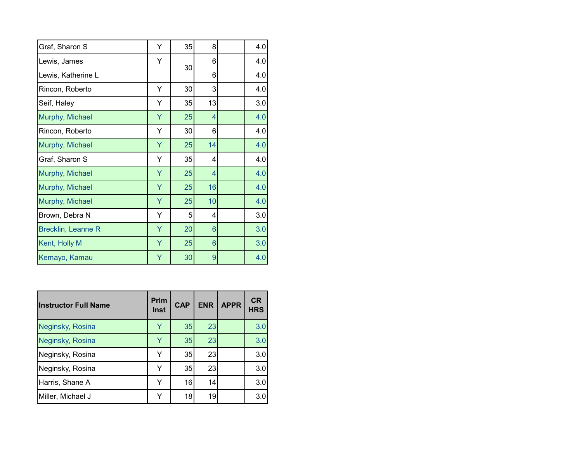| Graf, Sharon S            | Υ | 35 | 8              | 4.0 |
|---------------------------|---|----|----------------|-----|
| Lewis, James              | Υ | 30 | 6              | 4.0 |
| Lewis, Katherine L        |   |    | 6              | 4.0 |
| Rincon, Roberto           | Υ | 30 | 3              | 4.0 |
| Seif, Haley               | Y | 35 | 13             | 3.0 |
| Murphy, Michael           | Ÿ | 25 | 4              | 4.0 |
| Rincon, Roberto           | Υ | 30 | 6              | 4.0 |
| Murphy, Michael           | Υ | 25 | 14             | 4.0 |
| Graf, Sharon S            | Υ | 35 | 4              | 4.0 |
| Murphy, Michael           | Y | 25 | 4              | 4.0 |
| Murphy, Michael           | Y | 25 | 16             | 4.0 |
| Murphy, Michael           | Ÿ | 25 | 10             | 4.0 |
| Brown, Debra N            | Υ | 5  | 4              | 3.0 |
| <b>Brecklin, Leanne R</b> | Υ | 20 | 6              | 3.0 |
| Kent, Holly M             | Y | 25 | $6\phantom{1}$ | 3.0 |
| Kemayo, Kamau             | Ÿ | 30 | $\overline{9}$ | 4.0 |

| <b>Instructor Full Name</b> | <b>Prim</b><br><b>Inst</b> | <b>CAP</b> | <b>ENR</b> | <b>APPR</b> | <b>CR</b><br><b>HRS</b> |
|-----------------------------|----------------------------|------------|------------|-------------|-------------------------|
| Neginsky, Rosina            | Y                          | 35         | 23         |             | 3.0                     |
| Neginsky, Rosina            | Y                          | 35         | 23         |             | 3.0                     |
| Neginsky, Rosina            | Y                          | 35         | 23         |             | 3.0                     |
| Neginsky, Rosina            | Y                          | 35         | 23         |             | 3.0                     |
| Harris, Shane A             | Y                          | 16         | 14         |             | 3.0                     |
| Miller, Michael J           |                            | 18         | 19         |             | 3.0                     |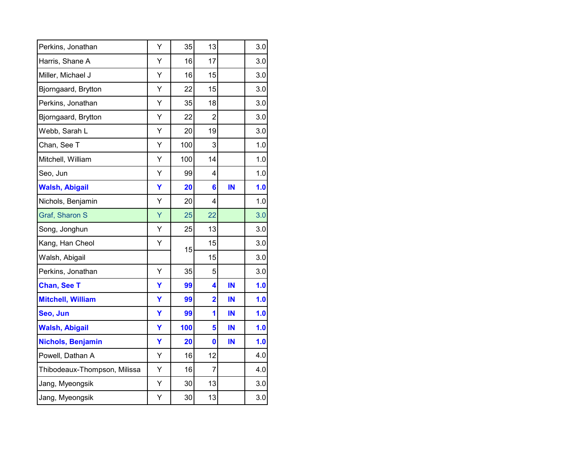| Perkins, Jonathan            | Υ | 35  | 13                      |    | 3.0 |
|------------------------------|---|-----|-------------------------|----|-----|
| Harris, Shane A              | Υ | 16  | 17                      |    | 3.0 |
| Miller, Michael J            | Υ | 16  | 15                      |    | 3.0 |
| Bjorngaard, Brytton          | Υ | 22  | 15                      |    | 3.0 |
| Perkins, Jonathan            | Y | 35  | 18                      |    | 3.0 |
| Bjorngaard, Brytton          | Υ | 22  | 2                       |    | 3.0 |
| Webb, Sarah L                | Y | 20  | 19                      |    | 3.0 |
| Chan, See T                  | Υ | 100 | 3                       |    | 1.0 |
| Mitchell, William            | Υ | 100 | 14                      |    | 1.0 |
| Seo, Jun                     | Y | 99  | 4                       |    | 1.0 |
| <b>Walsh, Abigail</b>        | Ÿ | 20  | $6\phantom{1}6$         | IN | 1.0 |
| Nichols, Benjamin            | Υ | 20  | 4                       |    | 1.0 |
| Graf, Sharon S               | Ÿ | 25  | 22                      |    | 3.0 |
| Song, Jonghun                | Υ | 25  | 13                      |    | 3.0 |
| Kang, Han Cheol              | Ý | 15  | 15                      |    | 3.0 |
| Walsh, Abigail               |   |     | 15                      |    | 3.0 |
| Perkins, Jonathan            | Υ | 35  | 5                       |    | 3.0 |
| <b>Chan, See T</b>           | Y | 99  | 4                       | IN | 1.0 |
| <b>Mitchell, William</b>     | Ÿ | 99  | $\overline{\mathbf{2}}$ | IN | 1.0 |
| Seo, Jun                     | Ÿ | 99  | 1                       | IN | 1.0 |
| <b>Walsh, Abigail</b>        | Ÿ | 100 | 5                       | IN | 1.0 |
| Nichols, Benjamin            | Y | 20  | $\mathbf 0$             | IN | 1.0 |
| Powell, Dathan A             | Υ | 16  | 12                      |    | 4.0 |
| Thibodeaux-Thompson, Milissa | Υ | 16  | $\overline{7}$          |    | 4.0 |
| Jang, Myeongsik              | Υ | 30  | 13                      |    | 3.0 |
| Jang, Myeongsik              | Υ | 30  | 13                      |    | 3.0 |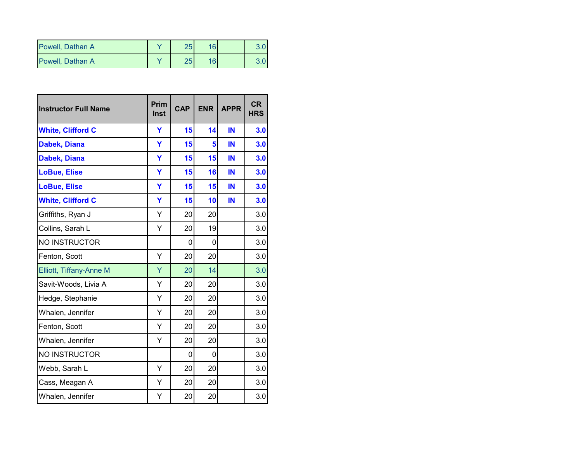| Powell, Dathan A | つに       | 16 <sup>1</sup> |  |
|------------------|----------|-----------------|--|
| Powell. Dathan A | っに<br>دے | 161             |  |

| <b>Instructor Full Name</b>    | <b>Prim</b><br>Inst | <b>CAP</b> | <b>ENR</b> | <b>APPR</b> | <b>CR</b><br><b>HRS</b> |
|--------------------------------|---------------------|------------|------------|-------------|-------------------------|
| <b>White, Clifford C</b>       | Y                   | 15         | 14         | IN          | 3.0                     |
| Dabek, Diana                   | Ÿ                   | 15         | 5          | IN          | 3.0                     |
| <b>Dabek, Diana</b>            | Y                   | 15         | 15         | IN          | 3.0                     |
| <b>LoBue, Elise</b>            | Y                   | 15         | 16         | IN          | 3.0                     |
| <b>LoBue, Elise</b>            | Y                   | 15         | 15         | IN          | 3.0                     |
| <b>White, Clifford C</b>       | Ÿ                   | 15         | 10         | IN          | 3.0                     |
| Griffiths, Ryan J              | Υ                   | 20         | 20         |             | 3.0                     |
| Collins, Sarah L               | Υ                   | 20         | 19         |             | 3.0                     |
| NO INSTRUCTOR                  |                     | 0          | 0          |             | 3.0                     |
| Fenton, Scott                  | Υ                   | 20         | 20         |             | 3.0                     |
| <b>Elliott, Tiffany-Anne M</b> | Ÿ                   | 20         | 14         |             | 3.0                     |
| Savit-Woods, Livia A           | Υ                   | 20         | 20         |             | 3.0                     |
| Hedge, Stephanie               | Y                   | 20         | 20         |             | 3.0                     |
| Whalen, Jennifer               | Υ                   | 20         | 20         |             | 3.0                     |
| Fenton, Scott                  | Y                   | 20         | 20         |             | 3.0                     |
| Whalen, Jennifer               | Y                   | 20         | 20         |             | 3.0                     |
| <b>NO INSTRUCTOR</b>           |                     | 0          | 0          |             | 3.0                     |
| Webb, Sarah L                  | Υ                   | 20         | 20         |             | 3.0                     |
| Cass, Meagan A                 | Y                   | 20         | 20         |             | 3.0                     |
| Whalen, Jennifer               | Υ                   | 20         | 20         |             | 3.0                     |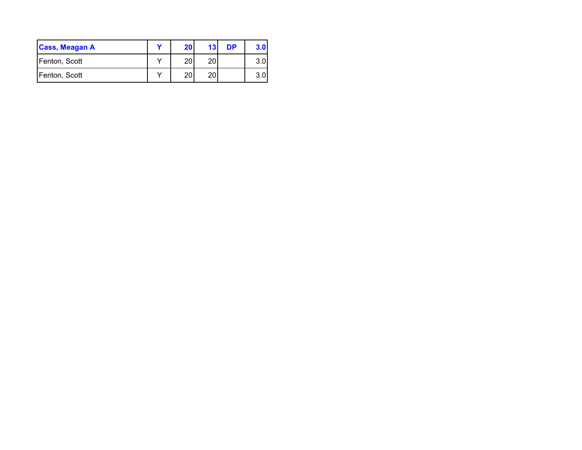| <b>Cass, Meagan A</b> | 20 | 13 | DP | 3.0 |
|-----------------------|----|----|----|-----|
| Fenton, Scott         | 20 | 20 |    | 3.0 |
| Fenton, Scott         | 20 | 20 |    | າ ດ |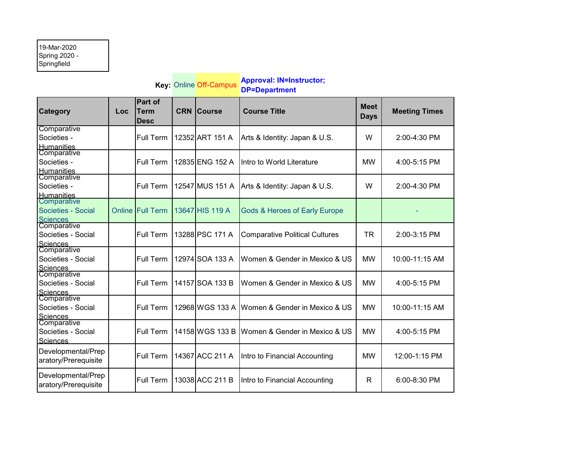## 19-Mar-2020 Spring 2020 - Springfield

|                                                      |     |                                              |            | Key: Online Off-Campus | <b>Approval: IN=Instructor;</b><br><b>DP=Department</b> |                            |                      |
|------------------------------------------------------|-----|----------------------------------------------|------------|------------------------|---------------------------------------------------------|----------------------------|----------------------|
| <b>Category</b>                                      | Loc | <b>Part of</b><br><b>Term</b><br><b>Desc</b> | <b>CRN</b> | <b>Course</b>          | <b>Course Title</b>                                     | <b>Meet</b><br><b>Days</b> | <b>Meeting Times</b> |
| Comparative<br>Societies -<br>Humanities             |     | <b>Full Term</b>                             |            | 12352 ART 151 A        | Arts & Identity: Japan & U.S.                           | W                          | 2:00-4:30 PM         |
| Comparative<br>Societies -<br><b>Humanities</b>      |     | Full Term                                    |            | 12835 ENG 152 A        | Intro to World Literature                               | <b>MW</b>                  | 4:00-5:15 PM         |
| Comparative<br>Societies -<br><b>Humanities</b>      |     | Full Term                                    |            | 12547 MUS 151 A        | Arts & Identity: Japan & U.S.                           | W                          | 2:00-4:30 PM         |
| Comparative<br>Societies - Social<br><b>Sciences</b> |     | <b>Online Full Term</b>                      |            | 13647 HIS 119 A        | <b>Gods &amp; Heroes of Early Europe</b>                |                            |                      |
| Comparative<br>Societies - Social<br><b>Sciences</b> |     | Full Term                                    |            | 13288 PSC 171 A        | <b>Comparative Political Cultures</b>                   | <b>TR</b>                  | 2:00-3:15 PM         |
| Comparative<br>Societies - Social<br><b>Sciences</b> |     | Full Term                                    |            | 12974 SOA 133 A        | Women & Gender in Mexico & US                           | <b>MW</b>                  | 10:00-11:15 AM       |
| Comparative<br>Societies - Social<br><b>Sciences</b> |     | <b>Full Term</b>                             |            | 14157 SOA 133 B        | Women & Gender in Mexico & US                           | <b>MW</b>                  | 4:00-5:15 PM         |
| Comparative<br>Societies - Social<br>Sciences        |     | <b>Full Term</b>                             |            | 12968 WGS 133 A        | Women & Gender in Mexico & US                           | <b>MW</b>                  | 10:00-11:15 AM       |
| Comparative<br>Societies - Social<br><b>Sciences</b> |     | Full Term                                    |            | 14158 WGS 133 B        | Women & Gender in Mexico & US                           | <b>MW</b>                  | 4:00-5:15 PM         |
| Developmental/Prep<br>aratory/Prerequisite           |     | <b>Full Term</b>                             |            | 14367 ACC 211 A        | Intro to Financial Accounting                           | <b>MW</b>                  | 12:00-1:15 PM        |
| Developmental/Prep<br>aratory/Prerequisite           |     | Full Term                                    |            | 13038 ACC 211 B        | Intro to Financial Accounting                           | R                          | 6:00-8:30 PM         |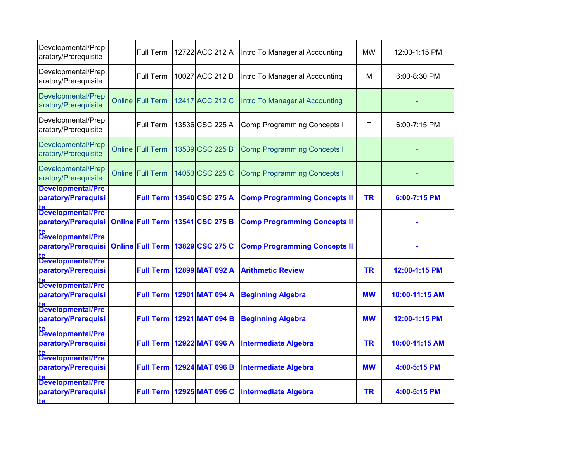| Developmental/Prep<br>aratory/Prerequisite            |        | <b>Full Term</b>        | 12722 ACC 212 A                  | Intro To Managerial Accounting      | <b>MW</b> | 12:00-1:15 PM  |
|-------------------------------------------------------|--------|-------------------------|----------------------------------|-------------------------------------|-----------|----------------|
| Developmental/Prep<br>aratory/Prerequisite            |        | Full Term               | 10027 ACC 212 B                  | Intro To Managerial Accounting      | м         | 6:00-8:30 PM   |
| Developmental/Prep<br>aratory/Prerequisite            | Online | <b>Full Term</b>        | 12417 ACC 212 C                  | Intro To Managerial Accounting      |           |                |
| Developmental/Prep<br>aratory/Prerequisite            |        | Full Term               | 13536 CSC 225 A                  | <b>Comp Programming Concepts I</b>  | Τ         | 6:00-7:15 PM   |
| Developmental/Prep<br>aratory/Prerequisite            | Online | <b>Full Term</b>        | 13539 CSC 225 B                  | <b>Comp Programming Concepts I</b>  |           |                |
| Developmental/Prep<br>aratory/Prerequisite            |        | <b>Online Full Term</b> | 14053 CSC 225 C                  | <b>Comp Programming Concepts I</b>  |           |                |
| <b>Developmental/Pre</b><br>paratory/Prerequisi       |        | <b>Full Term</b>        | 13540 CSC 275 A                  | <b>Comp Programming Concepts II</b> | <b>TR</b> | 6:00-7:15 PM   |
| Developmental/Pre<br>paratory/Prerequisi              |        |                         | Online Full Term 13541 CSC 275 B | <b>Comp Programming Concepts II</b> |           |                |
| Developmental/Pre<br>paratory/Prerequisi              |        | <b>Online Full Term</b> | 13829 CSC 275 C                  | <b>Comp Programming Concepts II</b> |           |                |
| Developmental/Pre<br>paratory/Prerequisi              |        | <b>Full Term</b>        | 12899 MAT 092 A                  | <b>Arithmetic Review</b>            | <b>TR</b> | 12:00-1:15 PM  |
| Developmental/Pre<br>paratory/Prerequisi              |        | <b>Full Term</b>        | 12901 MAT 094 A                  | <b>Beginning Algebra</b>            | <b>MW</b> | 10:00-11:15 AM |
| Developmental/Pre<br>paratory/Prerequisi              |        | <b>Full Term</b>        | 12921 MAT 094 B                  | <b>Beginning Algebra</b>            | <b>MW</b> | 12:00-1:15 PM  |
| Developmental/Pre<br>paratory/Prerequisi              |        | <b>Full Term</b>        | 12922 MAT 096 A                  | <b>Intermediate Algebra</b>         | <b>TR</b> | 10:00-11:15 AM |
| Developmental/Pre<br>paratory/Prerequisi              |        | <b>Full Term</b>        | 12924 MAT 096 B                  | <b>Intermediate Algebra</b>         | <b>MW</b> | 4:00-5:15 PM   |
| Developmental/Pre<br>paratory/Prerequisi<br><b>te</b> |        | <b>Full Term</b>        | 12925 MAT 096 C                  | <b>Intermediate Algebra</b>         | <b>TR</b> | 4:00-5:15 PM   |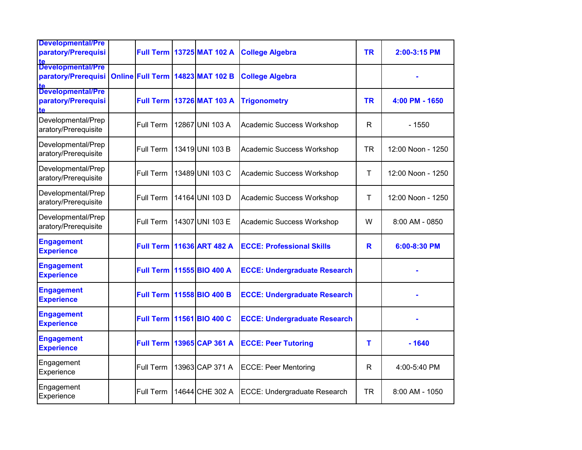| <b>Developmental/Pre</b><br>paratory/Prerequisi                | <b>Full Term</b> | 13725 MAT 102 A                  | <b>College Algebra</b>              | <b>TR</b>    | 2:00-3:15 PM      |
|----------------------------------------------------------------|------------------|----------------------------------|-------------------------------------|--------------|-------------------|
| lte<br>  <mark>Developmental/Pre</mark><br>paratory/Prerequisi |                  | Online Full Term 14823 MAT 102 B | <b>College Algebra</b>              |              |                   |
| Developmental/Pre<br>paratory/Prerequisi<br>te                 |                  | <b>Full Term 13726 MAT 103 A</b> | <b>Trigonometry</b>                 | <b>TR</b>    | 4:00 PM - 1650    |
| Developmental/Prep<br>aratory/Prerequisite                     | Full Term        | 12867 UNI 103 A                  | Academic Success Workshop           | R            | - 1550            |
| Developmental/Prep<br>aratory/Prerequisite                     | Full Term        | 13419 UNI 103 B                  | Academic Success Workshop           | <b>TR</b>    | 12:00 Noon - 1250 |
| Developmental/Prep<br>aratory/Prerequisite                     | Full Term        | 13489 UNI 103 C                  | Academic Success Workshop           | Τ            | 12:00 Noon - 1250 |
| Developmental/Prep<br>aratory/Prerequisite                     | Full Term        | 14164 UNI 103 D                  | Academic Success Workshop           | $\mathsf{T}$ | 12:00 Noon - 1250 |
| Developmental/Prep<br>aratory/Prerequisite                     | Full Term        | 14307 UNI 103 E                  | Academic Success Workshop           | W            | 8:00 AM - 0850    |
| <b>Engagement</b><br><b>Experience</b>                         | <b>Full Term</b> | 11636 ART 482 A                  | <b>ECCE: Professional Skills</b>    | $\mathbf R$  | 6:00-8:30 PM      |
| <b>Engagement</b><br><b>Experience</b>                         | <b>Full Term</b> | 11555 BIO 400 A                  | <b>ECCE: Undergraduate Research</b> |              |                   |
| <b>Engagement</b><br><b>Experience</b>                         | <b>Full Term</b> | 11558 BIO 400 B                  | <b>ECCE: Undergraduate Research</b> |              |                   |
| <b>Engagement</b><br><b>Experience</b>                         | <b>Full Term</b> | 11561 BIO 400 C                  | <b>ECCE: Undergraduate Research</b> |              |                   |
| <b>Engagement</b><br><b>Experience</b>                         | <b>Full Term</b> | 13965 CAP 361 A                  | <b>ECCE: Peer Tutoring</b>          | т            | $-1640$           |
| Engagement<br>Experience                                       | Full Term        | 13963 CAP 371 A                  | <b>ECCE: Peer Mentoring</b>         | R            | 4:00-5:40 PM      |
| Engagement<br>Experience                                       | Full Term        | 14644 CHE 302 A                  | ECCE: Undergraduate Research        | TR           | 8:00 AM - 1050    |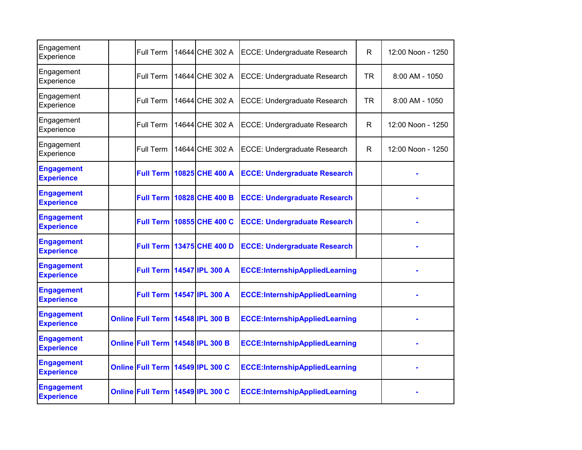| Engagement<br>Experience               | Full Term                        | 14644 CHE 302 A                    | ECCE: Undergraduate Research          | R            | 12:00 Noon - 1250 |
|----------------------------------------|----------------------------------|------------------------------------|---------------------------------------|--------------|-------------------|
| Engagement<br>Experience               | Full Term                        | 14644 CHE 302 A                    | ECCE: Undergraduate Research          | <b>TR</b>    | $8:00$ AM - 1050  |
| Engagement<br>Experience               | Full Term                        | 14644 CHE 302 A                    | ECCE: Undergraduate Research          | <b>TR</b>    | 8:00 AM - 1050    |
| Engagement<br>Experience               | Full Term                        | 14644 CHE 302 A                    | ECCE: Undergraduate Research          | $\mathsf{R}$ | 12:00 Noon - 1250 |
| Engagement<br>Experience               | Full Term                        | 14644 CHE 302 A                    | ECCE: Undergraduate Research          | $\mathsf{R}$ | 12:00 Noon - 1250 |
| <b>Engagement</b><br><b>Experience</b> |                                  | <b>Full Term   10825 CHE 400 A</b> | <b>ECCE: Undergraduate Research</b>   |              |                   |
| <b>Engagement</b><br><b>Experience</b> | <b>Full Term</b>                 | 10828 CHE 400 B                    | <b>ECCE: Undergraduate Research</b>   |              |                   |
| <b>Engagement</b><br><b>Experience</b> |                                  | <b>Full Term 10855 CHE 400 C</b>   | <b>ECCE: Undergraduate Research</b>   |              |                   |
| <b>Engagement</b><br><b>Experience</b> |                                  | <b>Full Term 13475 CHE 400 D</b>   | <b>ECCE: Undergraduate Research</b>   |              |                   |
| <b>Engagement</b><br><b>Experience</b> |                                  | Full Term   14547 IPL 300 A        | <b>ECCE:InternshipAppliedLearning</b> |              |                   |
| <b>Engagement</b><br><b>Experience</b> |                                  | Full Term   14547 IPL 300 A        | <b>ECCE:InternshipAppliedLearning</b> |              |                   |
| <b>Engagement</b><br><b>Experience</b> | Online Full Term 14548 IPL 300 B |                                    | <b>ECCE:InternshipAppliedLearning</b> |              |                   |
| <b>Engagement</b><br><b>Experience</b> | Online Full Term 14548 IPL 300 B |                                    | <b>ECCE:InternshipAppliedLearning</b> |              |                   |
| <b>Engagement</b><br><b>Experience</b> | Online Full Term 14549 IPL 300 C |                                    | <b>ECCE:InternshipAppliedLearning</b> |              |                   |
| <b>Engagement</b><br><b>Experience</b> | Online Full Term 14549 IPL 300 C |                                    | <b>ECCE:InternshipAppliedLearning</b> |              |                   |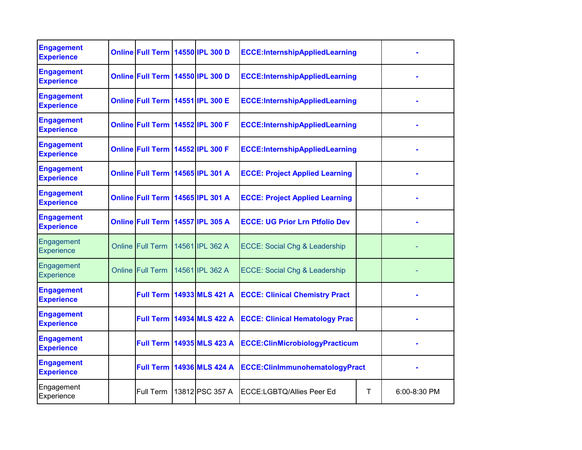| <b>Engagement</b><br><b>Experience</b> | Online Full Term 14550 IPL 300 D |                                    | <b>ECCE:InternshipAppliedLearning</b>    |   |              |
|----------------------------------------|----------------------------------|------------------------------------|------------------------------------------|---|--------------|
| <b>Engagement</b><br><b>Experience</b> | Online Full Term 14550 IPL 300 D |                                    | <b>ECCE:InternshipAppliedLearning</b>    |   |              |
| <b>Engagement</b><br><b>Experience</b> | Online Full Term 14551 IPL 300 E |                                    | <b>ECCE:InternshipAppliedLearning</b>    |   |              |
| <b>Engagement</b><br><b>Experience</b> | Online Full Term 14552 IPL 300 F |                                    | <b>ECCE:InternshipAppliedLearning</b>    |   |              |
| <b>Engagement</b><br><b>Experience</b> | Online Full Term 14552 IPL 300 F |                                    | <b>ECCE:InternshipAppliedLearning</b>    |   |              |
| <b>Engagement</b><br><b>Experience</b> | Online Full Term 14565 IPL 301 A |                                    | <b>ECCE: Project Applied Learning</b>    |   |              |
| <b>Engagement</b><br><b>Experience</b> | Online Full Term 14565 IPL 301 A |                                    | <b>ECCE: Project Applied Learning</b>    |   |              |
| <b>Engagement</b><br><b>Experience</b> | Online Full Term 14557 IPL 305 A |                                    | <b>ECCE: UG Prior Lrn Ptfolio Dev</b>    |   |              |
| Engagement<br><b>Experience</b>        | <b>Online Full Term</b>          | 14561 IPL 362 A                    | <b>ECCE: Social Chg &amp; Leadership</b> |   |              |
| Engagement<br>Experience               | <b>Online Full Term</b>          | 14561 IPL 362 A                    | <b>ECCE: Social Chg &amp; Leadership</b> |   |              |
| <b>Engagement</b><br><b>Experience</b> |                                  | <b>Full Term 14933 MLS 421 A</b>   | <b>ECCE: Clinical Chemistry Pract</b>    |   |              |
| <b>Engagement</b><br><b>Experience</b> |                                  | <b>Full Term   14934 MLS 422 A</b> | <b>ECCE: Clinical Hematology Prac</b>    |   |              |
| <b>Engagement</b><br><b>Experience</b> |                                  | <b>Full Term 14935 MLS 423 A</b>   | <b>ECCE:ClinMicrobiologyPracticum</b>    |   |              |
| <b>Engagement</b><br><b>Experience</b> | <b>Full Term</b>                 | 14936 MLS 424 A                    | ECCE:ClinImmunohematologyPract           |   |              |
| Engagement<br>Experience               | Full Term                        | 13812 PSC 357 A                    | ECCE:LGBTQ/Allies Peer Ed                | т | 6:00-8:30 PM |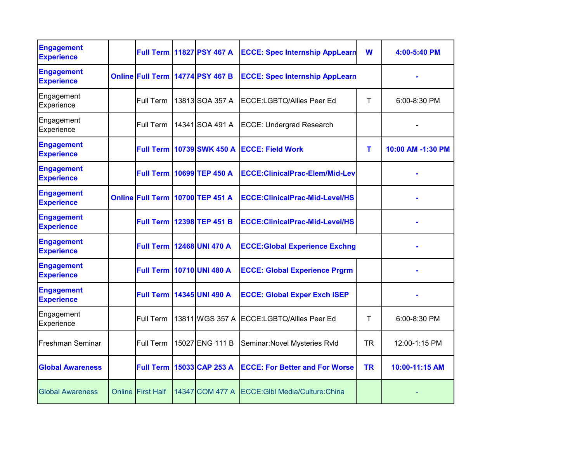| <b>Engagement</b><br><b>Experience</b> | <b>Full Term</b>         | 11827 PSY 467 A                  | <b>ECCE: Spec Internship AppLearn</b>  | W         | 4:00-5:40 PM      |
|----------------------------------------|--------------------------|----------------------------------|----------------------------------------|-----------|-------------------|
| <b>Engagement</b><br><b>Experience</b> |                          | Online Full Term 14774 PSY 467 B | <b>ECCE: Spec Internship AppLearn</b>  |           |                   |
| Engagement<br>Experience               | Full Term                | 13813 SOA 357 A                  | ECCE:LGBTQ/Allies Peer Ed              | т         | 6:00-8:30 PM      |
| Engagement<br>Experience               | Full Term                | 14341 SOA 491 A                  | <b>ECCE: Undergrad Research</b>        |           |                   |
| <b>Engagement</b><br><b>Experience</b> | <b>Full Term</b>         | 10739 SWK 450 A                  | <b>ECCE: Field Work</b>                | Τ         | 10:00 AM -1:30 PM |
| <b>Engagement</b><br><b>Experience</b> | <b>Full Term</b>         | 10699 TEP 450 A                  | <b>ECCE:ClinicalPrac-Elem/Mid-Lev</b>  |           |                   |
| <b>Engagement</b><br><b>Experience</b> | <b>Online Full Term</b>  | 10700 TEP 451 A                  | <b>ECCE: ClinicalPrac-Mid-Level/HS</b> |           |                   |
| <b>Engagement</b><br><b>Experience</b> | <b>Full Term</b>         | 12398 TEP 451 B                  | <b>ECCE:ClinicalPrac-Mid-Level/HS</b>  |           |                   |
| <b>Engagement</b><br><b>Experience</b> | <b>Full Term</b>         | 12468 UNI 470 A                  | <b>ECCE: Global Experience Exchng</b>  |           |                   |
| <b>Engagement</b><br><b>Experience</b> | <b>Full Term</b>         | 10710 UNI 480 A                  | <b>ECCE: Global Experience Prgrm</b>   |           |                   |
| <b>Engagement</b><br><b>Experience</b> | <b>Full Term</b>         | 14345 UNI 490 A                  | <b>ECCE: Global Exper Exch ISEP</b>    |           |                   |
| Engagement<br>Experience               | Full Term                | 13811 WGS 357 A                  | ECCE:LGBTQ/Allies Peer Ed              | т         | 6:00-8:30 PM      |
| Freshman Seminar                       | Full Term                | 15027 ENG 111 B                  | Seminar: Novel Mysteries Rvld          | <b>TR</b> | 12:00-1:15 PM     |
| <b>Global Awareness</b>                | <b>Full Term</b>         | 15033 CAP 253 A                  | <b>ECCE: For Better and For Worse</b>  | <b>TR</b> | 10:00-11:15 AM    |
| <b>Global Awareness</b>                | <b>Online First Half</b> | 14347 COM 477 A                  | <b>ECCE: GIbl Media/Culture: China</b> |           |                   |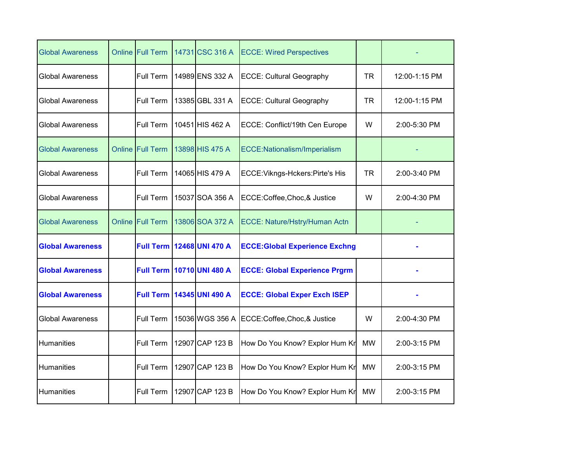| <b>Global Awareness</b> |        | <b>Online Full Term</b> | 14731 CSC 316 A                  | <b>ECCE: Wired Perspectives</b>       |           |               |
|-------------------------|--------|-------------------------|----------------------------------|---------------------------------------|-----------|---------------|
| <b>Global Awareness</b> |        | Full Term               | 14989 ENS 332 A                  | <b>ECCE: Cultural Geography</b>       | TR        | 12:00-1:15 PM |
| <b>Global Awareness</b> |        | Full Term               | 13385 GBL 331 A                  | <b>ECCE: Cultural Geography</b>       | <b>TR</b> | 12:00-1:15 PM |
| <b>Global Awareness</b> |        | Full Term               | 10451 HIS 462 A                  | ECCE: Conflict/19th Cen Europe        | W         | 2:00-5:30 PM  |
| <b>Global Awareness</b> | Online | <b>Full Term</b>        | 13898 HIS 475 A                  | ECCE:Nationalism/Imperialism          |           |               |
| <b>Global Awareness</b> |        | Full Term               | 14065 HIS 479 A                  | ECCE: Vikngs-Hckers: Pirte's His      | <b>TR</b> | 2:00-3:40 PM  |
| <b>Global Awareness</b> |        | Full Term               | 15037 SOA 356 A                  | ECCE:Coffee,Choc,& Justice            | W         | 2:00-4:30 PM  |
| <b>Global Awareness</b> |        | Online Full Term        | 13806 SOA 372 A                  | ECCE: Nature/Hstry/Human Actn         |           |               |
| <b>Global Awareness</b> |        | <b>Full Term</b>        | 12468 UNI 470 A                  | <b>ECCE: Global Experience Exchng</b> |           |               |
| <b>Global Awareness</b> |        |                         | <b>Full Term 10710 UNI 480 A</b> | <b>ECCE: Global Experience Prgrm</b>  |           |               |
| <b>Global Awareness</b> |        | <b>Full Term</b>        | 14345 UNI 490 A                  | <b>ECCE: Global Exper Exch ISEP</b>   |           |               |
| <b>Global Awareness</b> |        | Full Term               | 15036 WGS 356 A                  | ECCE:Coffee,Choc,& Justice            | W         | 2:00-4:30 PM  |
| Humanities              |        | Full Term               | 12907 CAP 123 B                  | How Do You Know? Explor Hum Kr        | <b>MW</b> | 2:00-3:15 PM  |
| Humanities              |        | Full Term               | 12907 CAP 123 B                  | How Do You Know? Explor Hum Kr        | <b>MW</b> | 2:00-3:15 PM  |
| Humanities              |        | Full Term               | 12907 CAP 123 B                  | How Do You Know? Explor Hum Kr        | <b>MW</b> | 2:00-3:15 PM  |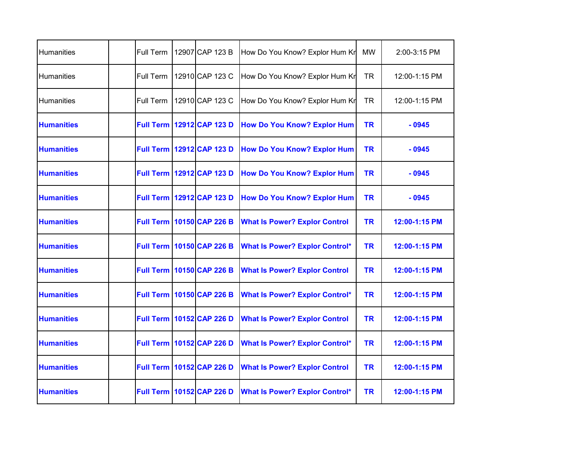| Humanities        | Full Term | 12907 CAP 123 B                    | How Do You Know? Explor Hum Kr        | <b>MW</b> | 2:00-3:15 PM  |
|-------------------|-----------|------------------------------------|---------------------------------------|-----------|---------------|
| Humanities        | Full Term | 12910 CAP 123 C                    | How Do You Know? Explor Hum Kr        | <b>TR</b> | 12:00-1:15 PM |
| <b>Humanities</b> | Full Term | 12910 CAP 123 C                    | How Do You Know? Explor Hum Kr        | <b>TR</b> | 12:00-1:15 PM |
| <b>Humanities</b> |           | <b>Full Term   12912 CAP 123 D</b> | <b>How Do You Know? Explor Hum</b>    | <b>TR</b> | $-0945$       |
| <b>Humanities</b> |           | Full Term 12912 CAP 123 D          | <b>How Do You Know? Explor Hum</b>    | <b>TR</b> | $-0945$       |
| <b>Humanities</b> |           | Full Term 12912 CAP 123 D          | <b>How Do You Know? Explor Hum</b>    | <b>TR</b> | $-0945$       |
| <b>Humanities</b> |           | Full Term 12912 CAP 123 D          | <b>How Do You Know? Explor Hum</b>    | <b>TR</b> | $-0945$       |
| <b>Humanities</b> |           | <b>Full Term   10150 CAP 226 B</b> | <b>What Is Power? Explor Control</b>  | <b>TR</b> | 12:00-1:15 PM |
| <b>Humanities</b> |           | <b>Full Term 10150 CAP 226 B</b>   | <b>What Is Power? Explor Control*</b> | <b>TR</b> | 12:00-1:15 PM |
| <b>Humanities</b> |           | <b>Full Term   10150 CAP 226 B</b> | <b>What Is Power? Explor Control</b>  | <b>TR</b> | 12:00-1:15 PM |
| <b>Humanities</b> |           | <b>Full Term 10150 CAP 226 B</b>   | <b>What Is Power? Explor Control*</b> | <b>TR</b> | 12:00-1:15 PM |
| <b>Humanities</b> |           | <b>Full Term 10152 CAP 226 D</b>   | <b>What Is Power? Explor Control</b>  | <b>TR</b> | 12:00-1:15 PM |
| <b>Humanities</b> |           | <b>Full Term 10152 CAP 226 D</b>   | <b>What Is Power? Explor Control*</b> | <b>TR</b> | 12:00-1:15 PM |
| <b>Humanities</b> |           | <b>Full Term 10152 CAP 226 D</b>   | <b>What Is Power? Explor Control</b>  | <b>TR</b> | 12:00-1:15 PM |
| <b>Humanities</b> |           | <b>Full Term 10152 CAP 226 D</b>   | <b>What Is Power? Explor Control*</b> | <b>TR</b> | 12:00-1:15 PM |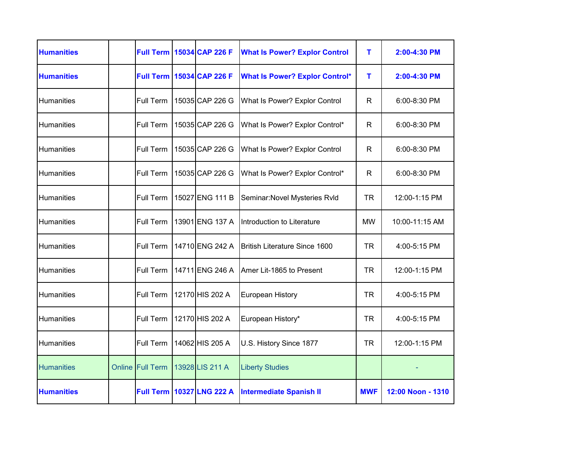| <b>Humanities</b> |                         | <b>Full Term 15034 CAP 226 F</b> | <b>What Is Power? Explor Control</b>  | т          | 2:00-4:30 PM      |
|-------------------|-------------------------|----------------------------------|---------------------------------------|------------|-------------------|
| <b>Humanities</b> |                         | <b>Full Term 15034 CAP 226 F</b> | <b>What Is Power? Explor Control*</b> | т          | 2:00-4:30 PM      |
| Humanities        | <b>Full Term</b>        | 15035 CAP 226 G                  | What Is Power? Explor Control         | R          | $6:00 - 8:30$ PM  |
| Humanities        | Full Term               | 15035 CAP 226 G                  | What Is Power? Explor Control*        | R          | $6:00 - 8:30$ PM  |
| Humanities        | <b>Full Term</b>        | 15035 CAP 226 G                  | What Is Power? Explor Control         | R          | 6:00-8:30 PM      |
| Humanities        | Full Term               | 15035 CAP 226 G                  | What Is Power? Explor Control*        | R.         | 6:00-8:30 PM      |
| Humanities        | <b>Full Term</b>        | 15027 ENG 111 B                  | Seminar: Novel Mysteries Rvld         | TR         | 12:00-1:15 PM     |
| Humanities        | Full Term               | 13901 ENG 137 A                  | Introduction to Literature            | <b>MW</b>  | 10:00-11:15 AM    |
| Humanities        | <b>Full Term</b>        | 14710 ENG 242 A                  | <b>British Literature Since 1600</b>  | <b>TR</b>  | 4:00-5:15 PM      |
| Humanities        | Full Term               | 14711 ENG 246 A                  | Amer Lit-1865 to Present              | <b>TR</b>  | 12:00-1:15 PM     |
| <b>Humanities</b> | Full Term               | 12170 HIS 202 A                  | <b>European History</b>               | <b>TR</b>  | 4:00-5:15 PM      |
| Humanities        | Full Term               | 12170 HIS 202 A                  | European History*                     | <b>TR</b>  | 4:00-5:15 PM      |
| <b>Humanities</b> | <b>Full Term</b>        | 14062 HIS 205 A                  | U.S. History Since 1877               | <b>TR</b>  | 12:00-1:15 PM     |
| <b>Humanities</b> | <b>Online Full Term</b> | 13928 LIS 211 A                  | <b>Liberty Studies</b>                |            |                   |
| <b>Humanities</b> | <b>Full Term</b>        | 10327 LNG 222 A                  | <b>Intermediate Spanish II</b>        | <b>MWF</b> | 12:00 Noon - 1310 |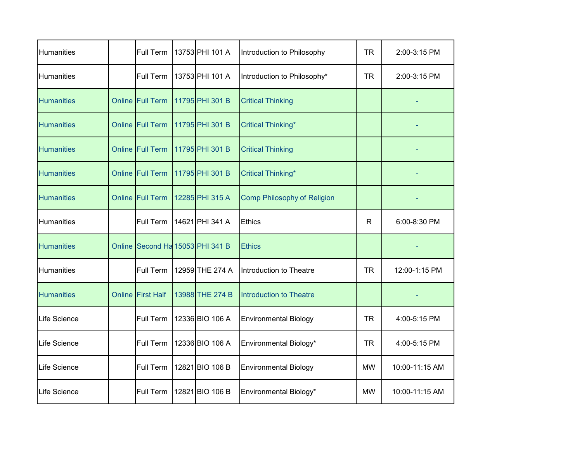| Humanities        |        | Full Term                 | 13753 PHI 101 A | Introduction to Philosophy         | <b>TR</b>    | 2:00-3:15 PM   |
|-------------------|--------|---------------------------|-----------------|------------------------------------|--------------|----------------|
| Humanities        |        | Full Term                 | 13753 PHI 101 A | Introduction to Philosophy*        | <b>TR</b>    | 2:00-3:15 PM   |
| <b>Humanities</b> |        | <b>Online Full Term</b>   | 11795 PHI 301 B | <b>Critical Thinking</b>           |              |                |
| <b>Humanities</b> |        | <b>Online Full Term</b>   | 11795 PHI 301 B | <b>Critical Thinking*</b>          |              |                |
| <b>Humanities</b> |        | <b>Online Full Term</b>   | 11795 PHI 301 B | <b>Critical Thinking</b>           |              |                |
| <b>Humanities</b> |        | <b>Online Full Term</b>   | 11795 PHI 301 B | <b>Critical Thinking*</b>          |              |                |
| <b>Humanities</b> | Online | <b>Full Term</b>          | 12285 PHI 315 A | <b>Comp Philosophy of Religion</b> |              |                |
| <b>Humanities</b> |        | Full Term                 | 14621 PHI 341 A | <b>Ethics</b>                      | $\mathsf{R}$ | 6:00-8:30 PM   |
| <b>Humanities</b> | Online | Second Ha 15053 PHI 341 B |                 | <b>Ethics</b>                      |              |                |
| Humanities        |        | Full Term                 | 12959 THE 274 A | Introduction to Theatre            | <b>TR</b>    | 12:00-1:15 PM  |
| <b>Humanities</b> | Online | <b>First Half</b>         | 13988 THE 274 B | <b>Introduction to Theatre</b>     |              |                |
| Life Science      |        | Full Term                 | 12336 BIO 106 A | <b>Environmental Biology</b>       | <b>TR</b>    | 4:00-5:15 PM   |
| Life Science      |        | Full Term                 | 12336 BIO 106 A | Environmental Biology*             | TR           | 4:00-5:15 PM   |
| Life Science      |        | Full Term                 | 12821 BIO 106 B | <b>Environmental Biology</b>       | <b>MW</b>    | 10:00-11:15 AM |
| Life Science      |        | Full Term                 | 12821 BIO 106 B | Environmental Biology*             | <b>MW</b>    | 10:00-11:15 AM |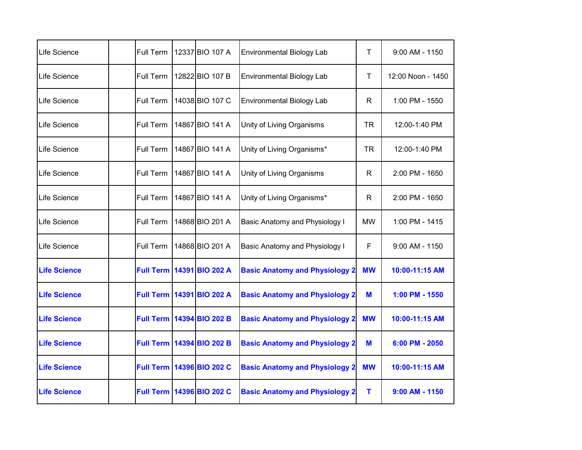| Life Science          | Full Term        | 12337 BIO 107 A           | <b>Environmental Biology Lab</b>      | Τ         | $9:00$ AM - 1150  |
|-----------------------|------------------|---------------------------|---------------------------------------|-----------|-------------------|
| Life Science          | Full Term        | 12822 BIO 107 B           | <b>Environmental Biology Lab</b>      | Τ         | 12:00 Noon - 1450 |
| lLife Science         | <b>Full Term</b> | 14038 BIO 107 C           | <b>Environmental Biology Lab</b>      | R         | 1:00 PM - 1550    |
| Life Science          | Full Term        | 14867 BIO 141 A           | Unity of Living Organisms             | <b>TR</b> | 12:00-1:40 PM     |
| <b>Life Science</b>   | Full Term        | 14867 BIO 141 A           | Unity of Living Organisms*            | <b>TR</b> | 12:00-1:40 PM     |
| <b>I</b> Life Science | Full Term        | 14867 BIO 141 A           | Unity of Living Organisms             | R.        | 2:00 PM - 1650    |
| <b>Life Science</b>   | Full Term        | 14867 BIO 141 A           | Unity of Living Organisms*            | R         | 2:00 PM - 1650    |
| <b>Life Science</b>   | Full Term        | 14868 BIO 201 A           | Basic Anatomy and Physiology I        | <b>MW</b> | 1:00 PM - 1415    |
| <b>Life Science</b>   | Full Term        | 14868 BIO 201 A           | <b>Basic Anatomy and Physiology I</b> | F         | $9:00$ AM - 1150  |
| <b>Life Science</b>   |                  | Full Term 14391 BIO 202 A | <b>Basic Anatomy and Physiology 2</b> | <b>MW</b> | 10:00-11:15 AM    |
| <b>Life Science</b>   |                  | Full Term 14391 BIO 202 A | <b>Basic Anatomy and Physiology 2</b> | M         | 1:00 PM - 1550    |
| <b>Life Science</b>   |                  | Full Term 14394 BIO 202 B | <b>Basic Anatomy and Physiology 2</b> | <b>MW</b> | 10:00-11:15 AM    |
| <b>Life Science</b>   |                  | Full Term 14394 BIO 202 B | <b>Basic Anatomy and Physiology 2</b> | M         | 6:00 PM - 2050    |
| <b>Life Science</b>   |                  | Full Term 14396 BIO 202 C | <b>Basic Anatomy and Physiology 2</b> | <b>MW</b> | 10:00-11:15 AM    |
| <b>Life Science</b>   |                  | Full Term 14396 BIO 202 C | <b>Basic Anatomy and Physiology 2</b> | т         | $9:00$ AM - 1150  |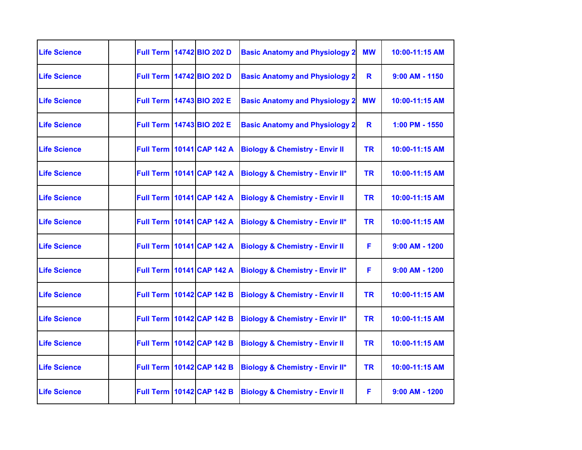| <b>Life Science</b> |  | Full Term 14742 BIO 202 D          | <b>Basic Anatomy and Physiology 2</b>      | <b>MW</b> | 10:00-11:15 AM   |
|---------------------|--|------------------------------------|--------------------------------------------|-----------|------------------|
| <b>Life Science</b> |  | Full Term 14742 BIO 202 D          | <b>Basic Anatomy and Physiology 2</b>      | R         | $9:00$ AM - 1150 |
| <b>Life Science</b> |  | Full Term 14743 BIO 202 E          | <b>Basic Anatomy and Physiology 2</b>      | <b>MW</b> | 10:00-11:15 AM   |
| <b>Life Science</b> |  | Full Term 14743 BIO 202 E          | <b>Basic Anatomy and Physiology 2</b>      | R         | 1:00 PM - 1550   |
| <b>Life Science</b> |  | <b>Full Term 10141 CAP 142 A</b>   | <b>Biology &amp; Chemistry - Envir II</b>  | <b>TR</b> | 10:00-11:15 AM   |
| <b>Life Science</b> |  | <b>Full Term   10141 CAP 142 A</b> | <b>Biology &amp; Chemistry - Envir II*</b> | <b>TR</b> | 10:00-11:15 AM   |
| <b>Life Science</b> |  | <b>Full Term   10141 CAP 142 A</b> | <b>Biology &amp; Chemistry - Envir II</b>  | <b>TR</b> | 10:00-11:15 AM   |
| <b>Life Science</b> |  | <b>Full Term   10141 CAP 142 A</b> | <b>Biology &amp; Chemistry - Envir II*</b> | <b>TR</b> | 10:00-11:15 AM   |
| <b>Life Science</b> |  | <b>Full Term   10141 CAP 142 A</b> | <b>Biology &amp; Chemistry - Envir II</b>  | F         | $9:00$ AM - 1200 |
| <b>Life Science</b> |  | <b>Full Term   10141 CAP 142 A</b> | <b>Biology &amp; Chemistry - Envir II*</b> | F         | $9:00$ AM - 1200 |
| <b>Life Science</b> |  | <b>Full Term 10142 CAP 142 B</b>   | <b>Biology &amp; Chemistry - Envir II</b>  | <b>TR</b> | 10:00-11:15 AM   |
| <b>Life Science</b> |  | <b>Full Term   10142 CAP 142 B</b> | <b>Biology &amp; Chemistry - Envir II*</b> | <b>TR</b> | 10:00-11:15 AM   |
| <b>Life Science</b> |  | <b>Full Term 10142 CAP 142 B</b>   | <b>Biology &amp; Chemistry - Envir II</b>  | <b>TR</b> | 10:00-11:15 AM   |
| <b>Life Science</b> |  | <b>Full Term   10142 CAP 142 B</b> | <b>Biology &amp; Chemistry - Envir II*</b> | <b>TR</b> | 10:00-11:15 AM   |
| <b>Life Science</b> |  | <b>Full Term 10142 CAP 142 B</b>   | <b>Biology &amp; Chemistry - Envir II</b>  | F         | $9:00$ AM - 1200 |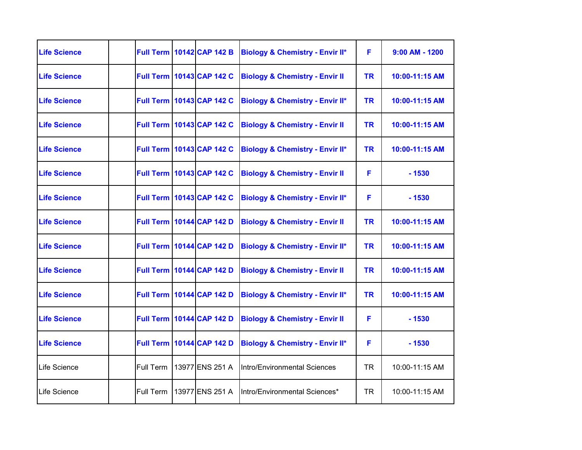| <b>Life Science</b> |           | <b>Full Term 10142 CAP 142 B</b>   | <b>Biology &amp; Chemistry - Envir II*</b> | F         | $9:00$ AM - 1200 |
|---------------------|-----------|------------------------------------|--------------------------------------------|-----------|------------------|
| <b>Life Science</b> |           | <b>Full Term   10143 CAP 142 C</b> | <b>Biology &amp; Chemistry - Envir II</b>  | <b>TR</b> | 10:00-11:15 AM   |
| <b>Life Science</b> |           | <b>Full Term 10143 CAP 142 C</b>   | <b>Biology &amp; Chemistry - Envir II*</b> | <b>TR</b> | 10:00-11:15 AM   |
| <b>Life Science</b> |           | <b>Full Term 10143 CAP 142 C</b>   | <b>Biology &amp; Chemistry - Envir II</b>  | <b>TR</b> | 10:00-11:15 AM   |
| <b>Life Science</b> |           | <b>Full Term 10143 CAP 142 C</b>   | <b>Biology &amp; Chemistry - Envir II*</b> | <b>TR</b> | 10:00-11:15 AM   |
| <b>Life Science</b> |           | <b>Full Term 10143 CAP 142 C</b>   | <b>Biology &amp; Chemistry - Envir II</b>  | F         | $-1530$          |
| <b>Life Science</b> |           | <b>Full Term 10143 CAP 142 C</b>   | <b>Biology &amp; Chemistry - Envir II*</b> | F         | $-1530$          |
| <b>Life Science</b> |           | <b>Full Term 10144 CAP 142 D</b>   | <b>Biology &amp; Chemistry - Envir II</b>  | <b>TR</b> | 10:00-11:15 AM   |
| <b>Life Science</b> |           | <b>Full Term 10144 CAP 142 D</b>   | <b>Biology &amp; Chemistry - Envir II*</b> | <b>TR</b> | 10:00-11:15 AM   |
| <b>Life Science</b> |           | <b>Full Term 10144 CAP 142 D</b>   | <b>Biology &amp; Chemistry - Envir II</b>  | <b>TR</b> | 10:00-11:15 AM   |
| <b>Life Science</b> |           | <b>Full Term 10144 CAP 142 D</b>   | <b>Biology &amp; Chemistry - Envir II*</b> | <b>TR</b> | 10:00-11:15 AM   |
| <b>Life Science</b> |           | <b>Full Term 10144 CAP 142 D</b>   | <b>Biology &amp; Chemistry - Envir II</b>  | F.        | $-1530$          |
| <b>Life Science</b> |           | <b>Full Term 10144 CAP 142 D</b>   | <b>Biology &amp; Chemistry - Envir II*</b> | F         | $-1530$          |
| <b>Life Science</b> | Full Term | 13977 ENS 251 A                    | Intro/Environmental Sciences               | TR        | 10:00-11:15 AM   |
| <b>Life Science</b> | Full Term | 13977 ENS 251 A                    | Intro/Environmental Sciences*              | TR        | 10:00-11:15 AM   |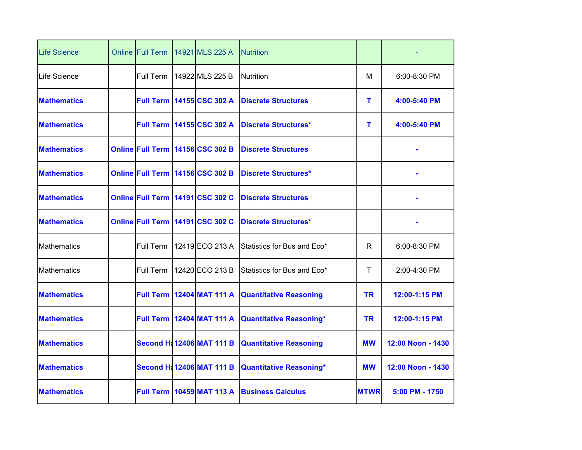| <b>Life Science</b> | <b>Online Full Term</b> | 14921 MLS 225 A                      | <b>Nutrition</b>               |             |                   |
|---------------------|-------------------------|--------------------------------------|--------------------------------|-------------|-------------------|
| Life Science        | Full Term               | 14922 MLS 225 B                      | <b>Nutrition</b>               | м           | $6:00 - 8:30$ PM  |
| <b>Mathematics</b>  |                         | <b>Full Term 14155 CSC 302 A</b>     | <b>Discrete Structures</b>     | т           | 4:00-5:40 PM      |
| <b>Mathematics</b>  |                         | <b>Full Term 14155 CSC 302 A</b>     | <b>Discrete Structures*</b>    | т           | 4:00-5:40 PM      |
| <b>Mathematics</b>  |                         | Online Full Term 14156 CSC 302 B     | <b>Discrete Structures</b>     |             |                   |
| <b>Mathematics</b>  |                         | Online Full Term 14156 CSC 302 B     | <b>Discrete Structures*</b>    |             |                   |
| <b>Mathematics</b>  |                         | Online Full Term 14191 CSC 302 C     | <b>Discrete Structures</b>     |             |                   |
| <b>Mathematics</b>  |                         | Online Full Term 14191 CSC 302 C     | <b>Discrete Structures*</b>    |             |                   |
| Mathematics         | Full Term               | 12419 ECO 213 A                      | Statistics for Bus and Eco*    | R           | 6:00-8:30 PM      |
| Mathematics         | Full Term               | 12420 ECO 213 B                      | Statistics for Bus and Eco*    | Τ           | 2:00-4:30 PM      |
| <b>Mathematics</b>  | <b>Full Term</b>        | 12404 MAT 111 A                      | <b>Quantitative Reasoning</b>  | <b>TR</b>   | 12:00-1:15 PM     |
| <b>Mathematics</b>  |                         | <b>Full Term 12404 MAT 111 A</b>     | <b>Quantitative Reasoning*</b> | <b>TR</b>   | 12:00-1:15 PM     |
| <b>Mathematics</b>  |                         | <b>Second H: 12406 MAT 111 B</b>     | <b>Quantitative Reasoning</b>  | <b>MW</b>   | 12:00 Noon - 1430 |
| <b>Mathematics</b>  |                         | <b>Second H&amp; 12406 MAT 111 B</b> | <b>Quantitative Reasoning*</b> | <b>MW</b>   | 12:00 Noon - 1430 |
| <b>Mathematics</b>  |                         | <b>Full Term   10459 MAT 113 A</b>   | <b>Business Calculus</b>       | <b>MTWR</b> | 5:00 PM - 1750    |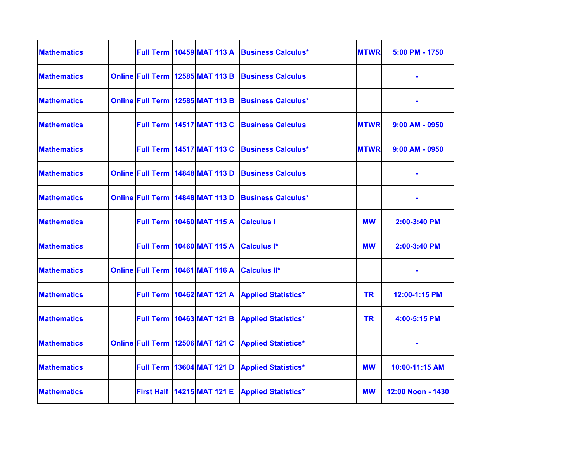| <b>Mathematics</b> |  | <b>Full Term   10459 MAT 113 A</b> | <b>Business Calculus*</b>  | <b>MTWR</b> | 5:00 PM - 1750    |
|--------------------|--|------------------------------------|----------------------------|-------------|-------------------|
| <b>Mathematics</b> |  | Online Full Term 12585 MAT 113 B   | <b>Business Calculus</b>   |             |                   |
| <b>Mathematics</b> |  | Online Full Term 12585 MAT 113 B   | <b>Business Calculus*</b>  |             |                   |
| <b>Mathematics</b> |  | <b>Full Term   14517 MAT 113 C</b> | <b>Business Calculus</b>   | <b>MTWR</b> | $9:00$ AM - 0950  |
| <b>Mathematics</b> |  | <b>Full Term   14517 MAT 113 C</b> | <b>Business Calculus*</b>  | <b>MTWR</b> | $9:00$ AM - 0950  |
| <b>Mathematics</b> |  | Online Full Term   14848 MAT 113 D | <b>Business Calculus</b>   |             |                   |
| <b>Mathematics</b> |  | Online Full Term 14848 MAT 113 D   | <b>Business Calculus*</b>  |             |                   |
| <b>Mathematics</b> |  | <b>Full Term   10460 MAT 115 A</b> | <b>Calculus I</b>          | <b>MW</b>   | 2:00-3:40 PM      |
| <b>Mathematics</b> |  | <b>Full Term   10460 MAT 115 A</b> | Calculus I*                | <b>MW</b>   | 2:00-3:40 PM      |
| <b>Mathematics</b> |  | Online Full Term 10461 MAT 116 A   | <b>Calculus II*</b>        |             |                   |
| <b>Mathematics</b> |  | <b>Full Term   10462 MAT 121 A</b> | <b>Applied Statistics*</b> | <b>TR</b>   | 12:00-1:15 PM     |
| <b>Mathematics</b> |  | <b>Full Term   10463 MAT 121 B</b> | <b>Applied Statistics*</b> | <b>TR</b>   | 4:00-5:15 PM      |
| <b>Mathematics</b> |  | Online Full Term 12506 MAT 121 C   | <b>Applied Statistics*</b> |             |                   |
| <b>Mathematics</b> |  | <b>Full Term   13604 MAT 121 D</b> | <b>Applied Statistics*</b> | <b>MW</b>   | 10:00-11:15 AM    |
| <b>Mathematics</b> |  | First Half   14215 MAT 121 E       | <b>Applied Statistics*</b> | <b>MW</b>   | 12:00 Noon - 1430 |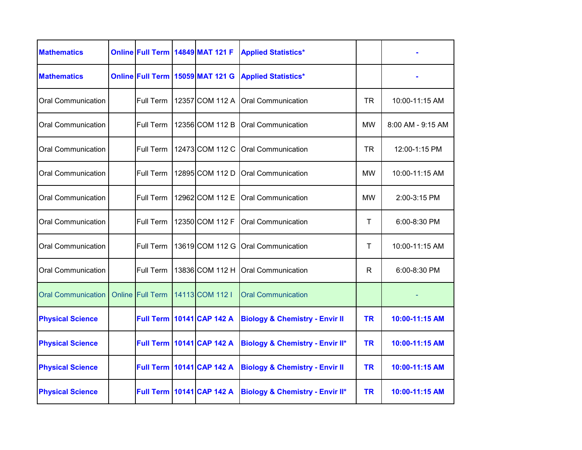| <b>Mathematics</b>        |                         | Online Full Term 14849 MAT 121 F   | <b>Applied Statistics*</b>                 |           |                   |
|---------------------------|-------------------------|------------------------------------|--------------------------------------------|-----------|-------------------|
| <b>Mathematics</b>        |                         | Online Full Term 15059 MAT 121 G   | <b>Applied Statistics*</b>                 |           |                   |
| <b>Oral Communication</b> | <b>Full Term</b>        | 12357 COM 112 A                    | <b>Oral Communication</b>                  | TR.       | 10:00-11:15 AM    |
| <b>Oral Communication</b> | Full Term               | 12356 COM 112 B                    | <b>Oral Communication</b>                  | MW        | 8:00 AM - 9:15 AM |
| <b>Oral Communication</b> | Full Term               | 12473 COM 112 C                    | <b>Oral Communication</b>                  | TR        | 12:00-1:15 PM     |
| <b>Oral Communication</b> | Full Term               | 12895 COM 112 D                    | Oral Communication                         | <b>MW</b> | 10:00-11:15 AM    |
| <b>Oral Communication</b> | <b>Full Term</b>        | 12962 COM 112 E                    | <b>Oral Communication</b>                  | <b>MW</b> | 2:00-3:15 PM      |
| <b>Oral Communication</b> | Full Term               | 12350 COM 112 F                    | <b>Oral Communication</b>                  | T         | 6:00-8:30 PM      |
| <b>Oral Communication</b> | Full Term               | 13619 COM 112 G                    | <b>Oral Communication</b>                  | T         | 10:00-11:15 AM    |
| <b>Oral Communication</b> | Full Term               | 13836 COM 112 H                    | <b>Oral Communication</b>                  | R         | 6:00-8:30 PM      |
| <b>Oral Communication</b> | <b>Online Full Term</b> | 14113 COM 112 I                    | <b>Oral Communication</b>                  |           |                   |
| <b>Physical Science</b>   |                         | <b>Full Term   10141 CAP 142 A</b> | <b>Biology &amp; Chemistry - Envir II</b>  | <b>TR</b> | 10:00-11:15 AM    |
| <b>Physical Science</b>   |                         | <b>Full Term 10141 CAP 142 A</b>   | <b>Biology &amp; Chemistry - Envir II*</b> | TR        | 10:00-11:15 AM    |
| <b>Physical Science</b>   |                         | <b>Full Term   10141 CAP 142 A</b> | <b>Biology &amp; Chemistry - Envir II</b>  | <b>TR</b> | 10:00-11:15 AM    |
| <b>Physical Science</b>   |                         | <b>Full Term   10141 CAP 142 A</b> | <b>Biology &amp; Chemistry - Envir II*</b> | <b>TR</b> | 10:00-11:15 AM    |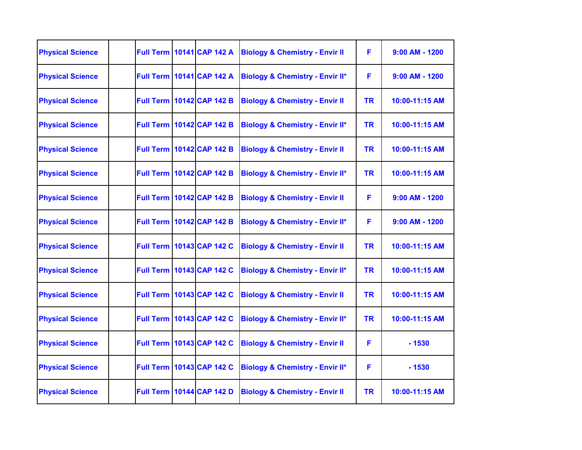| <b>Physical Science</b> |                  | <b>Full Term 10141 CAP 142 A</b>   | <b>Biology &amp; Chemistry - Envir II</b>  | F         | $9:00$ AM - 1200 |
|-------------------------|------------------|------------------------------------|--------------------------------------------|-----------|------------------|
| <b>Physical Science</b> |                  | <b>Full Term   10141 CAP 142 A</b> | <b>Biology &amp; Chemistry - Envir II*</b> | F         | $9:00$ AM - 1200 |
| <b>Physical Science</b> |                  | <b>Full Term 10142 CAP 142 B</b>   | <b>Biology &amp; Chemistry - Envir II</b>  | <b>TR</b> | 10:00-11:15 AM   |
| <b>Physical Science</b> |                  | <b>Full Term 10142 CAP 142 B</b>   | <b>Biology &amp; Chemistry - Envir II*</b> | <b>TR</b> | 10:00-11:15 AM   |
| <b>Physical Science</b> |                  | <b>Full Term 10142 CAP 142 B</b>   | <b>Biology &amp; Chemistry - Envir II</b>  | <b>TR</b> | 10:00-11:15 AM   |
| <b>Physical Science</b> |                  | <b>Full Term 10142 CAP 142 B</b>   | <b>Biology &amp; Chemistry - Envir II*</b> | <b>TR</b> | 10:00-11:15 AM   |
| <b>Physical Science</b> | <b>Full Term</b> | 10142 CAP 142 B                    | <b>Biology &amp; Chemistry - Envir II</b>  | F         | $9:00$ AM - 1200 |
| <b>Physical Science</b> |                  | <b>Full Term 10142 CAP 142 B</b>   | <b>Biology &amp; Chemistry - Envir II*</b> | F.        | 9:00 AM - 1200   |
| <b>Physical Science</b> |                  | <b>Full Term   10143 CAP 142 C</b> | <b>Biology &amp; Chemistry - Envir II</b>  | <b>TR</b> | 10:00-11:15 AM   |
| <b>Physical Science</b> |                  | <b>Full Term 10143 CAP 142 C</b>   | <b>Biology &amp; Chemistry - Envir II*</b> | <b>TR</b> | 10:00-11:15 AM   |
| <b>Physical Science</b> |                  | <b>Full Term 10143 CAP 142 C</b>   | <b>Biology &amp; Chemistry - Envir II</b>  | <b>TR</b> | 10:00-11:15 AM   |
| <b>Physical Science</b> |                  | <b>Full Term 10143 CAP 142 C</b>   | <b>Biology &amp; Chemistry - Envir II*</b> | <b>TR</b> | 10:00-11:15 AM   |
| <b>Physical Science</b> |                  | <b>Full Term 10143 CAP 142 C</b>   | <b>Biology &amp; Chemistry - Envir II</b>  | F.        | $-1530$          |
| <b>Physical Science</b> |                  | <b>Full Term 10143 CAP 142 C</b>   | <b>Biology &amp; Chemistry - Envir II*</b> | F         | $-1530$          |
| <b>Physical Science</b> |                  | <b>Full Term 10144 CAP 142 D</b>   | <b>Biology &amp; Chemistry - Envir II</b>  | <b>TR</b> | 10:00-11:15 AM   |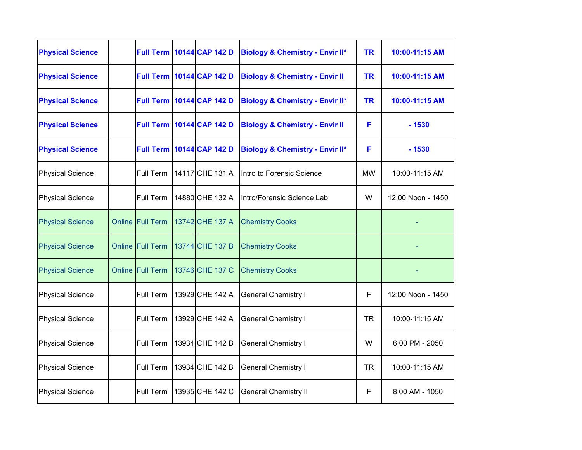| <b>Physical Science</b> | <b>Full Term</b>        | 10144 CAP 142 D                    | <b>Biology &amp; Chemistry - Envir II*</b> | <b>TR</b> | 10:00-11:15 AM    |
|-------------------------|-------------------------|------------------------------------|--------------------------------------------|-----------|-------------------|
| <b>Physical Science</b> |                         | <b>Full Term   10144 CAP 142 D</b> | <b>Biology &amp; Chemistry - Envir II</b>  | <b>TR</b> | 10:00-11:15 AM    |
| <b>Physical Science</b> | <b>Full Term</b>        | 10144 CAP 142 D                    | <b>Biology &amp; Chemistry - Envir II*</b> | <b>TR</b> | 10:00-11:15 AM    |
| <b>Physical Science</b> |                         | <b>Full Term 10144 CAP 142 D</b>   | <b>Biology &amp; Chemistry - Envir II</b>  | F         | $-1530$           |
| <b>Physical Science</b> | <b>Full Term</b>        | 10144 CAP 142 D                    | <b>Biology &amp; Chemistry - Envir II*</b> | F         | $-1530$           |
| <b>Physical Science</b> | Full Term               | 14117 CHE 131 A                    | Intro to Forensic Science                  | <b>MW</b> | 10:00-11:15 AM    |
| <b>Physical Science</b> | Full Term               | 14880 CHE 132 A                    | Intro/Forensic Science Lab                 | W         | 12:00 Noon - 1450 |
| <b>Physical Science</b> | <b>Online Full Term</b> | 13742 CHE 137 A                    | <b>Chemistry Cooks</b>                     |           |                   |
| <b>Physical Science</b> | Online Full Term        | 13744 CHE 137 B                    | <b>Chemistry Cooks</b>                     |           |                   |
| <b>Physical Science</b> | Online Full Term        | 13746 CHE 137 C                    | <b>Chemistry Cooks</b>                     |           |                   |
| <b>Physical Science</b> | Full Term               | 13929 CHE 142 A                    | <b>General Chemistry II</b>                | F         | 12:00 Noon - 1450 |
| <b>Physical Science</b> | Full Term               | 13929 CHE 142 A                    | <b>General Chemistry II</b>                | <b>TR</b> | 10:00-11:15 AM    |
| <b>Physical Science</b> | Full Term               | 13934 CHE 142 B                    | <b>General Chemistry II</b>                | W         | 6:00 PM - 2050    |
| <b>Physical Science</b> | Full Term               | 13934 CHE 142 B                    | <b>General Chemistry II</b>                | <b>TR</b> | 10:00-11:15 AM    |
| <b>Physical Science</b> | Full Term               | 13935 CHE 142 C                    | <b>General Chemistry II</b>                | F         | 8:00 AM - 1050    |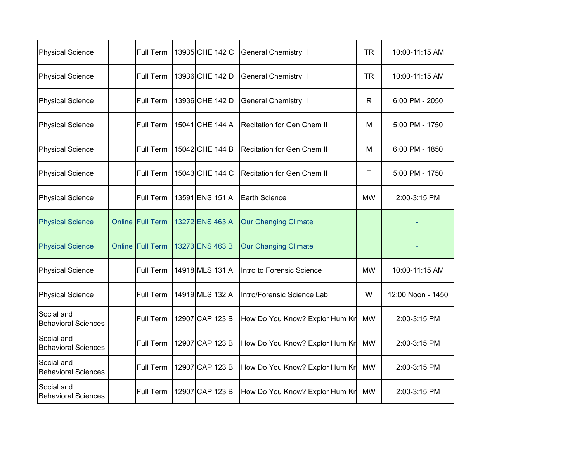| <b>Physical Science</b>                  |        | Full Term               | 13935 CHE 142 C | <b>General Chemistry II</b>       | TR          | 10:00-11:15 AM    |
|------------------------------------------|--------|-------------------------|-----------------|-----------------------------------|-------------|-------------------|
| <b>Physical Science</b>                  |        | Full Term               | 13936 CHE 142 D | <b>General Chemistry II</b>       | <b>TR</b>   | 10:00-11:15 AM    |
| <b>Physical Science</b>                  |        | Full Term               | 13936 CHE 142 D | <b>General Chemistry II</b>       | R.          | 6:00 PM - 2050    |
| <b>Physical Science</b>                  |        | Full Term               | 15041 CHE 144 A | <b>Recitation for Gen Chem II</b> | М           | 5:00 PM - 1750    |
| <b>Physical Science</b>                  |        | <b>Full Term</b>        | 15042 CHE 144 B | Recitation for Gen Chem II        | м           | 6:00 PM - 1850    |
| <b>Physical Science</b>                  |        | Full Term               | 15043 CHE 144 C | Recitation for Gen Chem II        | $\mathsf T$ | 5:00 PM - 1750    |
| <b>Physical Science</b>                  |        | Full Term               | 13591 ENS 151 A | <b>Earth Science</b>              | <b>MW</b>   | 2:00-3:15 PM      |
| <b>Physical Science</b>                  |        | <b>Online Full Term</b> | 13272 ENS 463 A | <b>Our Changing Climate</b>       |             |                   |
| <b>Physical Science</b>                  | Online | <b>Full Term</b>        | 13273 ENS 463 B | <b>Our Changing Climate</b>       |             |                   |
| <b>Physical Science</b>                  |        | Full Term               | 14918 MLS 131 A | Intro to Forensic Science         | <b>MW</b>   | 10:00-11:15 AM    |
| <b>Physical Science</b>                  |        | <b>Full Term</b>        | 14919 MLS 132 A | Intro/Forensic Science Lab        | W           | 12:00 Noon - 1450 |
| Social and<br><b>Behavioral Sciences</b> |        | Full Term               | 12907 CAP 123 B | How Do You Know? Explor Hum Kr    | <b>MW</b>   | 2:00-3:15 PM      |
| Social and<br><b>Behavioral Sciences</b> |        | Full Term               | 12907 CAP 123 B | How Do You Know? Explor Hum Kr    | <b>MW</b>   | 2:00-3:15 PM      |
| Social and<br><b>Behavioral Sciences</b> |        | Full Term               | 12907 CAP 123 B | How Do You Know? Explor Hum Kr    | <b>MW</b>   | 2:00-3:15 PM      |
| Social and<br><b>Behavioral Sciences</b> |        | Full Term               | 12907 CAP 123 B | How Do You Know? Explor Hum Kr    | <b>MW</b>   | 2:00-3:15 PM      |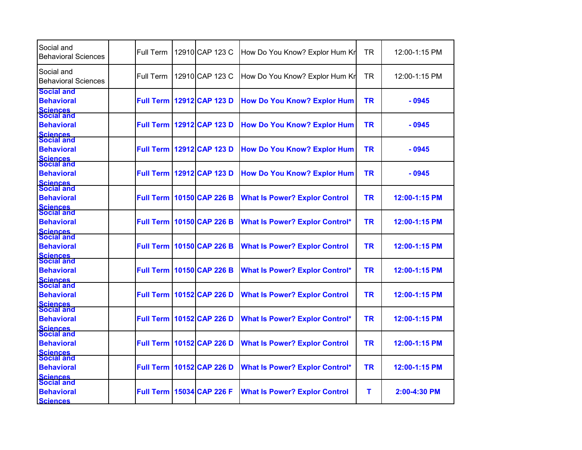| Social and<br><b>Behavioral Sciences</b>                                | Full Term        | 12910 CAP 123 C                    | How Do You Know? Explor Hum Kr        | TR        | 12:00-1:15 PM |
|-------------------------------------------------------------------------|------------------|------------------------------------|---------------------------------------|-----------|---------------|
| Social and<br><b>Behavioral Sciences</b>                                | Full Term        | 12910 CAP 123 C                    | How Do You Know? Explor Hum Kr        | <b>TR</b> | 12:00-1:15 PM |
| <b>Social and</b><br><b>Behavioral</b><br><b>Sciences</b><br>Social and | <b>Full Term</b> | 12912 CAP 123 D                    | <b>How Do You Know? Explor Hum</b>    | <b>TR</b> | $-0945$       |
| <b>Behavioral</b>                                                       | <b>Full Term</b> | 12912 CAP 123 D                    | <b>How Do You Know? Explor Hum</b>    | <b>TR</b> | - 0945        |
| <b>Sciences</b><br>Social and<br><b>Behavioral</b>                      | <b>Full Term</b> | 12912 CAP 123 D                    | <b>How Do You Know? Explor Hum</b>    | <b>TR</b> | $-0945$       |
| Sciences<br>Social and<br><b>Behavioral</b>                             |                  | <b>Full Term 12912 CAP 123 D</b>   | <b>How Do You Know? Explor Hum</b>    | <b>TR</b> | $-0945$       |
| <b>Sciences</b><br>Social and<br><b>Behavioral</b>                      |                  | <b>Full Term   10150 CAP 226 B</b> | <b>What Is Power? Explor Control</b>  | <b>TR</b> | 12:00-1:15 PM |
| <b>Sciences</b><br>Social and<br><b>Behavioral</b>                      | <b>Full Term</b> | 10150 CAP 226 B                    | <b>What Is Power? Explor Control*</b> | <b>TR</b> | 12:00-1:15 PM |
| <b>Sciences</b><br>Social and<br><b>Behavioral</b>                      | <b>Full Term</b> | 10150 CAP 226 B                    | <b>What Is Power? Explor Control</b>  | <b>TR</b> | 12:00-1:15 PM |
| Sciences<br>Social and<br><b>Behavioral</b>                             | <b>Full Term</b> | 10150 CAP 226 B                    | <b>What Is Power? Explor Control*</b> | <b>TR</b> | 12:00-1:15 PM |
| <b>Sciences</b><br>Social and<br><b>Behavioral</b>                      | <b>Full Term</b> | 10152 CAP 226 D                    | <b>What Is Power? Explor Control</b>  | <b>TR</b> | 12:00-1:15 PM |
| <b>Sciences</b><br>Social and<br><b>Behavioral</b>                      | <b>Full Term</b> | 10152 CAP 226 D                    | <b>What Is Power? Explor Control*</b> | <b>TR</b> | 12:00-1:15 PM |
| Sciences<br>Social and<br><b>Behavioral</b>                             | <b>Full Term</b> | 10152 CAP 226 D                    | <b>What Is Power? Explor Control</b>  | <b>TR</b> | 12:00-1:15 PM |
| Sciences<br>Social and<br><b>Behavioral</b><br><b>Sciences</b>          |                  | <b>Full Term   10152 CAP 226 D</b> | <b>What Is Power? Explor Control*</b> | <b>TR</b> | 12:00-1:15 PM |
| Social and<br><b>Behavioral</b><br><b>Sciences</b>                      | <b>Full Term</b> | 15034 CAP 226 F                    | <b>What Is Power? Explor Control</b>  | т         | 2:00-4:30 PM  |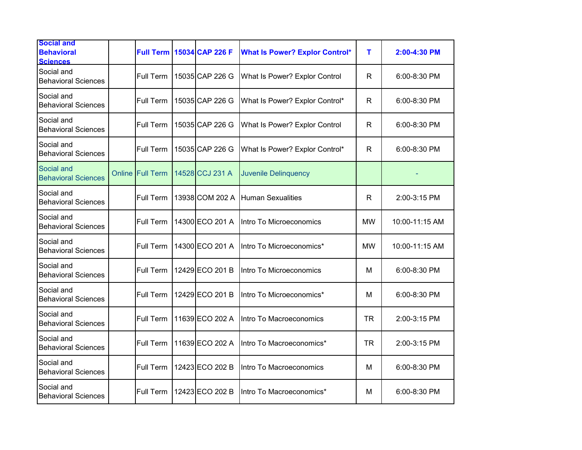| <b>Social and</b><br><b>Behavioral</b><br><b>Sciences</b> | <b>Full Term</b>        | 15034 CAP 226 F | <b>What Is Power? Explor Control*</b> | т            | 2:00-4:30 PM   |
|-----------------------------------------------------------|-------------------------|-----------------|---------------------------------------|--------------|----------------|
| Social and<br><b>Behavioral Sciences</b>                  | Full Term               | 15035 CAP 226 G | What Is Power? Explor Control         | $\mathsf{R}$ | 6:00-8:30 PM   |
| Social and<br><b>Behavioral Sciences</b>                  | Full Term               | 15035 CAP 226 G | What Is Power? Explor Control*        | R            | 6:00-8:30 PM   |
| Social and<br><b>Behavioral Sciences</b>                  | Full Term               | 15035 CAP 226 G | What Is Power? Explor Control         | R            | 6:00-8:30 PM   |
| Social and<br><b>Behavioral Sciences</b>                  | Full Term               | 15035 CAP 226 G | What Is Power? Explor Control*        | $\mathsf{R}$ | 6:00-8:30 PM   |
| Social and<br><b>Behavioral Sciences</b>                  | <b>Online Full Term</b> | 14528 CCJ 231 A | <b>Juvenile Delinquency</b>           |              |                |
| Social and<br><b>Behavioral Sciences</b>                  | Full Term               | 13938 COM 202 A | <b>Human Sexualities</b>              | R            | 2:00-3:15 PM   |
| Social and<br><b>Behavioral Sciences</b>                  | Full Term               | 14300 ECO 201 A | Intro To Microeconomics               | <b>MW</b>    | 10:00-11:15 AM |
| Social and<br><b>Behavioral Sciences</b>                  | Full Term               | 14300 ECO 201 A | Intro To Microeconomics*              | <b>MW</b>    | 10:00-11:15 AM |
| Social and<br><b>Behavioral Sciences</b>                  | Full Term               | 12429 ECO 201 B | Intro To Microeconomics               | M            | 6:00-8:30 PM   |
| Social and<br><b>Behavioral Sciences</b>                  | Full Term               | 12429 ECO 201 B | Intro To Microeconomics*              | M            | 6:00-8:30 PM   |
| Social and<br><b>Behavioral Sciences</b>                  | Full Term               | 11639 ECO 202 A | Intro To Macroeconomics               | <b>TR</b>    | 2:00-3:15 PM   |
| Social and<br><b>Behavioral Sciences</b>                  | Full Term               | 11639 ECO 202 A | Intro To Macroeconomics*              | <b>TR</b>    | 2:00-3:15 PM   |
| Social and<br><b>Behavioral Sciences</b>                  | Full Term               | 12423 ECO 202 B | Intro To Macroeconomics               | M            | 6:00-8:30 PM   |
| Social and<br><b>Behavioral Sciences</b>                  | Full Term               | 12423 ECO 202 B | Intro To Macroeconomics*              | M            | 6:00-8:30 PM   |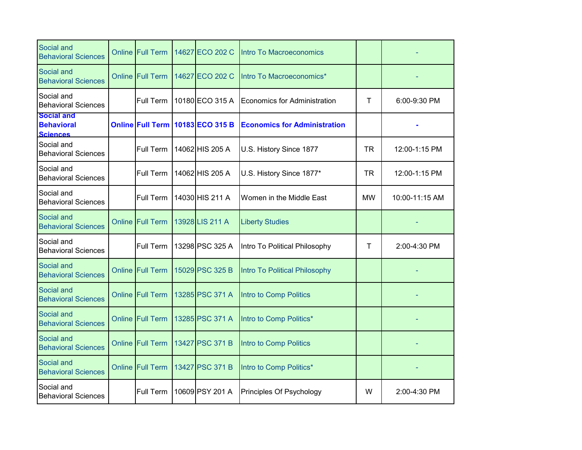| Social and<br><b>Behavioral Sciences</b>                  | <b>Online Full Term</b> | 14627 ECO 202 C                  | Intro To Macroeconomics             |              |                |
|-----------------------------------------------------------|-------------------------|----------------------------------|-------------------------------------|--------------|----------------|
| Social and<br><b>Behavioral Sciences</b>                  | <b>Online Full Term</b> | 14627 ECO 202 C                  | Intro To Macroeconomics*            |              |                |
| Social and<br><b>Behavioral Sciences</b>                  | Full Term               | 10180 ECO 315 A                  | Economics for Administration        | $\mathsf{T}$ | 6:00-9:30 PM   |
| <b>Social and</b><br><b>Behavioral</b><br><b>Sciences</b> |                         | Online Full Term 10183 ECO 315 B | <b>Economics for Administration</b> |              |                |
| Social and<br><b>Behavioral Sciences</b>                  | Full Term               | 14062 HIS 205 A                  | U.S. History Since 1877             | <b>TR</b>    | 12:00-1:15 PM  |
| Social and<br><b>Behavioral Sciences</b>                  | Full Term               | 14062 HIS 205 A                  | U.S. History Since 1877*            | <b>TR</b>    | 12:00-1:15 PM  |
| Social and<br><b>Behavioral Sciences</b>                  | Full Term               | 14030 HIS 211 A                  | Women in the Middle East            | <b>MW</b>    | 10:00-11:15 AM |
| Social and<br><b>Behavioral Sciences</b>                  | <b>Online Full Term</b> | 13928 LIS 211 A                  | <b>Liberty Studies</b>              |              |                |
| Social and<br><b>Behavioral Sciences</b>                  | Full Term               | 13298 PSC 325 A                  | Intro To Political Philosophy       | $\mathsf{T}$ | 2:00-4:30 PM   |
| Social and<br><b>Behavioral Sciences</b>                  | Online Full Term        | 15029 PSC 325 B                  | Intro To Political Philosophy       |              |                |
| Social and<br><b>Behavioral Sciences</b>                  | Online Full Term        | 13285 PSC 371 A                  | Intro to Comp Politics              |              |                |
| Social and<br><b>Behavioral Sciences</b>                  | <b>Online Full Term</b> | 13285 PSC 371 A                  | Intro to Comp Politics*             |              |                |
| Social and<br><b>Behavioral Sciences</b>                  | Online Full Term        | 13427 PSC 371 B                  | Intro to Comp Politics              |              |                |
| Social and<br><b>Behavioral Sciences</b>                  | <b>Online Full Term</b> | 13427 PSC 371 B                  | Intro to Comp Politics*             |              |                |
| Social and<br><b>Behavioral Sciences</b>                  | Full Term               | 10609 PSY 201 A                  | Principles Of Psychology            | W            | 2:00-4:30 PM   |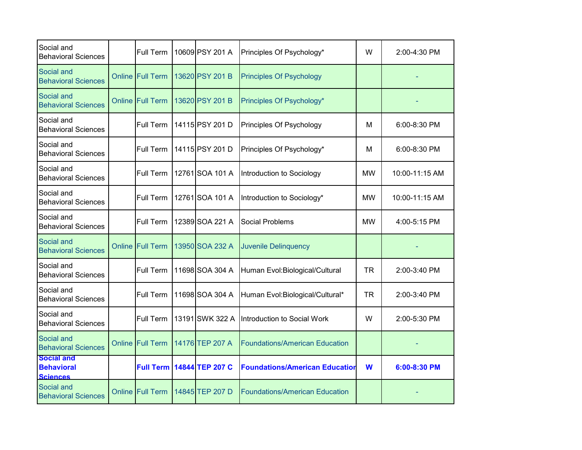| Social and<br><b>Behavioral Sciences</b>                  |        | Full Term               | 10609 PSY 201 A | Principles Of Psychology*             | W         | 2:00-4:30 PM   |
|-----------------------------------------------------------|--------|-------------------------|-----------------|---------------------------------------|-----------|----------------|
| Social and<br><b>Behavioral Sciences</b>                  |        | Online Full Term        | 13620 PSY 201 B | <b>Principles Of Psychology</b>       |           |                |
| Social and<br><b>Behavioral Sciences</b>                  |        | Online Full Term        | 13620 PSY 201 B | Principles Of Psychology*             |           |                |
| Social and<br><b>Behavioral Sciences</b>                  |        | Full Term               | 14115 PSY 201 D | Principles Of Psychology              | м         | 6:00-8:30 PM   |
| Social and<br><b>Behavioral Sciences</b>                  |        | Full Term               | 14115 PSY 201 D | Principles Of Psychology*             | м         | 6:00-8:30 PM   |
| Social and<br><b>Behavioral Sciences</b>                  |        | Full Term               | 12761 SOA 101 A | Introduction to Sociology             | <b>MW</b> | 10:00-11:15 AM |
| Social and<br><b>Behavioral Sciences</b>                  |        | Full Term               | 12761 SOA 101 A | Introduction to Sociology*            | <b>MW</b> | 10:00-11:15 AM |
| Social and<br><b>Behavioral Sciences</b>                  |        | Full Term               | 12389 SOA 221 A | <b>Social Problems</b>                | <b>MW</b> | 4:00-5:15 PM   |
| Social and<br><b>Behavioral Sciences</b>                  | Online | <b>Full Term</b>        | 13950 SOA 232 A | <b>Juvenile Delinquency</b>           |           |                |
| Social and<br><b>Behavioral Sciences</b>                  |        | Full Term               | 11698 SOA 304 A | Human Evol: Biological/Cultural       | <b>TR</b> | 2:00-3:40 PM   |
| Social and<br><b>Behavioral Sciences</b>                  |        | Full Term               | 11698 SOA 304 A | Human Evol:Biological/Cultural*       | <b>TR</b> | 2:00-3:40 PM   |
| Social and<br><b>Behavioral Sciences</b>                  |        | Full Term               | 13191 SWK 322 A | Introduction to Social Work           | W         | 2:00-5:30 PM   |
| Social and<br><b>Behavioral Sciences</b>                  |        | <b>Online Full Term</b> | 14176 TEP 207 A | <b>Foundations/American Education</b> |           |                |
| <b>Social and</b><br><b>Behavioral</b><br><b>Sciences</b> |        | <b>Full Term</b>        | 14844 TEP 207 C | <b>Foundations/American Education</b> | W         | 6:00-8:30 PM   |
| Social and<br><b>Behavioral Sciences</b>                  |        | Online Full Term        | 14845 TEP 207 D | <b>Foundations/American Education</b> |           |                |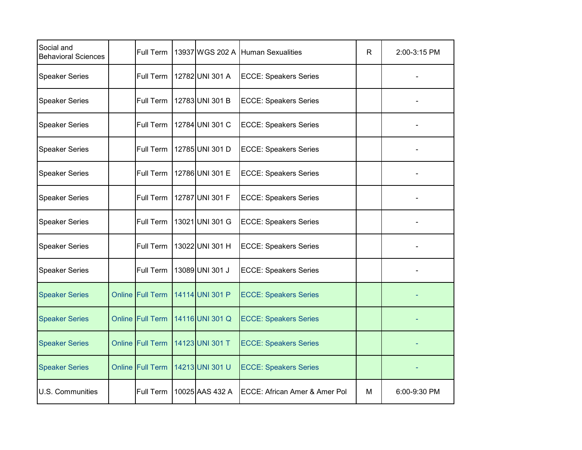| Social and<br><b>Behavioral Sciences</b> | Full Term               | 13937 WGS 202 A | <b>Human Sexualities</b>      | R | 2:00-3:15 PM |
|------------------------------------------|-------------------------|-----------------|-------------------------------|---|--------------|
| <b>Speaker Series</b>                    | Full Term               | 12782 UNI 301 A | <b>ECCE: Speakers Series</b>  |   |              |
| <b>Speaker Series</b>                    | Full Term               | 12783 UNI 301 B | <b>ECCE: Speakers Series</b>  |   |              |
| <b>Speaker Series</b>                    | Full Term               | 12784 UNI 301 C | <b>ECCE: Speakers Series</b>  |   |              |
| <b>Speaker Series</b>                    | Full Term               | 12785 UNI 301 D | <b>ECCE: Speakers Series</b>  |   |              |
| <b>Speaker Series</b>                    | Full Term               | 12786 UNI 301 E | <b>ECCE: Speakers Series</b>  |   |              |
| <b>Speaker Series</b>                    | Full Term               | 12787 UNI 301 F | <b>ECCE: Speakers Series</b>  |   |              |
| <b>Speaker Series</b>                    | Full Term               | 13021 UNI 301 G | <b>ECCE: Speakers Series</b>  |   |              |
| <b>Speaker Series</b>                    | Full Term               | 13022 UNI 301 H | <b>ECCE: Speakers Series</b>  |   |              |
| <b>Speaker Series</b>                    | Full Term               | 13089 UNI 301 J | <b>ECCE: Speakers Series</b>  |   |              |
| <b>Speaker Series</b>                    | <b>Online Full Term</b> | 14114 UNI 301 P | <b>ECCE: Speakers Series</b>  |   |              |
| <b>Speaker Series</b>                    | <b>Online Full Term</b> | 14116 UNI 301 Q | <b>ECCE: Speakers Series</b>  |   |              |
| <b>Speaker Series</b>                    | <b>Online Full Term</b> | 14123 UNI 301 T | <b>ECCE: Speakers Series</b>  |   |              |
| <b>Speaker Series</b>                    | Online Full Term        | 14213 UNI 301 U | <b>ECCE: Speakers Series</b>  |   |              |
| U.S. Communities                         | Full Term               | 10025 AAS 432 A | ECCE: African Amer & Amer Pol | м | 6:00-9:30 PM |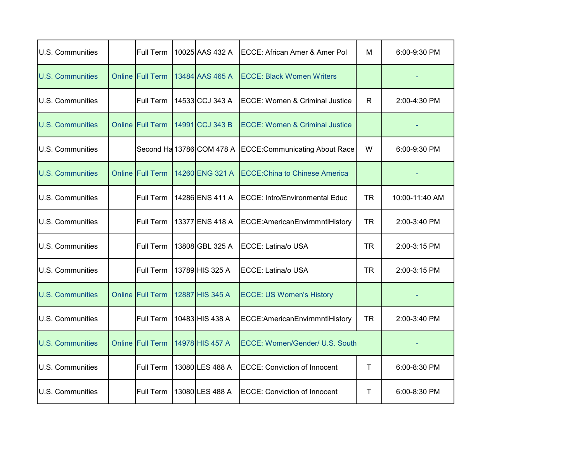| U.S. Communities        | Full Term               | 10025 AAS 432 A           | ECCE: African Amer & Amer Pol             | м         | 6:00-9:30 PM   |
|-------------------------|-------------------------|---------------------------|-------------------------------------------|-----------|----------------|
| <b>U.S. Communities</b> | <b>Online Full Term</b> | 13484 AAS 465 A           | <b>ECCE: Black Women Writers</b>          |           |                |
| U.S. Communities        | <b>Full Term</b>        | 14533 CCJ 343 A           | <b>ECCE: Women &amp; Criminal Justice</b> | R.        | 2:00-4:30 PM   |
| <b>U.S. Communities</b> | <b>Online Full Term</b> | 14991 CCJ 343 B           | <b>ECCE: Women &amp; Criminal Justice</b> |           |                |
| U.S. Communities        |                         | Second Ha 13786 COM 478 A | <b>ECCE:Communicating About Race</b>      | W         | 6:00-9:30 PM   |
| <b>U.S. Communities</b> | <b>Online Full Term</b> | 14260 ENG 321 A           | <b>ECCE: China to Chinese America</b>     |           |                |
| U.S. Communities        | Full Term               | 14286 ENS 411 A           | <b>ECCE: Intro/Environmental Educ</b>     | <b>TR</b> | 10:00-11:40 AM |
| <b>U.S. Communities</b> | Full Term               | 13377 ENS 418 A           | ECCE: American Envirnmntl History         | <b>TR</b> | 2:00-3:40 PM   |
| U.S. Communities        | <b>Full Term</b>        | 13808 GBL 325 A           | <b>ECCE: Latina/o USA</b>                 | <b>TR</b> | 2:00-3:15 PM   |
| <b>U.S. Communities</b> | Full Term               | 13789 HIS 325 A           | ECCE: Latina/o USA                        | <b>TR</b> | 2:00-3:15 PM   |
| <b>U.S. Communities</b> | <b>Online Full Term</b> | 12887 HIS 345 A           | <b>ECCE: US Women's History</b>           |           |                |
| <b>U.S. Communities</b> | Full Term               | 10483 HIS 438 A           | ECCE:AmericanEnvirnmntlHistory            | <b>TR</b> | 2:00-3:40 PM   |
| <b>U.S. Communities</b> | <b>Online Full Term</b> | 14978 HIS 457 A           | ECCE: Women/Gender/ U.S. South            |           |                |
| U.S. Communities        | Full Term               | 13080 LES 488 A           | <b>ECCE: Conviction of Innocent</b>       | Τ         | 6:00-8:30 PM   |
| <b>U.S. Communities</b> | Full Term               | 13080 LES 488 A           | <b>ECCE: Conviction of Innocent</b>       | Τ         | 6:00-8:30 PM   |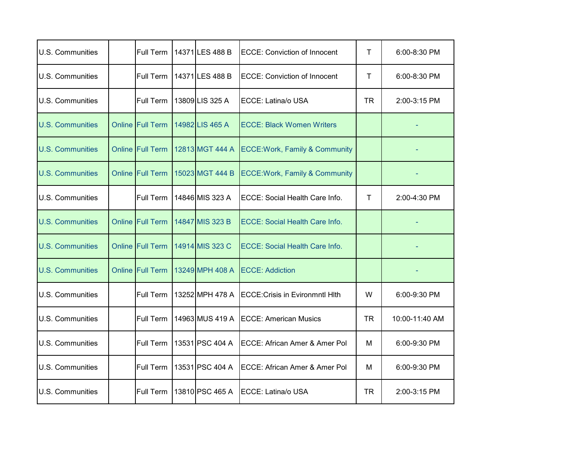| U.S. Communities        | Full Term               | 14371 LES 488 B | <b>ECCE: Conviction of Innocent</b>       | Τ   | 6:00-8:30 PM     |
|-------------------------|-------------------------|-----------------|-------------------------------------------|-----|------------------|
| U.S. Communities        | Full Term               | 14371 LES 488 B | <b>ECCE: Conviction of Innocent</b>       | Τ   | $6:00 - 8:30$ PM |
| U.S. Communities        | Full Term               | 13809 LIS 325 A | ECCE: Latina/o USA                        | TR. | 2:00-3:15 PM     |
| U.S. Communities        | <b>Online Full Term</b> | 14982 LIS 465 A | <b>ECCE: Black Women Writers</b>          |     |                  |
| <b>U.S. Communities</b> | <b>Online Full Term</b> | 12813 MGT 444 A | <b>ECCE: Work, Family &amp; Community</b> |     |                  |
| <b>U.S. Communities</b> | Online Full Term        | 15023 MGT 444 B | <b>ECCE: Work, Family &amp; Community</b> |     |                  |
| U.S. Communities        | Full Term               | 14846 MIS 323 A | <b>ECCE: Social Health Care Info.</b>     | Τ   | 2:00-4:30 PM     |
| <b>U.S. Communities</b> | <b>Online Full Term</b> | 14847 MIS 323 B | <b>ECCE: Social Health Care Info.</b>     |     |                  |
| <b>U.S. Communities</b> | <b>Online Full Term</b> | 14914 MIS 323 C | <b>ECCE: Social Health Care Info.</b>     |     |                  |
| <b>U.S. Communities</b> | <b>Online Full Term</b> | 13249 MPH 408 A | <b>ECCE: Addiction</b>                    |     |                  |
| <b>U.S. Communities</b> | Full Term               | 13252 MPH 478 A | <b>ECCE: Crisis in Evironmntl Hlth</b>    | W   | 6:00-9:30 PM     |
| U.S. Communities        | Full Term               | 14963 MUS 419 A | <b>ECCE: American Musics</b>              | TR  | 10:00-11:40 AM   |
| U.S. Communities        | Full Term               | 13531 PSC 404 A | <b>ECCE: African Amer &amp; Amer Pol</b>  | м   | 6:00-9:30 PM     |
| U.S. Communities        | Full Term               | 13531 PSC 404 A | ECCE: African Amer & Amer Pol             | м   | 6:00-9:30 PM     |
| U.S. Communities        | Full Term               | 13810 PSC 465 A | ECCE: Latina/o USA                        | TR  | 2:00-3:15 PM     |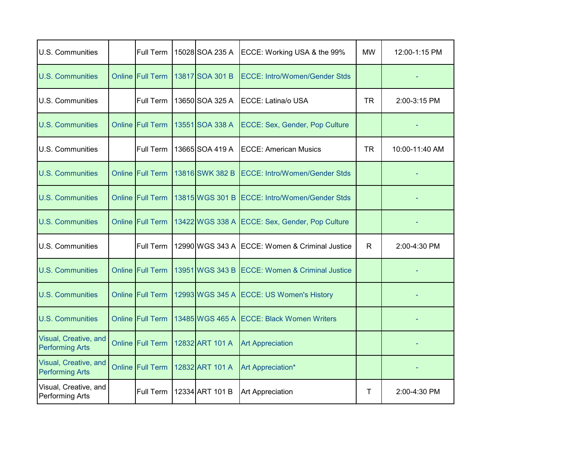| U.S. Communities                                | <b>Full Term</b>        | 15028 SOA 235 A | ECCE: Working USA & the 99%                    | <b>MW</b>    | 12:00-1:15 PM  |
|-------------------------------------------------|-------------------------|-----------------|------------------------------------------------|--------------|----------------|
| <b>U.S. Communities</b>                         | <b>Online Full Term</b> | 13817 SOA 301 B | <b>ECCE: Intro/Women/Gender Stds</b>           |              |                |
| U.S. Communities                                | <b>Full Term</b>        | 13650 SOA 325 A | <b>ECCE: Latina/o USA</b>                      | <b>TR</b>    | 2:00-3:15 PM   |
| <b>U.S. Communities</b>                         | <b>Online Full Term</b> | 13551 SOA 338 A | ECCE: Sex, Gender, Pop Culture                 |              |                |
| U.S. Communities                                | <b>Full Term</b>        | 13665 SOA 419 A | <b>ECCE: American Musics</b>                   | <b>TR</b>    | 10:00-11:40 AM |
| <b>U.S. Communities</b>                         | <b>Online Full Term</b> | 13816 SWK 382 B | <b>ECCE: Intro/Women/Gender Stds</b>           |              |                |
| <b>U.S. Communities</b>                         | <b>Online Full Term</b> | 13815 WGS 301 B | <b>ECCE: Intro/Women/Gender Stds</b>           |              |                |
| <b>U.S. Communities</b>                         | Online Full Term        |                 | 13422 WGS 338 A ECCE: Sex, Gender, Pop Culture |              |                |
| <b>U.S. Communities</b>                         | <b>Full Term</b>        |                 | 12990 WGS 343 A ECCE: Women & Criminal Justice | $\mathsf{R}$ | 2:00-4:30 PM   |
| <b>U.S. Communities</b>                         | Online Full Term        | 13951 WGS 343 B | <b>ECCE: Women &amp; Criminal Justice</b>      |              |                |
| <b>U.S. Communities</b>                         | <b>Online Full Term</b> |                 | 12993 WGS 345 A ECCE: US Women's History       |              |                |
| <b>U.S. Communities</b>                         | Online Full Term        |                 | 13485 WGS 465 A ECCE: Black Women Writers      |              |                |
| Visual, Creative, and<br><b>Performing Arts</b> | <b>Online Full Term</b> | 12832 ART 101 A | <b>Art Appreciation</b>                        |              |                |
| Visual, Creative, and<br><b>Performing Arts</b> | Online Full Term        | 12832 ART 101 A | Art Appreciation*                              |              |                |
| Visual, Creative, and<br>Performing Arts        | Full Term               | 12334 ART 101 B | <b>Art Appreciation</b>                        | $\mathsf{T}$ | 2:00-4:30 PM   |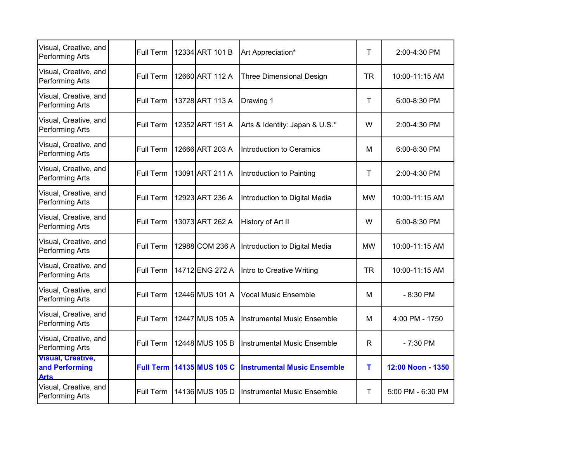| Visual, Creative, and<br><b>Performing Arts</b>           | Full Term | 12334 ART 101 B                    | Art Appreciation*                  | Τ            | 2:00-4:30 PM      |
|-----------------------------------------------------------|-----------|------------------------------------|------------------------------------|--------------|-------------------|
| Visual, Creative, and<br>Performing Arts                  | Full Term | 12660 ART 112 A                    | <b>Three Dimensional Design</b>    | <b>TR</b>    | 10:00-11:15 AM    |
| Visual, Creative, and<br>Performing Arts                  | Full Term | 13728 ART 113 A                    | Drawing 1                          | $\mathsf{T}$ | $6:00 - 8:30$ PM  |
| Visual, Creative, and<br>Performing Arts                  | Full Term | 12352 ART 151 A                    | Arts & Identity: Japan & U.S.*     | W            | 2:00-4:30 PM      |
| Visual, Creative, and<br>Performing Arts                  | Full Term | 12666 ART 203 A                    | <b>Introduction to Ceramics</b>    | М            | $6:00 - 8:30$ PM  |
| Visual, Creative, and<br>Performing Arts                  | Full Term | 13091 ART 211 A                    | Introduction to Painting           | Τ            | 2:00-4:30 PM      |
| Visual, Creative, and<br>Performing Arts                  | Full Term | 12923 ART 236 A                    | Introduction to Digital Media      | <b>MW</b>    | 10:00-11:15 AM    |
| Visual, Creative, and<br>Performing Arts                  | Full Term | 13073 ART 262 A                    | History of Art II                  | W            | 6:00-8:30 PM      |
| Visual, Creative, and<br>Performing Arts                  | Full Term | 12988 COM 236 A                    | Introduction to Digital Media      | <b>MW</b>    | 10:00-11:15 AM    |
| Visual, Creative, and<br>Performing Arts                  | Full Term | 14712 ENG 272 A                    | Intro to Creative Writing          | <b>TR</b>    | 10:00-11:15 AM    |
| Visual, Creative, and<br>Performing Arts                  | Full Term | 12446 MUS 101 A                    | <b>Vocal Music Ensemble</b>        | М            | $-8:30$ PM        |
| Visual, Creative, and<br>Performing Arts                  | Full Term | 12447 MUS 105 A                    | <b>Instrumental Music Ensemble</b> | м            | 4:00 PM - 1750    |
| Visual, Creative, and<br>Performing Arts                  | Full Term | 12448 MUS 105 B                    | <b>Instrumental Music Ensemble</b> | R.           | $-7:30$ PM        |
| <b>Visual, Creative,</b><br>and Performing<br><b>Arts</b> |           | <b>Full Term   14135 MUS 105 C</b> | <b>Instrumental Music Ensemble</b> | т            | 12:00 Noon - 1350 |
| Visual, Creative, and<br>Performing Arts                  | Full Term | 14136 MUS 105 D                    | <b>Instrumental Music Ensemble</b> | $\mathsf{T}$ | 5:00 PM - 6:30 PM |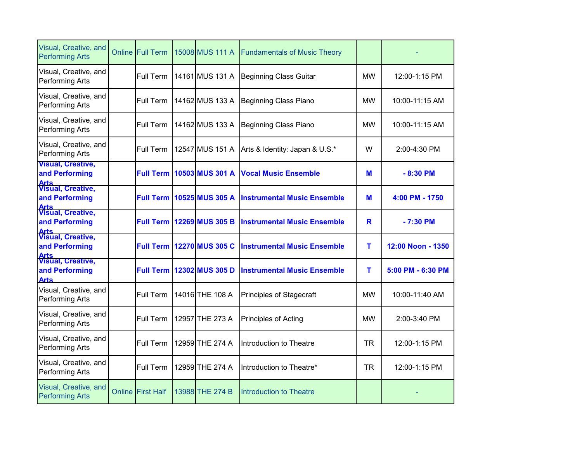| Visual, Creative, and<br><b>Performing Arts</b>                   | <b>Online Full Term</b>  | 15008 MUS 111 A | <b>Fundamentals of Music Theory</b> |           |                      |
|-------------------------------------------------------------------|--------------------------|-----------------|-------------------------------------|-----------|----------------------|
| Visual, Creative, and<br>Performing Arts                          | Full Term                | 14161 MUS 131 A | Beginning Class Guitar              | <b>MW</b> | 12:00-1:15 PM        |
| Visual, Creative, and<br><b>Performing Arts</b>                   | Full Term                | 14162 MUS 133 A | <b>Beginning Class Piano</b>        | <b>MW</b> | 10:00-11:15 AM       |
| Visual, Creative, and<br><b>Performing Arts</b>                   | Full Term                | 14162 MUS 133 A | Beginning Class Piano               | <b>MW</b> | 10:00-11:15 AM       |
| Visual, Creative, and<br><b>Performing Arts</b>                   | Full Term                | 12547 MUS 151 A | Arts & Identity: Japan & U.S.*      | W         | 2:00-4:30 PM         |
| <b>Visual, Creative,</b><br>and Performing                        | <b>Full Term</b>         | 10503 MUS 301 A | <b>Vocal Music Ensemble</b>         | M         | $-8:30$ PM           |
| <b>Arts</b><br>Visual, Creative,<br>and Performing                | <b>Full Term</b>         | 10525 MUS 305 A | <b>Instrumental Music Ensemble</b>  | M         | 4:00 PM - 1750       |
| <b>Arts</b><br>Visual, Creative,<br>and Performing                | <b>Full Term</b>         | 12269 MUS 305 B | <b>Instrumental Music Ensemble</b>  | R         | $-7:30$ PM           |
| <b>Arts</b><br>Visual, Creative,<br>and Performing                | <b>Full Term</b>         | 12270 MUS 305 C | <b>Instrumental Music Ensemble</b>  | т         | 12:00 Noon - 1350    |
| <b>Arts</b><br>Visual, Creative,<br>and Performing<br><b>Arts</b> | <b>Full Term</b>         | 12302 MUS 305 D | <b>Instrumental Music Ensemble</b>  | т         | $5:00$ PM $-6:30$ PM |
| Visual, Creative, and<br>Performing Arts                          | Full Term                | 14016 THE 108 A | Principles of Stagecraft            | <b>MW</b> | 10:00-11:40 AM       |
| Visual, Creative, and<br>Performing Arts                          | Full Term                | 12957 THE 273 A | Principles of Acting                | <b>MW</b> | 2:00-3:40 PM         |
| Visual, Creative, and<br>Performing Arts                          | Full Term                | 12959 THE 274 A | Introduction to Theatre             | <b>TR</b> | 12:00-1:15 PM        |
| Visual, Creative, and<br>Performing Arts                          | Full Term                | 12959 THE 274 A | Introduction to Theatre*            | <b>TR</b> | 12:00-1:15 PM        |
| Visual, Creative, and<br><b>Performing Arts</b>                   | <b>Online First Half</b> | 13988 THE 274 B | Introduction to Theatre             |           |                      |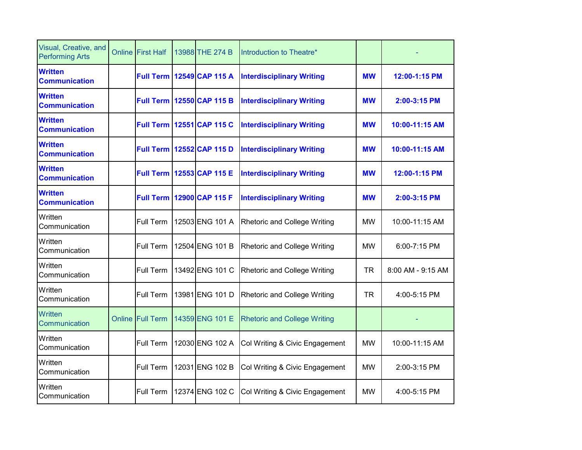| Visual, Creative, and<br><b>Performing Arts</b> | <b>Online First Half</b> | 13988 THE 274 B                  | Introduction to Theatre*            |           |                   |
|-------------------------------------------------|--------------------------|----------------------------------|-------------------------------------|-----------|-------------------|
| <b>Written</b><br><b>Communication</b>          |                          | <b>Full Term 12549 CAP 115 A</b> | <b>Interdisciplinary Writing</b>    | <b>MW</b> | 12:00-1:15 PM     |
| <b>Written</b><br><b>Communication</b>          | <b>Full Term</b>         | 12550 CAP 115 B                  | <b>Interdisciplinary Writing</b>    | <b>MW</b> | $2:00-3:15$ PM    |
| <b>Written</b><br><b>Communication</b>          |                          | <b>Full Term 12551 CAP 115 C</b> | <b>Interdisciplinary Writing</b>    | <b>MW</b> | 10:00-11:15 AM    |
| <b>Written</b><br><b>Communication</b>          | <b>Full Term</b>         | 12552 CAP 115 D                  | <b>Interdisciplinary Writing</b>    | <b>MW</b> | 10:00-11:15 AM    |
| <b>Written</b><br><b>Communication</b>          |                          | Full Term 12553 CAP 115 E        | <b>Interdisciplinary Writing</b>    | <b>MW</b> | 12:00-1:15 PM     |
| <b>Written</b><br><b>Communication</b>          | <b>Full Term</b>         | 12900 CAP 115 F                  | <b>Interdisciplinary Writing</b>    | <b>MW</b> | 2:00-3:15 PM      |
| Written<br>Communication                        | Full Term                | 12503 ENG 101 A                  | <b>Rhetoric and College Writing</b> | <b>MW</b> | 10:00-11:15 AM    |
| Written<br>Communication                        | Full Term                | 12504 ENG 101 B                  | Rhetoric and College Writing        | <b>MW</b> | 6:00-7:15 PM      |
| Written<br>Communication                        | Full Term                | 13492 ENG 101 C                  | <b>Rhetoric and College Writing</b> | <b>TR</b> | 8:00 AM - 9:15 AM |
| Written<br>Communication                        | Full Term                | 13981 ENG 101 D                  | Rhetoric and College Writing        | <b>TR</b> | 4:00-5:15 PM      |
| Written<br>Communication                        | <b>Online Full Term</b>  | 14359 ENG 101 E                  | <b>Rhetoric and College Writing</b> |           |                   |
| Written<br>Communication                        | Full Term                | 12030 ENG 102 A                  | Col Writing & Civic Engagement      | <b>MW</b> | 10:00-11:15 AM    |
| Written<br>Communication                        | Full Term                | 12031 ENG 102 B                  | Col Writing & Civic Engagement      | <b>MW</b> | 2:00-3:15 PM      |
| Written<br>Communication                        | Full Term                | 12374 ENG 102 C                  | Col Writing & Civic Engagement      | <b>MW</b> | 4:00-5:15 PM      |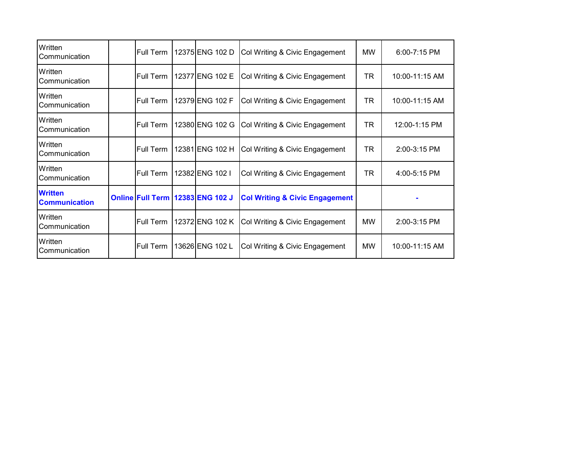| Written<br>Communication               | Full Term | 12375 ENG 102 D                  | Col Writing & Civic Engagement            | <b>MW</b> | 6:00-7:15 PM   |
|----------------------------------------|-----------|----------------------------------|-------------------------------------------|-----------|----------------|
| Written<br>Communication               | Full Term | 12377 ENG 102 E                  | Col Writing & Civic Engagement            | <b>TR</b> | 10:00-11:15 AM |
| Written<br>Communication               | Full Term | 12379 ENG 102 F                  | Col Writing & Civic Engagement            | TR        | 10:00-11:15 AM |
| Written<br>Communication               | Full Term | 12380 ENG 102 G                  | Col Writing & Civic Engagement            | TR        | 12:00-1:15 PM  |
| Written<br>Communication               | Full Term | 12381 ENG 102 H                  | Col Writing & Civic Engagement            | <b>TR</b> | 2:00-3:15 PM   |
| Written<br>Communication               | Full Term | 12382 ENG 102 I                  | Col Writing & Civic Engagement            | <b>TR</b> | 4:00-5:15 PM   |
| <b>Written</b><br><b>Communication</b> |           | Online Full Term 12383 ENG 102 J | <b>Col Writing &amp; Civic Engagement</b> |           |                |
| Written<br>Communication               | Full Term | 12372 ENG 102 K                  | Col Writing & Civic Engagement            | <b>MW</b> | 2:00-3:15 PM   |
| Written<br>Communication               | Full Term | 13626 ENG 102 L                  | Col Writing & Civic Engagement            | MW        | 10:00-11:15 AM |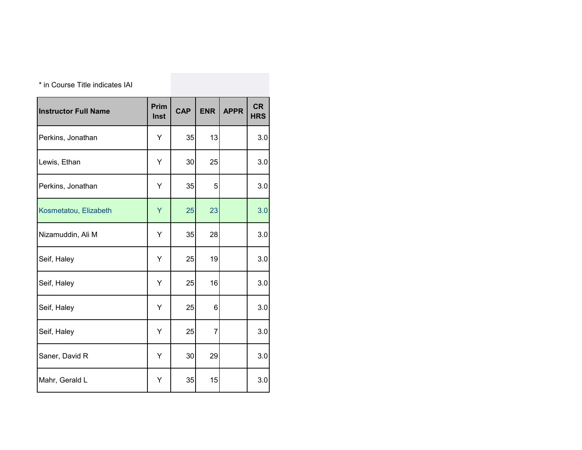| * in Course Title indicates IAI |                     |            |            |             |                         |
|---------------------------------|---------------------|------------|------------|-------------|-------------------------|
| <b>Instructor Full Name</b>     | Prim<br><b>Inst</b> | <b>CAP</b> | <b>ENR</b> | <b>APPR</b> | <b>CR</b><br><b>HRS</b> |
| Perkins, Jonathan               | Υ                   | 35         | 13         |             | 3.0                     |
| Lewis, Ethan                    | Υ                   | 30         | 25         |             | 3.0                     |
| Perkins, Jonathan               | Y                   | 35         | 5          |             | 3.0                     |
| Kosmetatou, Elizabeth           | Y                   | 25         | 23         |             | 3.0                     |
| Nizamuddin, Ali M               | Y                   | 35         | 28         |             | 3.0                     |
| Seif, Haley                     | Υ                   | 25         | 19         |             | 3.0                     |
| Seif, Haley                     | Υ                   | 25         | 16         |             | 3.0                     |
| Seif, Haley                     | Y                   | 25         | 6          |             | 3.0                     |
| Seif, Haley                     | Y                   | 25         | 7          |             | 3.0                     |
| Saner, David R                  | Y                   | 30         | 29         |             | 3.0                     |
| Mahr, Gerald L                  | Y                   | 35         | 15         |             | 3.0                     |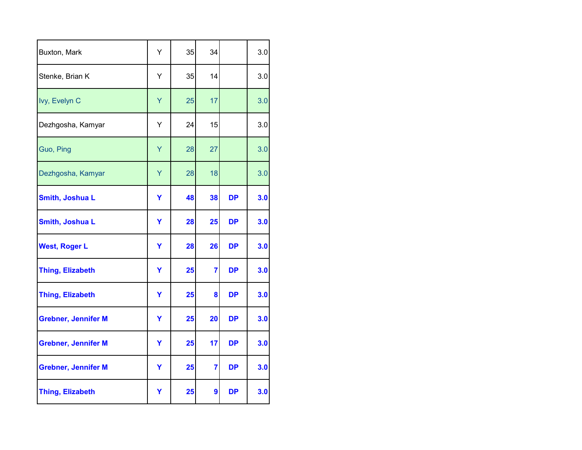| Buxton, Mark               | Υ | 35 | 34             |           | 3.0 |
|----------------------------|---|----|----------------|-----------|-----|
| Stenke, Brian K            | Υ | 35 | 14             |           | 3.0 |
| Ivy, Evelyn C              | Y | 25 | 17             |           | 3.0 |
| Dezhgosha, Kamyar          | Υ | 24 | 15             |           | 3.0 |
| Guo, Ping                  | Ÿ | 28 | 27             |           | 3.0 |
| Dezhgosha, Kamyar          | Y | 28 | 18             |           | 3.0 |
| <b>Smith, Joshua L</b>     | Y | 48 | 38             | <b>DP</b> | 3.0 |
| <b>Smith, Joshua L</b>     | Y | 28 | 25             | <b>DP</b> | 3.0 |
| <b>West, Roger L</b>       | Y | 28 | 26             | <b>DP</b> | 3.0 |
| <b>Thing, Elizabeth</b>    | Y | 25 | 7              | <b>DP</b> | 3.0 |
| <b>Thing, Elizabeth</b>    | Y | 25 | 8              | <b>DP</b> | 3.0 |
| <b>Grebner, Jennifer M</b> | Y | 25 | 20             | DP        | 3.0 |
| <b>Grebner, Jennifer M</b> | Y | 25 | 17             | DP        | 3.0 |
| <b>Grebner, Jennifer M</b> | Y | 25 | $\overline{7}$ | <b>DP</b> | 3.0 |
| <b>Thing, Elizabeth</b>    | Υ | 25 | 9              | DP        | 3.0 |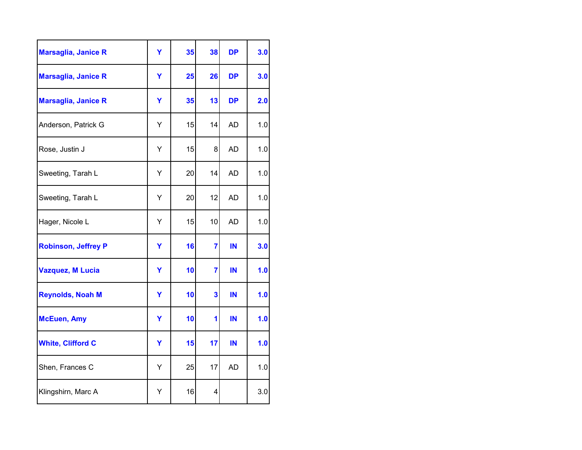| <b>Marsaglia, Janice R</b> | Ÿ | 35 | 38                      | <b>DP</b> | 3.0 |
|----------------------------|---|----|-------------------------|-----------|-----|
| <b>Marsaglia, Janice R</b> | Ÿ | 25 | 26                      | <b>DP</b> | 3.0 |
| <b>Marsaglia, Janice R</b> | Ÿ | 35 | 13                      | <b>DP</b> | 2.0 |
| Anderson, Patrick G        | Υ | 15 | 14                      | <b>AD</b> | 1.0 |
| Rose, Justin J             | Υ | 15 | 8                       | <b>AD</b> | 1.0 |
| Sweeting, Tarah L          | Υ | 20 | 14                      | <b>AD</b> | 1.0 |
| Sweeting, Tarah L          | Y | 20 | 12                      | <b>AD</b> | 1.0 |
| Hager, Nicole L            | Υ | 15 | 10                      | <b>AD</b> | 1.0 |
| <b>Robinson, Jeffrey P</b> | Y | 16 | 7                       | IN        | 3.0 |
| <b>Vazquez, M Lucia</b>    | Y | 10 | 7                       | IN        | 1.0 |
| <b>Reynolds, Noah M</b>    | Ÿ | 10 | $\overline{\mathbf{3}}$ | IN        | 1.0 |
| <b>McEuen, Amy</b>         | Y | 10 | 1                       | IN        | 1.0 |
| <b>White, Clifford C</b>   | Y | 15 | 17                      | IN        | 1.0 |
| Shen, Frances C            | Υ | 25 | 17                      | <b>AD</b> | 1.0 |
| Klingshirn, Marc A         | Υ | 16 | 4                       |           | 3.0 |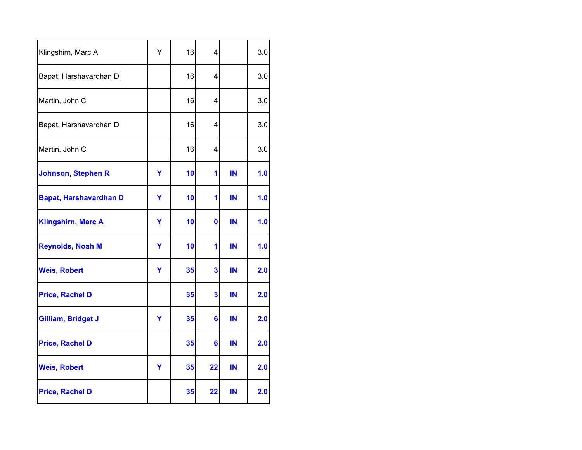| Klingshirn, Marc A            | Y | 16 | 4                       |    | 3.0 |
|-------------------------------|---|----|-------------------------|----|-----|
| Bapat, Harshavardhan D        |   | 16 | 4                       |    | 3.0 |
| Martin, John C                |   | 16 | 4                       |    | 3.0 |
| Bapat, Harshavardhan D        |   | 16 | 4                       |    | 3.0 |
| Martin, John C                |   | 16 | 4                       |    | 3.0 |
| <b>Johnson, Stephen R</b>     | Y | 10 | 1                       | IN | 1.0 |
| <b>Bapat, Harshavardhan D</b> | Y | 10 | 1                       | IN | 1.0 |
| <b>Klingshirn, Marc A</b>     | Y | 10 | $\mathbf 0$             | IN | 1.0 |
| <b>Reynolds, Noah M</b>       | Y | 10 | 1                       | IN | 1.0 |
| <b>Weis, Robert</b>           | Y | 35 | 3                       | IN | 2.0 |
| <b>Price, Rachel D</b>        |   | 35 | $\overline{\mathbf{3}}$ | IN | 2.0 |
| Gilliam, Bridget J            | Ÿ | 35 | $6\phantom{1}6$         | IN | 2.0 |
| <b>Price, Rachel D</b>        |   | 35 | 6                       | IN | 2.0 |
| <b>Weis, Robert</b>           | Y | 35 | 22                      | IN | 2.0 |
| <b>Price, Rachel D</b>        |   | 35 | 22                      | IN | 2.0 |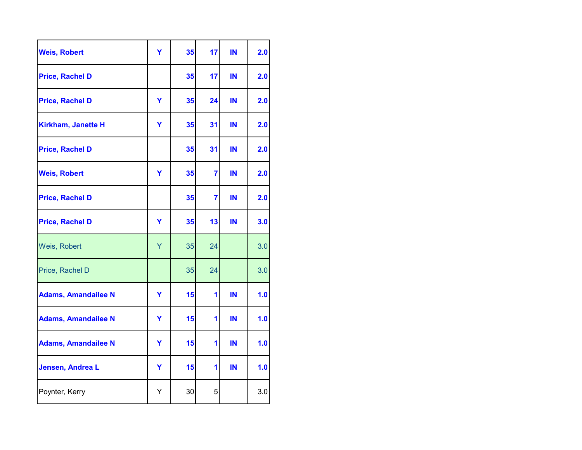| <b>Weis, Robert</b>        | Ÿ | 35 | 17             | IN | 2.0 |
|----------------------------|---|----|----------------|----|-----|
| <b>Price, Rachel D</b>     |   | 35 | 17             | IN | 2.0 |
| <b>Price, Rachel D</b>     | Y | 35 | 24             | IN | 2.0 |
| Kirkham, Janette H         | Ÿ | 35 | 31             | IN | 2.0 |
| <b>Price, Rachel D</b>     |   | 35 | 31             | IN | 2.0 |
| <b>Weis, Robert</b>        | Y | 35 | $\overline{7}$ | IN | 2.0 |
| <b>Price, Rachel D</b>     |   | 35 | $\overline{7}$ | IN | 2.0 |
| <b>Price, Rachel D</b>     | Ÿ | 35 | 13             | IN | 3.0 |
| Weis, Robert               | Y | 35 | 24             |    | 3.0 |
| Price, Rachel D            |   | 35 | 24             |    | 3.0 |
| <b>Adams, Amandailee N</b> | Y | 15 | 1              | IN | 1.0 |
| <b>Adams, Amandailee N</b> | Y | 15 | 1              | IN | 1.0 |
| <b>Adams, Amandailee N</b> | Y | 15 | 1              | IN | 1.0 |
| Jensen, Andrea L           | Y | 15 | 1              | IN | 1.0 |
| Poynter, Kerry             | Υ | 30 | 5              |    | 3.0 |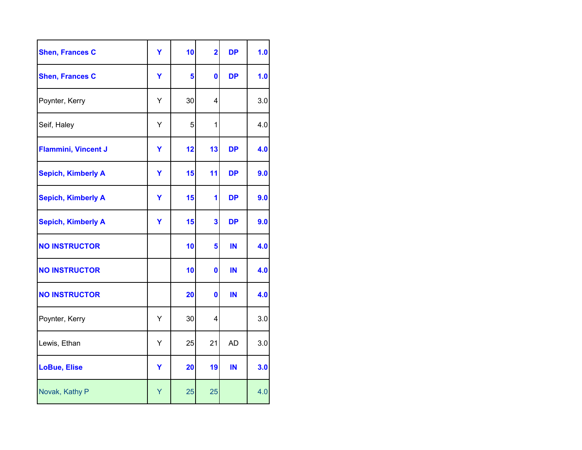| <b>Shen, Frances C</b>     | Ÿ | 10 | $\overline{\mathbf{2}}$ | <b>DP</b> | 1.0 |
|----------------------------|---|----|-------------------------|-----------|-----|
| <b>Shen, Frances C</b>     | Y | 5  | $\mathbf 0$             | <b>DP</b> | 1.0 |
| Poynter, Kerry             | Υ | 30 | 4                       |           | 3.0 |
| Seif, Haley                | Υ | 5  | 1                       |           | 4.0 |
| <b>Flammini, Vincent J</b> | Y | 12 | 13                      | <b>DP</b> | 4.0 |
| <b>Sepich, Kimberly A</b>  | Y | 15 | 11                      | <b>DP</b> | 9.0 |
| <b>Sepich, Kimberly A</b>  | Y | 15 | 1                       | <b>DP</b> | 9.0 |
| <b>Sepich, Kimberly A</b>  | Y | 15 | 3                       | <b>DP</b> | 9.0 |
| <b>NO INSTRUCTOR</b>       |   | 10 | 5                       | IN        | 4.0 |
| <b>NO INSTRUCTOR</b>       |   | 10 | 0                       | IN        | 4.0 |
| <b>NO INSTRUCTOR</b>       |   | 20 | $\mathbf 0$             | IN        | 4.0 |
| Poynter, Kerry             | Υ | 30 | 4                       |           | 3.0 |
| Lewis, Ethan               | Υ | 25 | 21                      | <b>AD</b> | 3.0 |
| <b>LoBue, Elise</b>        | Y | 20 | 19                      | IN        | 3.0 |
| Novak, Kathy P             | Υ | 25 | 25                      |           | 4.0 |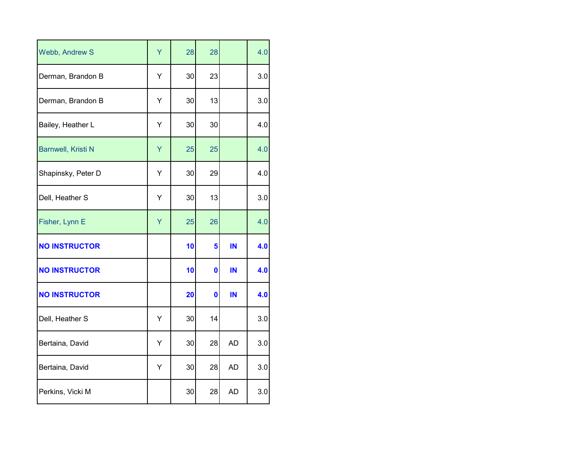| Webb, Andrew S            | Ÿ | 28 | 28          |           | 4.0 |
|---------------------------|---|----|-------------|-----------|-----|
| Derman, Brandon B         | Υ | 30 | 23          |           | 3.0 |
| Derman, Brandon B         | Υ | 30 | 13          |           | 3.0 |
| Bailey, Heather L         | Υ | 30 | 30          |           | 4.0 |
| <b>Barnwell, Kristi N</b> | Y | 25 | 25          |           | 4.0 |
| Shapinsky, Peter D        | Υ | 30 | 29          |           | 4.0 |
| Dell, Heather S           | Υ | 30 | 13          |           | 3.0 |
| Fisher, Lynn E            | Y | 25 | 26          |           | 4.0 |
| <b>NO INSTRUCTOR</b>      |   | 10 | 5           | IN        | 4.0 |
| <b>NO INSTRUCTOR</b>      |   | 10 | $\mathbf 0$ | IN        | 4.0 |
| <b>NO INSTRUCTOR</b>      |   | 20 | 0           | IN        | 4.0 |
| Dell, Heather S           | Υ | 30 | 14          |           | 3.0 |
| Bertaina, David           | Υ | 30 | 28          | <b>AD</b> | 3.0 |
| Bertaina, David           | Υ | 30 | 28          | <b>AD</b> | 3.0 |
| Perkins, Vicki M          |   | 30 | 28          | <b>AD</b> | 3.0 |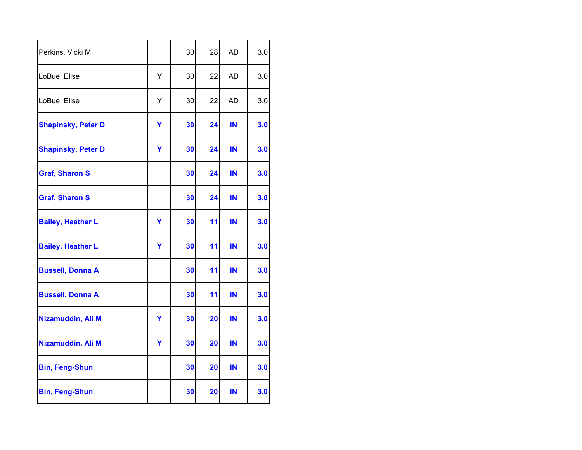| Perkins, Vicki M          |   | 30 | 28 | <b>AD</b> | 3.0 |
|---------------------------|---|----|----|-----------|-----|
| LoBue, Elise              | Y | 30 | 22 | <b>AD</b> | 3.0 |
| LoBue, Elise              | Υ | 30 | 22 | <b>AD</b> | 3.0 |
| <b>Shapinsky, Peter D</b> | Y | 30 | 24 | IN        | 3.0 |
| <b>Shapinsky, Peter D</b> | Y | 30 | 24 | IN        | 3.0 |
| <b>Graf, Sharon S</b>     |   | 30 | 24 | IN        | 3.0 |
| <b>Graf, Sharon S</b>     |   | 30 | 24 | IN        | 3.0 |
| <b>Bailey, Heather L</b>  | Y | 30 | 11 | IN        | 3.0 |
| <b>Bailey, Heather L</b>  | Y | 30 | 11 | IN        | 3.0 |
| <b>Bussell, Donna A</b>   |   | 30 | 11 | IN        | 3.0 |
| <b>Bussell, Donna A</b>   |   | 30 | 11 | IN        | 3.0 |
| Nizamuddin, Ali M         | Y | 30 | 20 | IN        | 3.0 |
| Nizamuddin, Ali M         | Y | 30 | 20 | IN        | 3.0 |
| <b>Bin, Feng-Shun</b>     |   | 30 | 20 | IN        | 3.0 |
| <b>Bin, Feng-Shun</b>     |   | 30 | 20 | IN        | 3.0 |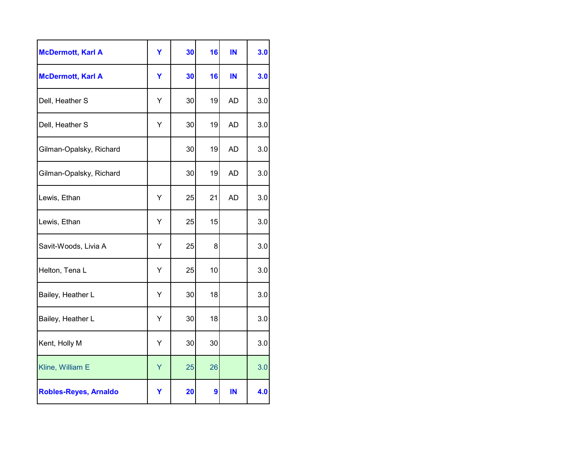| <b>McDermott, Karl A</b>     | Ÿ | 30 | 16 | IN        | 3.0 |
|------------------------------|---|----|----|-----------|-----|
| <b>McDermott, Karl A</b>     | Y | 30 | 16 | IN        | 3.0 |
| Dell, Heather S              | Υ | 30 | 19 | <b>AD</b> | 3.0 |
| Dell, Heather S              | Υ | 30 | 19 | <b>AD</b> | 3.0 |
| Gilman-Opalsky, Richard      |   | 30 | 19 | <b>AD</b> | 3.0 |
| Gilman-Opalsky, Richard      |   | 30 | 19 | <b>AD</b> | 3.0 |
| Lewis, Ethan                 | Υ | 25 | 21 | <b>AD</b> | 3.0 |
| Lewis, Ethan                 | Υ | 25 | 15 |           | 3.0 |
| Savit-Woods, Livia A         | Y | 25 | 8  |           | 3.0 |
| Helton, Tena L               | Υ | 25 | 10 |           | 3.0 |
| Bailey, Heather L            | Υ | 30 | 18 |           | 3.0 |
| Bailey, Heather L            | Y | 30 | 18 |           | 3.0 |
| Kent, Holly M                | Υ | 30 | 30 |           | 3.0 |
| Kline, William E             | Y | 25 | 26 |           | 3.0 |
| <b>Robles-Reyes, Arnaldo</b> | Y | 20 | 9  | ΙN        | 4.0 |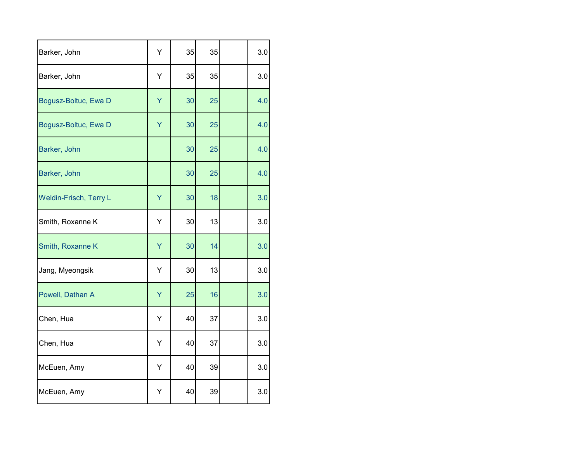| Barker, John           | Υ | 35 | 35 | 3.0 |
|------------------------|---|----|----|-----|
| Barker, John           | Υ | 35 | 35 | 3.0 |
| Bogusz-Boltuc, Ewa D   | Y | 30 | 25 | 4.0 |
| Bogusz-Boltuc, Ewa D   | Y | 30 | 25 | 4.0 |
| Barker, John           |   | 30 | 25 | 4.0 |
| Barker, John           |   | 30 | 25 | 4.0 |
| Weldin-Frisch, Terry L | Ÿ | 30 | 18 | 3.0 |
| Smith, Roxanne K       | Υ | 30 | 13 | 3.0 |
| Smith, Roxanne K       | Y | 30 | 14 | 3.0 |
| Jang, Myeongsik        | Υ | 30 | 13 | 3.0 |
| Powell, Dathan A       | Ÿ | 25 | 16 | 3.0 |
| Chen, Hua              | Υ | 40 | 37 | 3.0 |
| Chen, Hua              | Υ | 40 | 37 | 3.0 |
| McEuen, Amy            | Υ | 40 | 39 | 3.0 |
| McEuen, Amy            | Y | 40 | 39 | 3.0 |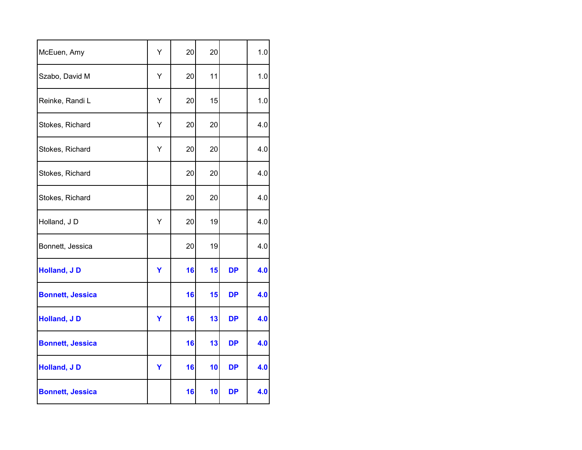| McEuen, Amy             | Υ | 20 | 20 |           | 1.0 |
|-------------------------|---|----|----|-----------|-----|
| Szabo, David M          | Υ | 20 | 11 |           | 1.0 |
| Reinke, Randi L         | Υ | 20 | 15 |           | 1.0 |
| Stokes, Richard         | Υ | 20 | 20 |           | 4.0 |
| Stokes, Richard         | Υ | 20 | 20 |           | 4.0 |
| Stokes, Richard         |   | 20 | 20 |           | 4.0 |
| Stokes, Richard         |   | 20 | 20 |           | 4.0 |
| Holland, JD             | Υ | 20 | 19 |           | 4.0 |
| Bonnett, Jessica        |   | 20 | 19 |           | 4.0 |
| <b>Holland, JD</b>      | Y | 16 | 15 | <b>DP</b> | 4.0 |
| <b>Bonnett, Jessica</b> |   | 16 | 15 | <b>DP</b> | 4.0 |
| <b>Holland, JD</b>      | Y | 16 | 13 | <b>DP</b> | 4.0 |
| <b>Bonnett, Jessica</b> |   | 16 | 13 | <b>DP</b> | 4.0 |
| Holland, JD             | Y | 16 | 10 | <b>DP</b> | 4.0 |
| <b>Bonnett, Jessica</b> |   | 16 | 10 | <b>DP</b> | 4.0 |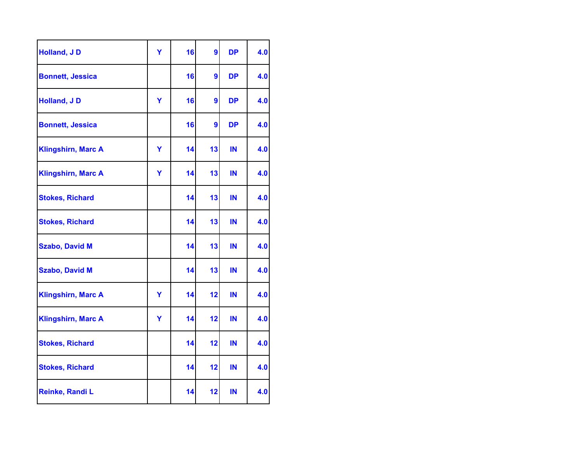| <b>Holland, JD</b>        | Ÿ | 16 | 9  | <b>DP</b> | 4.0 |
|---------------------------|---|----|----|-----------|-----|
| <b>Bonnett, Jessica</b>   |   | 16 | 9  | <b>DP</b> | 4.0 |
| <b>Holland, JD</b>        | Ÿ | 16 | 9  | <b>DP</b> | 4.0 |
| <b>Bonnett, Jessica</b>   |   | 16 | 9  | <b>DP</b> | 4.0 |
| <b>Klingshirn, Marc A</b> | Y | 14 | 13 | IN        | 4.0 |
| <b>Klingshirn, Marc A</b> | Y | 14 | 13 | IN        | 4.0 |
| <b>Stokes, Richard</b>    |   | 14 | 13 | IN        | 4.0 |
| <b>Stokes, Richard</b>    |   | 14 | 13 | IN        | 4.0 |
| <b>Szabo, David M</b>     |   | 14 | 13 | IN        | 4.0 |
| <b>Szabo, David M</b>     |   | 14 | 13 | IN        | 4.0 |
| <b>Klingshirn, Marc A</b> | Y | 14 | 12 | IN        | 4.0 |
| <b>Klingshirn, Marc A</b> | Y | 14 | 12 | IN        | 4.0 |
| <b>Stokes, Richard</b>    |   | 14 | 12 | IN        | 4.0 |
| <b>Stokes, Richard</b>    |   | 14 | 12 | IN        | 4.0 |
| Reinke, Randi L           |   | 14 | 12 | IN        | 4.0 |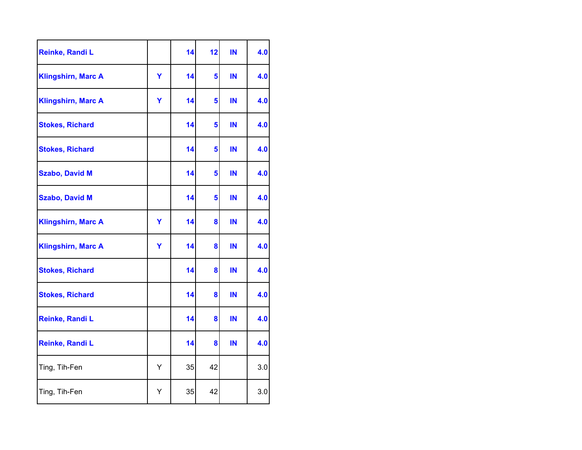| Reinke, Randi L           |   | 14 | 12 | IN | 4.0 |
|---------------------------|---|----|----|----|-----|
| <b>Klingshirn, Marc A</b> | Y | 14 | 5  | IN | 4.0 |
| <b>Klingshirn, Marc A</b> | Ÿ | 14 | 5  | IN | 4.0 |
| <b>Stokes, Richard</b>    |   | 14 | 5  | IN | 4.0 |
| <b>Stokes, Richard</b>    |   | 14 | 5  | IN | 4.0 |
| <b>Szabo, David M</b>     |   | 14 | 5  | IN | 4.0 |
| <b>Szabo, David M</b>     |   | 14 | 5  | IN | 4.0 |
| <b>Klingshirn, Marc A</b> | Y | 14 | 8  | IN | 4.0 |
| <b>Klingshirn, Marc A</b> | Y | 14 | 8  | IN | 4.0 |
| <b>Stokes, Richard</b>    |   | 14 | 8  | IN | 4.0 |
| <b>Stokes, Richard</b>    |   | 14 | 8  | IN | 4.0 |
| Reinke, Randi L           |   | 14 | 8  | IN | 4.0 |
| Reinke, Randi L           |   | 14 | 8  | IN | 4.0 |
| Ting, Tih-Fen             | Υ | 35 | 42 |    | 3.0 |
| Ting, Tih-Fen             | Υ | 35 | 42 |    | 3.0 |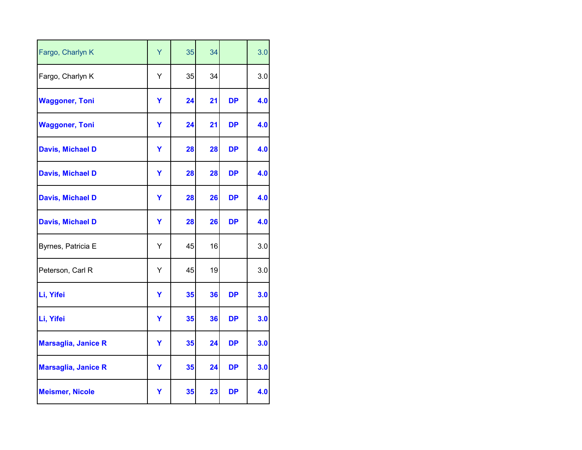| Fargo, Charlyn K           | Ÿ | 35 | 34 |           | 3.0 |
|----------------------------|---|----|----|-----------|-----|
| Fargo, Charlyn K           | Y | 35 | 34 |           | 3.0 |
| <b>Waggoner, Toni</b>      | Y | 24 | 21 | <b>DP</b> | 4.0 |
| <b>Waggoner, Toni</b>      | Y | 24 | 21 | <b>DP</b> | 4.0 |
| <b>Davis, Michael D</b>    | Y | 28 | 28 | <b>DP</b> | 4.0 |
| <b>Davis, Michael D</b>    | Y | 28 | 28 | <b>DP</b> | 4.0 |
| <b>Davis, Michael D</b>    | Y | 28 | 26 | <b>DP</b> | 4.0 |
| <b>Davis, Michael D</b>    | Y | 28 | 26 | <b>DP</b> | 4.0 |
| Byrnes, Patricia E         | Y | 45 | 16 |           | 3.0 |
| Peterson, Carl R           | Υ | 45 | 19 |           | 3.0 |
| Li, Yifei                  | Ÿ | 35 | 36 | <b>DP</b> | 3.0 |
| Li, Yifei                  | Y | 35 | 36 | <b>DP</b> | 3.0 |
| <b>Marsaglia, Janice R</b> | Y | 35 | 24 | <b>DP</b> | 3.0 |
| <b>Marsaglia, Janice R</b> | Y | 35 | 24 | <b>DP</b> | 3.0 |
| <b>Meismer, Nicole</b>     | Υ | 35 | 23 | DP        | 4.0 |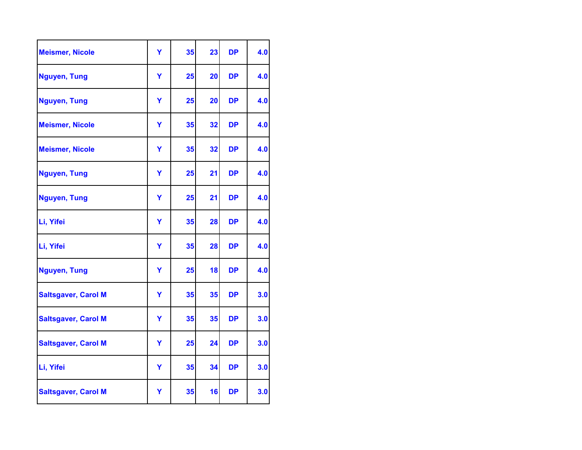| <b>Meismer, Nicole</b>     | Ÿ | 35 | 23 | <b>DP</b> | 4.0 |
|----------------------------|---|----|----|-----------|-----|
| Nguyen, Tung               | Y | 25 | 20 | <b>DP</b> | 4.0 |
| Nguyen, Tung               | Y | 25 | 20 | <b>DP</b> | 4.0 |
| <b>Meismer, Nicole</b>     | Y | 35 | 32 | <b>DP</b> | 4.0 |
| <b>Meismer, Nicole</b>     | Y | 35 | 32 | <b>DP</b> | 4.0 |
| Nguyen, Tung               | Y | 25 | 21 | <b>DP</b> | 4.0 |
| Nguyen, Tung               | Y | 25 | 21 | <b>DP</b> | 4.0 |
| Li, Yifei                  | Y | 35 | 28 | <b>DP</b> | 4.0 |
| Li, Yifei                  | Ÿ | 35 | 28 | <b>DP</b> | 4.0 |
| Nguyen, Tung               | Y | 25 | 18 | <b>DP</b> | 4.0 |
| <b>Saltsgaver, Carol M</b> | Ÿ | 35 | 35 | <b>DP</b> | 3.0 |
| <b>Saltsgaver, Carol M</b> | Ÿ | 35 | 35 | <b>DP</b> | 3.0 |
| <b>Saltsgaver, Carol M</b> | Ÿ | 25 | 24 | <b>DP</b> | 3.0 |
| Li, Yifei                  | Y | 35 | 34 | <b>DP</b> | 3.0 |
| <b>Saltsgaver, Carol M</b> | Υ | 35 | 16 | <b>DP</b> | 3.0 |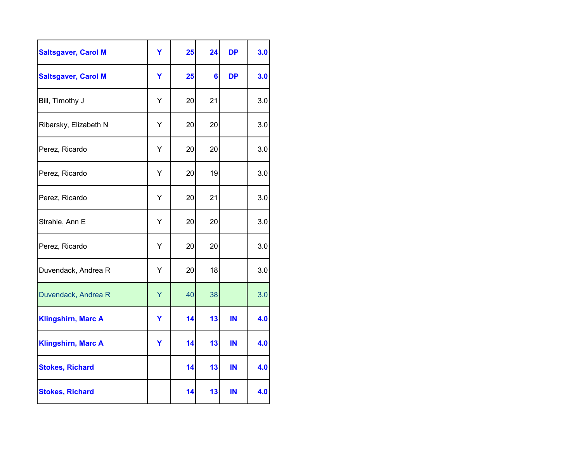| <b>Saltsgaver, Carol M</b> | Ÿ | 25 | 24             | <b>DP</b> | 3.0 |
|----------------------------|---|----|----------------|-----------|-----|
| <b>Saltsgaver, Carol M</b> | Y | 25 | $6\phantom{a}$ | <b>DP</b> | 3.0 |
| Bill, Timothy J            | Υ | 20 | 21             |           | 3.0 |
| Ribarsky, Elizabeth N      | Υ | 20 | 20             |           | 3.0 |
| Perez, Ricardo             | Υ | 20 | 20             |           | 3.0 |
| Perez, Ricardo             | Υ | 20 | 19             |           | 3.0 |
| Perez, Ricardo             | Υ | 20 | 21             |           | 3.0 |
| Strahle, Ann E             | Y | 20 | 20             |           | 3.0 |
| Perez, Ricardo             | Υ | 20 | 20             |           | 3.0 |
| Duvendack, Andrea R        | Υ | 20 | 18             |           | 3.0 |
| Duvendack, Andrea R        | Y | 40 | 38             |           | 3.0 |
| <b>Klingshirn, Marc A</b>  | Y | 14 | 13             | IN        | 4.0 |
| <b>Klingshirn, Marc A</b>  | Y | 14 | 13             | IN        | 4.0 |
| <b>Stokes, Richard</b>     |   | 14 | 13             | IN        | 4.0 |
| <b>Stokes, Richard</b>     |   | 14 | 13             | IN        | 4.0 |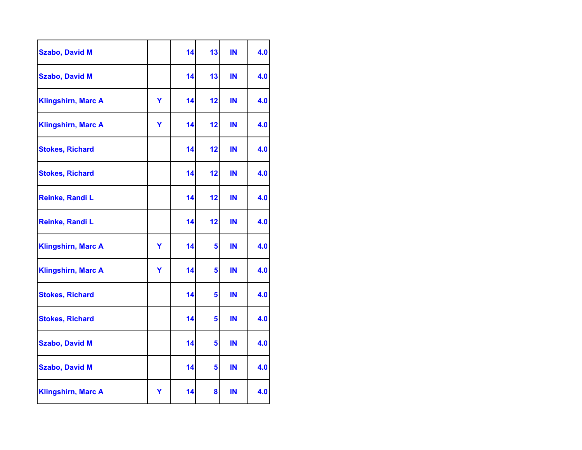| <b>Szabo, David M</b>     |   | 14 | 13 | IN | 4.0 |
|---------------------------|---|----|----|----|-----|
| <b>Szabo, David M</b>     |   | 14 | 13 | IN | 4.0 |
| <b>Klingshirn, Marc A</b> | Y | 14 | 12 | IN | 4.0 |
| <b>Klingshirn, Marc A</b> | Y | 14 | 12 | IN | 4.0 |
| <b>Stokes, Richard</b>    |   | 14 | 12 | IN | 4.0 |
| <b>Stokes, Richard</b>    |   | 14 | 12 | IN | 4.0 |
| Reinke, Randi L           |   | 14 | 12 | IN | 4.0 |
| Reinke, Randi L           |   | 14 | 12 | IN | 4.0 |
| <b>Klingshirn, Marc A</b> | Y | 14 | 5  | IN | 4.0 |
| <b>Klingshirn, Marc A</b> | Y | 14 | 5  | IN | 4.0 |
| <b>Stokes, Richard</b>    |   | 14 | 5  | IN | 4.0 |
| <b>Stokes, Richard</b>    |   | 14 | 5  | IN | 4.0 |
| <b>Szabo, David M</b>     |   | 14 | 5  | IN | 4.0 |
| <b>Szabo, David M</b>     |   | 14 | 5  | IN | 4.0 |
| <b>Klingshirn, Marc A</b> | Υ | 14 | 8  | IN | 4.0 |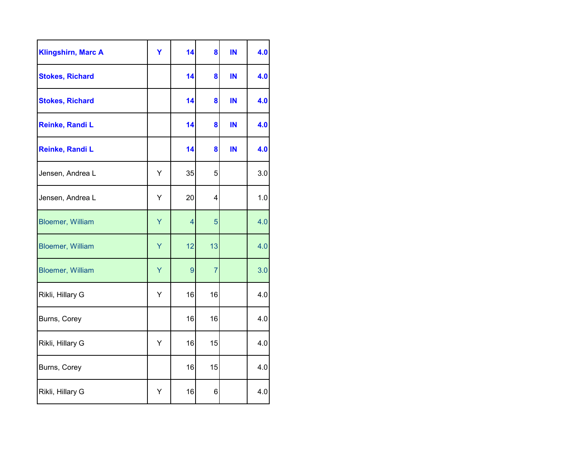| <b>Klingshirn, Marc A</b> | Ÿ | 14             | 8  | IN | 4.0 |
|---------------------------|---|----------------|----|----|-----|
| <b>Stokes, Richard</b>    |   | 14             | 8  | IN | 4.0 |
| <b>Stokes, Richard</b>    |   | 14             | 8  | IN | 4.0 |
| Reinke, Randi L           |   | 14             | 8  | IN | 4.0 |
| Reinke, Randi L           |   | 14             | 8  | IN | 4.0 |
| Jensen, Andrea L          | Υ | 35             | 5  |    | 3.0 |
| Jensen, Andrea L          | Υ | 20             | 4  |    | 1.0 |
| <b>Bloemer, William</b>   | Y | $\overline{4}$ | 5  |    | 4.0 |
| <b>Bloemer, William</b>   | Y | 12             | 13 |    | 4.0 |
| <b>Bloemer, William</b>   | Y | 9              | 7  |    | 3.0 |
| Rikli, Hillary G          | Υ | 16             | 16 |    | 4.0 |
| Burns, Corey              |   | 16             | 16 |    | 4.0 |
| Rikli, Hillary G          | Υ | 16             | 15 |    | 4.0 |
| Burns, Corey              |   | 16             | 15 |    | 4.0 |
| Rikli, Hillary G          | Υ | 16             | 6  |    | 4.0 |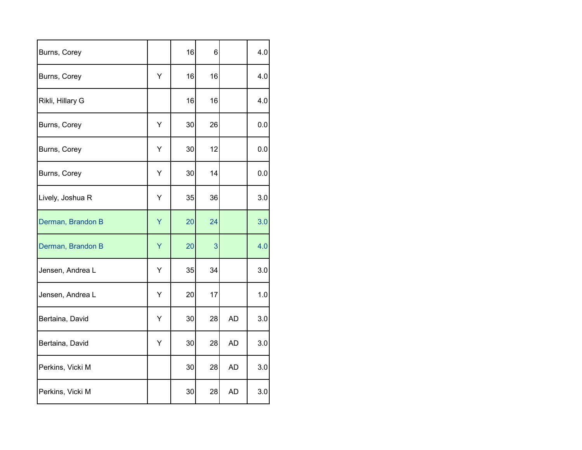| Burns, Corey      |   | 16 | 6  |           | 4.0 |
|-------------------|---|----|----|-----------|-----|
| Burns, Corey      | Υ | 16 | 16 |           | 4.0 |
| Rikli, Hillary G  |   | 16 | 16 |           | 4.0 |
| Burns, Corey      | Υ | 30 | 26 |           | 0.0 |
| Burns, Corey      | Υ | 30 | 12 |           | 0.0 |
| Burns, Corey      | Υ | 30 | 14 |           | 0.0 |
| Lively, Joshua R  | Υ | 35 | 36 |           | 3.0 |
| Derman, Brandon B | Y | 20 | 24 |           | 3.0 |
| Derman, Brandon B | Υ | 20 | 3  |           | 4.0 |
| Jensen, Andrea L  | Υ | 35 | 34 |           | 3.0 |
| Jensen, Andrea L  | Υ | 20 | 17 |           | 1.0 |
| Bertaina, David   | Y | 30 | 28 | <b>AD</b> | 3.0 |
| Bertaina, David   | Υ | 30 | 28 | <b>AD</b> | 3.0 |
| Perkins, Vicki M  |   | 30 | 28 | <b>AD</b> | 3.0 |
| Perkins, Vicki M  |   | 30 | 28 | <b>AD</b> | 3.0 |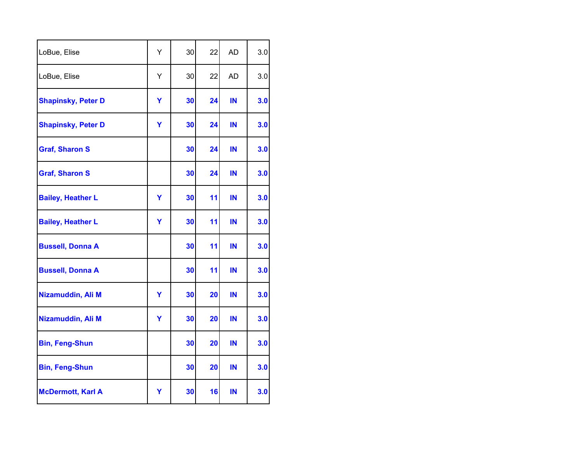| LoBue, Elise              | Y | 30 | 22 | <b>AD</b> | 3.0 |
|---------------------------|---|----|----|-----------|-----|
| LoBue, Elise              | Y | 30 | 22 | <b>AD</b> | 3.0 |
| <b>Shapinsky, Peter D</b> | Υ | 30 | 24 | IN        | 3.0 |
| <b>Shapinsky, Peter D</b> | Y | 30 | 24 | IN        | 3.0 |
| <b>Graf, Sharon S</b>     |   | 30 | 24 | IN        | 3.0 |
| <b>Graf, Sharon S</b>     |   | 30 | 24 | IN        | 3.0 |
| <b>Bailey, Heather L</b>  | Y | 30 | 11 | IN        | 3.0 |
| <b>Bailey, Heather L</b>  | Y | 30 | 11 | IN        | 3.0 |
| <b>Bussell, Donna A</b>   |   | 30 | 11 | IN        | 3.0 |
| <b>Bussell, Donna A</b>   |   | 30 | 11 | IN        | 3.0 |
| Nizamuddin, Ali M         | Y | 30 | 20 | IN        | 3.0 |
| Nizamuddin, Ali M         | Y | 30 | 20 | IN        | 3.0 |
| <b>Bin, Feng-Shun</b>     |   | 30 | 20 | IN        | 3.0 |
| <b>Bin, Feng-Shun</b>     |   | 30 | 20 | IN        | 3.0 |
| <b>McDermott, Karl A</b>  | Y | 30 | 16 | IN        | 3.0 |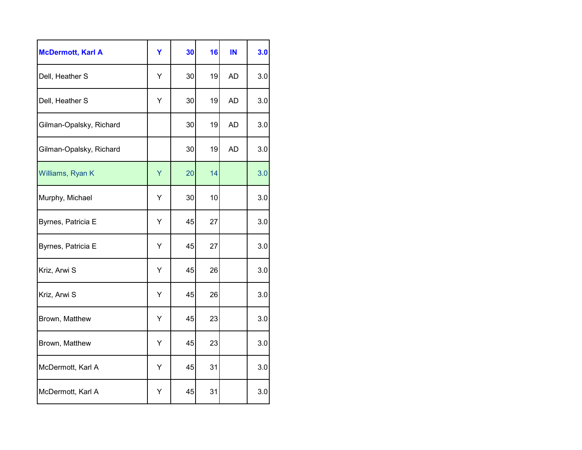| <b>McDermott, Karl A</b> | Y | 30 | 16 | IN        | 3.0 |
|--------------------------|---|----|----|-----------|-----|
| Dell, Heather S          | Υ | 30 | 19 | <b>AD</b> | 3.0 |
| Dell, Heather S          | Υ | 30 | 19 | <b>AD</b> | 3.0 |
| Gilman-Opalsky, Richard  |   | 30 | 19 | <b>AD</b> | 3.0 |
| Gilman-Opalsky, Richard  |   | 30 | 19 | <b>AD</b> | 3.0 |
| Williams, Ryan K         | Y | 20 | 14 |           | 3.0 |
| Murphy, Michael          | Υ | 30 | 10 |           | 3.0 |
| Byrnes, Patricia E       | Υ | 45 | 27 |           | 3.0 |
| Byrnes, Patricia E       | Υ | 45 | 27 |           | 3.0 |
| Kriz, Arwi S             | Υ | 45 | 26 |           | 3.0 |
| Kriz, Arwi S             | Υ | 45 | 26 |           | 3.0 |
| Brown, Matthew           | Υ | 45 | 23 |           | 3.0 |
| Brown, Matthew           | Υ | 45 | 23 |           | 3.0 |
| McDermott, Karl A        | Y | 45 | 31 |           | 3.0 |
| McDermott, Karl A        | Y | 45 | 31 |           | 3.0 |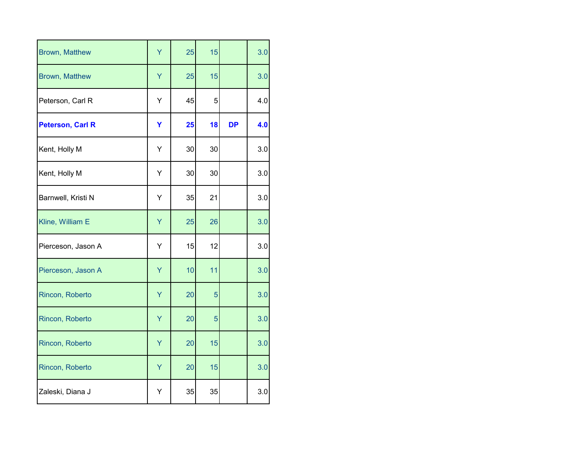| Brown, Matthew          | Ÿ | 25 | 15 |           | 3.0 |
|-------------------------|---|----|----|-----------|-----|
| Brown, Matthew          | Ÿ | 25 | 15 |           | 3.0 |
| Peterson, Carl R        | Υ | 45 | 5  |           | 4.0 |
| <b>Peterson, Carl R</b> | Y | 25 | 18 | <b>DP</b> | 4.0 |
| Kent, Holly M           | Υ | 30 | 30 |           | 3.0 |
| Kent, Holly M           | Υ | 30 | 30 |           | 3.0 |
| Barnwell, Kristi N      | Υ | 35 | 21 |           | 3.0 |
| Kline, William E        | Y | 25 | 26 |           | 3.0 |
| Pierceson, Jason A      | Υ | 15 | 12 |           | 3.0 |
| Pierceson, Jason A      | Ÿ | 10 | 11 |           | 3.0 |
| Rincon, Roberto         | Ÿ | 20 | 5  |           | 3.0 |
| Rincon, Roberto         | Y | 20 | 5  |           | 3.0 |
| Rincon, Roberto         | Y | 20 | 15 |           | 3.0 |
| Rincon, Roberto         | Ÿ | 20 | 15 |           | 3.0 |
| Zaleski, Diana J        | Y | 35 | 35 |           | 3.0 |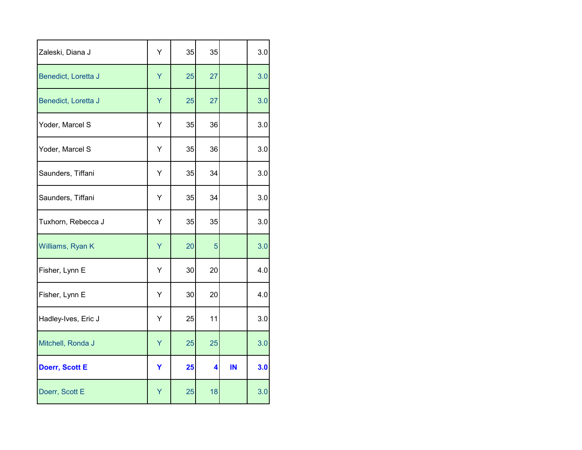| Zaleski, Diana J      | Υ | 35 | 35 |    | 3.0 |
|-----------------------|---|----|----|----|-----|
| Benedict, Loretta J   | Ÿ | 25 | 27 |    | 3.0 |
| Benedict, Loretta J   | Y | 25 | 27 |    | 3.0 |
| Yoder, Marcel S       | Υ | 35 | 36 |    | 3.0 |
| Yoder, Marcel S       | Υ | 35 | 36 |    | 3.0 |
| Saunders, Tiffani     | Υ | 35 | 34 |    | 3.0 |
| Saunders, Tiffani     | Υ | 35 | 34 |    | 3.0 |
| Tuxhorn, Rebecca J    | Υ | 35 | 35 |    | 3.0 |
| Williams, Ryan K      | Υ | 20 | 5  |    | 3.0 |
| Fisher, Lynn E        | Υ | 30 | 20 |    | 4.0 |
| Fisher, Lynn E        | Υ | 30 | 20 |    | 4.0 |
| Hadley-Ives, Eric J   | Y | 25 | 11 |    | 3.0 |
| Mitchell, Ronda J     | Y | 25 | 25 |    | 3.0 |
| <b>Doerr, Scott E</b> | Y | 25 | 4  | IN | 3.0 |
| Doerr, Scott E        | Y | 25 | 18 |    | 3.0 |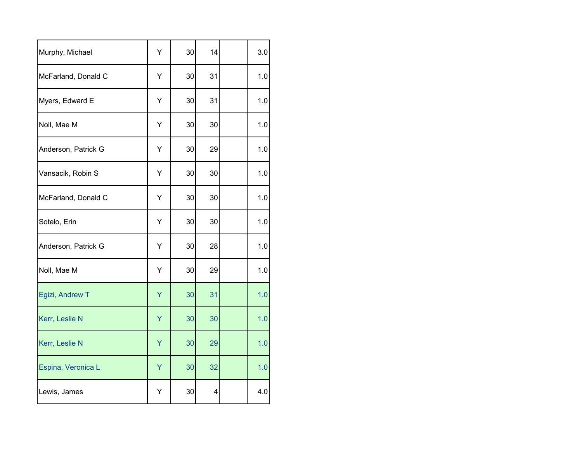| Murphy, Michael     | Υ | 30 | 14 | 3.0 |
|---------------------|---|----|----|-----|
| McFarland, Donald C | Υ | 30 | 31 | 1.0 |
| Myers, Edward E     | Υ | 30 | 31 | 1.0 |
| Noll, Mae M         | Υ | 30 | 30 | 1.0 |
| Anderson, Patrick G | Υ | 30 | 29 | 1.0 |
| Vansacik, Robin S   | Υ | 30 | 30 | 1.0 |
| McFarland, Donald C | Υ | 30 | 30 | 1.0 |
| Sotelo, Erin        | Υ | 30 | 30 | 1.0 |
| Anderson, Patrick G | Υ | 30 | 28 | 1.0 |
| Noll, Mae M         | Υ | 30 | 29 | 1.0 |
| Egizi, Andrew T     | Ÿ | 30 | 31 | 1.0 |
| Kerr, Leslie N      | Υ | 30 | 30 | 1.0 |
| Kerr, Leslie N      | Y | 30 | 29 | 1.0 |
| Espina, Veronica L  | Y | 30 | 32 | 1.0 |
| Lewis, James        | Y | 30 | 4  | 4.0 |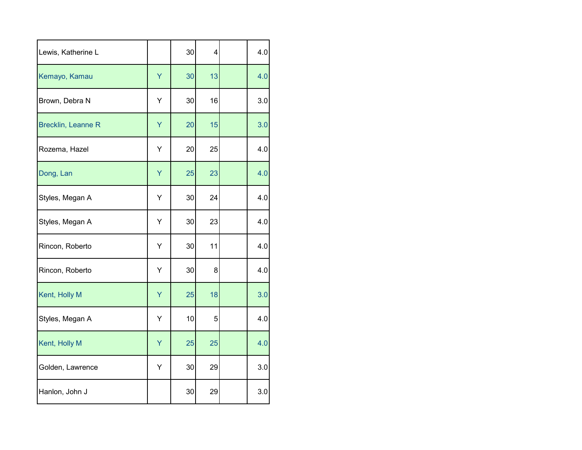| Lewis, Katherine L        |   | 30 | 4  | 4.0 |
|---------------------------|---|----|----|-----|
| Kemayo, Kamau             | Ÿ | 30 | 13 | 4.0 |
| Brown, Debra N            | Υ | 30 | 16 | 3.0 |
| <b>Brecklin, Leanne R</b> | Ÿ | 20 | 15 | 3.0 |
| Rozema, Hazel             | Υ | 20 | 25 | 4.0 |
| Dong, Lan                 | Y | 25 | 23 | 4.0 |
| Styles, Megan A           | Υ | 30 | 24 | 4.0 |
| Styles, Megan A           | Υ | 30 | 23 | 4.0 |
| Rincon, Roberto           | Υ | 30 | 11 | 4.0 |
| Rincon, Roberto           | Υ | 30 | 8  | 4.0 |
| Kent, Holly M             | Y | 25 | 18 | 3.0 |
| Styles, Megan A           | Υ | 10 | 5  | 4.0 |
| Kent, Holly M             | Y | 25 | 25 | 4.0 |
| Golden, Lawrence          | Υ | 30 | 29 | 3.0 |
| Hanlon, John J            |   | 30 | 29 | 3.0 |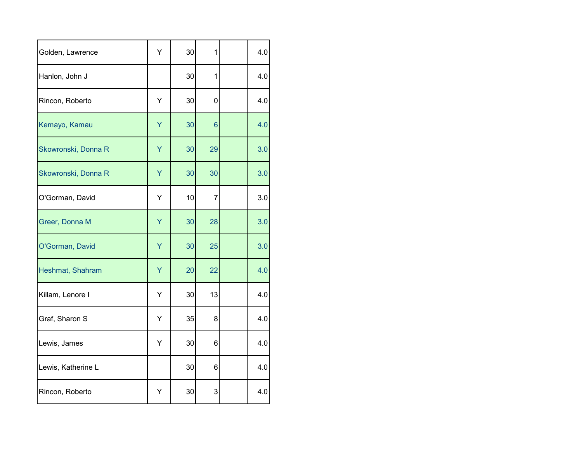| Golden, Lawrence    | Y | 30 | 1               | 4.0 |
|---------------------|---|----|-----------------|-----|
| Hanlon, John J      |   | 30 | 1               | 4.0 |
| Rincon, Roberto     | Y | 30 | $\mathbf 0$     | 4.0 |
| Kemayo, Kamau       | Y | 30 | $6\phantom{1}6$ | 4.0 |
| Skowronski, Donna R | Y | 30 | 29              | 3.0 |
| Skowronski, Donna R | Υ | 30 | 30              | 3.0 |
| O'Gorman, David     | Υ | 10 | $\overline{7}$  | 3.0 |
| Greer, Donna M      | Y | 30 | 28              | 3.0 |
| O'Gorman, David     | Y | 30 | 25              | 3.0 |
| Heshmat, Shahram    | Υ | 20 | 22              | 4.0 |
| Killam, Lenore I    | Υ | 30 | 13              | 4.0 |
| Graf, Sharon S      | Υ | 35 | 8               | 4.0 |
| Lewis, James        | Υ | 30 | 6               | 4.0 |
| Lewis, Katherine L  |   | 30 | 6               | 4.0 |
| Rincon, Roberto     | Y | 30 | 3               | 4.0 |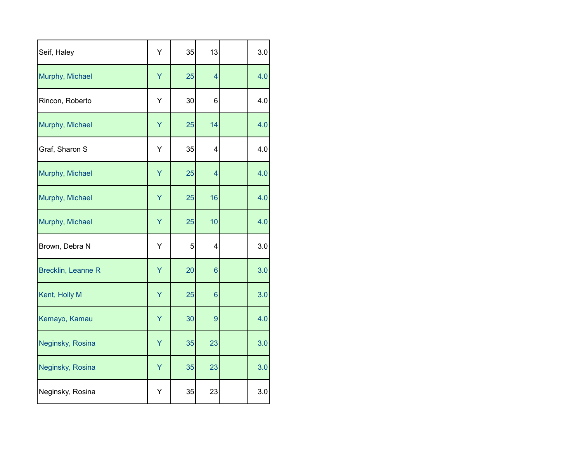| Seif, Haley               | Υ | 35 | 13              | 3.0 |
|---------------------------|---|----|-----------------|-----|
| Murphy, Michael           | Y | 25 | $\overline{4}$  | 4.0 |
| Rincon, Roberto           | Υ | 30 | 6               | 4.0 |
| Murphy, Michael           | Y | 25 | 14              | 4.0 |
| Graf, Sharon S            | Υ | 35 | 4               | 4.0 |
| Murphy, Michael           | Υ | 25 | $\overline{4}$  | 4.0 |
| Murphy, Michael           | Y | 25 | 16              | 4.0 |
| Murphy, Michael           | Υ | 25 | 10              | 4.0 |
| Brown, Debra N            | Υ | 5  | 4               | 3.0 |
| <b>Brecklin, Leanne R</b> | Υ | 20 | $6\phantom{1}6$ | 3.0 |
| Kent, Holly M             | Υ | 25 | $6\phantom{1}6$ | 3.0 |
| Kemayo, Kamau             | Υ | 30 | 9               | 4.0 |
| Neginsky, Rosina          | Y | 35 | 23              | 3.0 |
| Neginsky, Rosina          | Υ | 35 | 23              | 3.0 |
| Neginsky, Rosina          | Υ | 35 | 23              | 3.0 |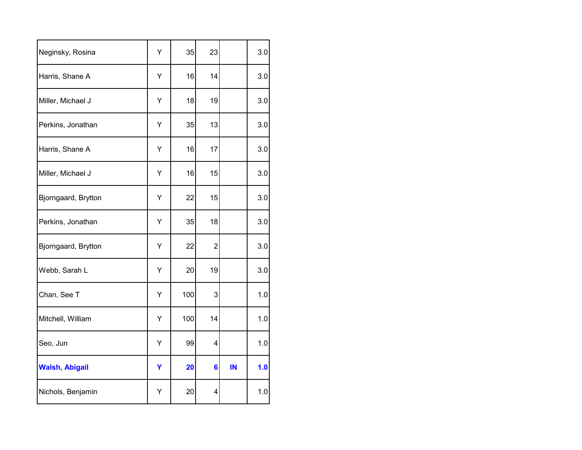| Neginsky, Rosina      | Υ | 35  | 23              |    | 3.0 |
|-----------------------|---|-----|-----------------|----|-----|
| Harris, Shane A       | Υ | 16  | 14              |    | 3.0 |
| Miller, Michael J     | Υ | 18  | 19              |    | 3.0 |
| Perkins, Jonathan     | Υ | 35  | 13              |    | 3.0 |
| Harris, Shane A       | Υ | 16  | 17              |    | 3.0 |
| Miller, Michael J     | Υ | 16  | 15              |    | 3.0 |
| Bjorngaard, Brytton   | Υ | 22  | 15              |    | 3.0 |
| Perkins, Jonathan     | Υ | 35  | 18              |    | 3.0 |
| Bjorngaard, Brytton   | Υ | 22  | $\overline{c}$  |    | 3.0 |
| Webb, Sarah L         | Υ | 20  | 19              |    | 3.0 |
| Chan, See T           | Υ | 100 | 3               |    | 1.0 |
| Mitchell, William     | Υ | 100 | 14              |    | 1.0 |
| Seo, Jun              | Υ | 99  | 4               |    | 1.0 |
| <b>Walsh, Abigail</b> | Υ | 20  | $6\phantom{1}6$ | IN | 1.0 |
| Nichols, Benjamin     | Y | 20  | 4               |    | 1.0 |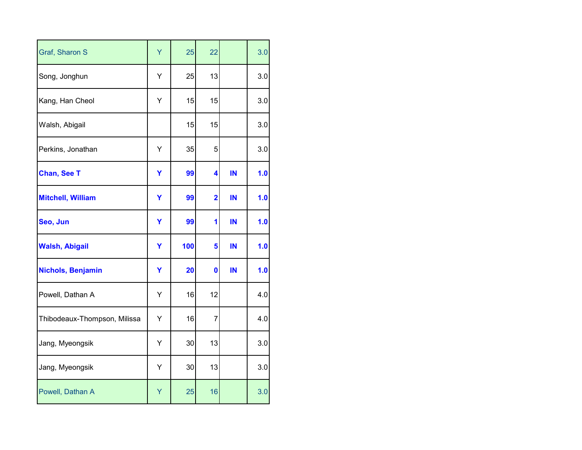| Graf, Sharon S               | Ÿ | 25  | 22                      |    | 3.0 |
|------------------------------|---|-----|-------------------------|----|-----|
| Song, Jonghun                | Υ | 25  | 13                      |    | 3.0 |
| Kang, Han Cheol              | Υ | 15  | 15                      |    | 3.0 |
| Walsh, Abigail               |   | 15  | 15                      |    | 3.0 |
| Perkins, Jonathan            | Υ | 35  | 5                       |    | 3.0 |
| <b>Chan, See T</b>           | Y | 99  | 4                       | IN | 1.0 |
| <b>Mitchell, William</b>     | Y | 99  | $\overline{\mathbf{2}}$ | IN | 1.0 |
| Seo, Jun                     | Y | 99  | 1                       | IN | 1.0 |
| <b>Walsh, Abigail</b>        | Y | 100 | 5                       | IN | 1.0 |
| <b>Nichols, Benjamin</b>     | Y | 20  | $\mathbf 0$             | IN | 1.0 |
| Powell, Dathan A             | Υ | 16  | 12                      |    | 4.0 |
| Thibodeaux-Thompson, Milissa | Υ | 16  | $\overline{7}$          |    | 4.0 |
| Jang, Myeongsik              | Υ | 30  | 13                      |    | 3.0 |
| Jang, Myeongsik              | Υ | 30  | 13                      |    | 3.0 |
| Powell, Dathan A             | Y | 25  | 16                      |    | 3.0 |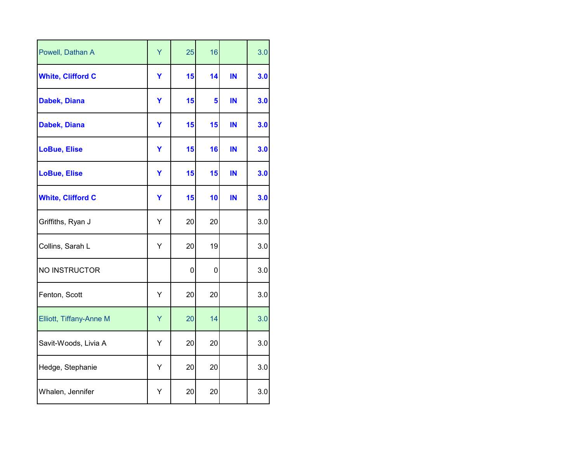| Powell, Dathan A         | Ÿ | 25          | 16 |    | 3.0 |
|--------------------------|---|-------------|----|----|-----|
| <b>White, Clifford C</b> | Y | 15          | 14 | IN | 3.0 |
| Dabek, Diana             | Y | 15          | 5  | IN | 3.0 |
| Dabek, Diana             | Y | 15          | 15 | IN | 3.0 |
| <b>LoBue, Elise</b>      | Y | 15          | 16 | IN | 3.0 |
| <b>LoBue, Elise</b>      | Y | 15          | 15 | IN | 3.0 |
| <b>White, Clifford C</b> | Y | 15          | 10 | IN | 3.0 |
| Griffiths, Ryan J        | Υ | 20          | 20 |    | 3.0 |
| Collins, Sarah L         | Υ | 20          | 19 |    | 3.0 |
| NO INSTRUCTOR            |   | $\mathbf 0$ | 0  |    | 3.0 |
| Fenton, Scott            | Υ | 20          | 20 |    | 3.0 |
| Elliott, Tiffany-Anne M  | Y | 20          | 14 |    | 3.0 |
| Savit-Woods, Livia A     | Υ | 20          | 20 |    | 3.0 |
| Hedge, Stephanie         | Υ | 20          | 20 |    | 3.0 |
| Whalen, Jennifer         | Υ | 20          | 20 |    | 3.0 |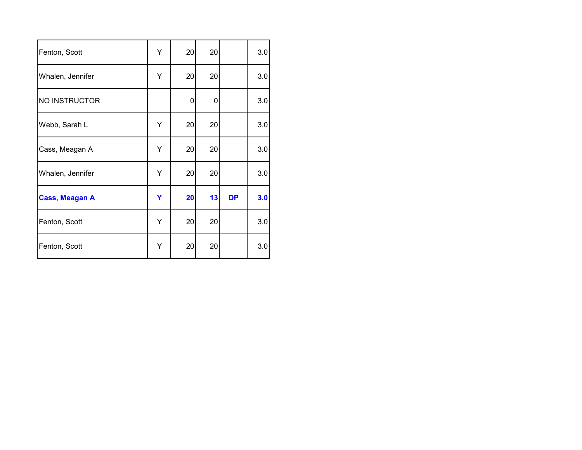| Fenton, Scott         | Υ | 20 | 20 |           | 3.0 |
|-----------------------|---|----|----|-----------|-----|
| Whalen, Jennifer      | Υ | 20 | 20 |           | 3.0 |
| NO INSTRUCTOR         |   | 0  | 0  |           | 3.0 |
| Webb, Sarah L         | Υ | 20 | 20 |           | 3.0 |
| Cass, Meagan A        | Y | 20 | 20 |           | 3.0 |
| Whalen, Jennifer      | Υ | 20 | 20 |           | 3.0 |
| <b>Cass, Meagan A</b> | Y | 20 | 13 | <b>DP</b> | 3.0 |
| Fenton, Scott         | Υ | 20 | 20 |           | 3.0 |
| Fenton, Scott         | Υ | 20 | 20 |           | 3.0 |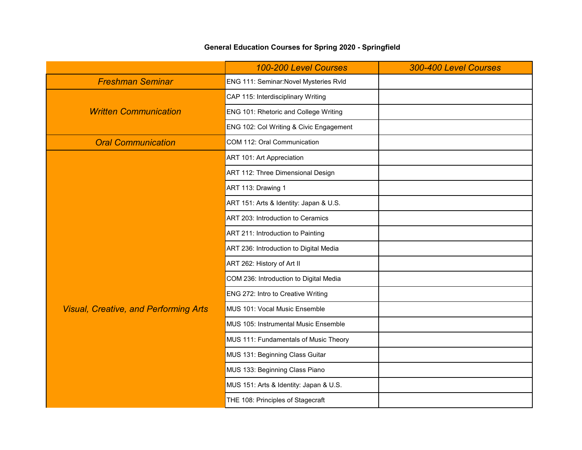## **General Education Courses for Spring 2020 - Springfield**

|                                              | 100-200 Level Courses                   | 300-400 Level Courses |
|----------------------------------------------|-----------------------------------------|-----------------------|
| <b>Freshman Seminar</b>                      | ENG 111: Seminar: Novel Mysteries Rvld  |                       |
|                                              | CAP 115: Interdisciplinary Writing      |                       |
| <b>Written Communication</b>                 | ENG 101: Rhetoric and College Writing   |                       |
|                                              | ENG 102: Col Writing & Civic Engagement |                       |
| <b>Oral Communication</b>                    | COM 112: Oral Communication             |                       |
|                                              | ART 101: Art Appreciation               |                       |
|                                              | ART 112: Three Dimensional Design       |                       |
|                                              | ART 113: Drawing 1                      |                       |
|                                              | ART 151: Arts & Identity: Japan & U.S.  |                       |
|                                              | ART 203: Introduction to Ceramics       |                       |
|                                              | ART 211: Introduction to Painting       |                       |
|                                              | ART 236: Introduction to Digital Media  |                       |
|                                              | ART 262: History of Art II              |                       |
|                                              | COM 236: Introduction to Digital Media  |                       |
|                                              | ENG 272: Intro to Creative Writing      |                       |
| <b>Visual, Creative, and Performing Arts</b> | MUS 101: Vocal Music Ensemble           |                       |
|                                              | MUS 105: Instrumental Music Ensemble    |                       |
|                                              | MUS 111: Fundamentals of Music Theory   |                       |
|                                              | MUS 131: Beginning Class Guitar         |                       |
|                                              | MUS 133: Beginning Class Piano          |                       |
|                                              | MUS 151: Arts & Identity: Japan & U.S.  |                       |
|                                              | THE 108: Principles of Stagecraft       |                       |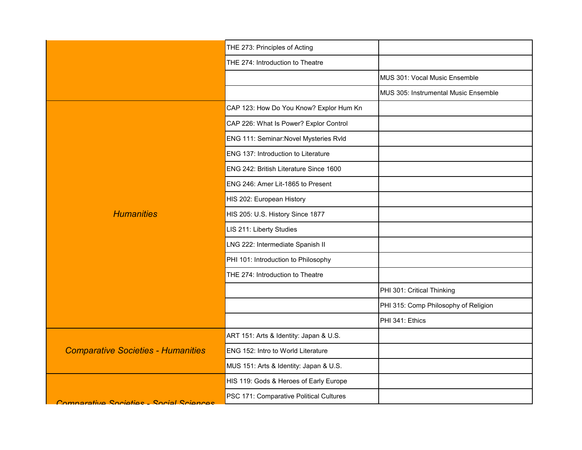|                                           | THE 273: Principles of Acting           |                                      |
|-------------------------------------------|-----------------------------------------|--------------------------------------|
|                                           | THE 274: Introduction to Theatre        |                                      |
|                                           |                                         | MUS 301: Vocal Music Ensemble        |
|                                           |                                         | MUS 305: Instrumental Music Ensemble |
|                                           | CAP 123: How Do You Know? Explor Hum Kn |                                      |
|                                           | CAP 226: What Is Power? Explor Control  |                                      |
|                                           | ENG 111: Seminar: Novel Mysteries Rvld  |                                      |
|                                           | ENG 137: Introduction to Literature     |                                      |
|                                           | ENG 242: British Literature Since 1600  |                                      |
|                                           | ENG 246: Amer Lit-1865 to Present       |                                      |
|                                           | HIS 202: European History               |                                      |
| <b>Humanities</b>                         | HIS 205: U.S. History Since 1877        |                                      |
|                                           | LIS 211: Liberty Studies                |                                      |
|                                           | LNG 222: Intermediate Spanish II        |                                      |
|                                           | PHI 101: Introduction to Philosophy     |                                      |
|                                           | THE 274: Introduction to Theatre        |                                      |
|                                           |                                         | PHI 301: Critical Thinking           |
|                                           |                                         | PHI 315: Comp Philosophy of Religion |
|                                           |                                         | PHI 341: Ethics                      |
|                                           | ART 151: Arts & Identity: Japan & U.S.  |                                      |
| <b>Comparative Societies - Humanities</b> | ENG 152: Intro to World Literature      |                                      |
|                                           | MUS 151: Arts & Identity: Japan & U.S.  |                                      |
|                                           | HIS 119: Gods & Heroes of Early Europe  |                                      |
| Comparativa Societies - Social Sciences   | PSC 171: Comparative Political Cultures |                                      |
|                                           |                                         |                                      |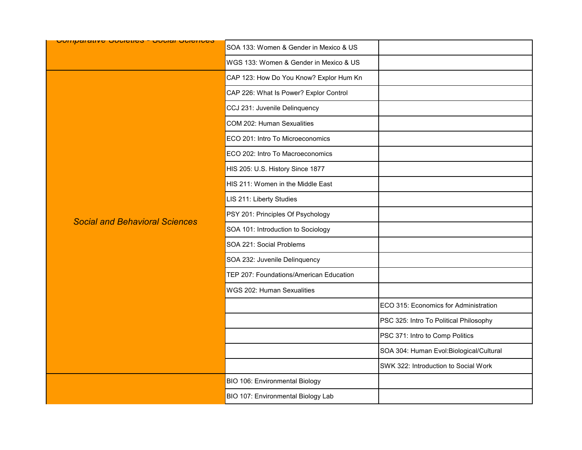| <u> Comparante oppenese oppiar oppnees</u> | SOA 133: Women & Gender in Mexico & US  |                                          |
|--------------------------------------------|-----------------------------------------|------------------------------------------|
|                                            | WGS 133: Women & Gender in Mexico & US  |                                          |
|                                            | CAP 123: How Do You Know? Explor Hum Kn |                                          |
|                                            | CAP 226: What Is Power? Explor Control  |                                          |
|                                            | CCJ 231: Juvenile Delinquency           |                                          |
|                                            | COM 202: Human Sexualities              |                                          |
|                                            | ECO 201: Intro To Microeconomics        |                                          |
|                                            | ECO 202: Intro To Macroeconomics        |                                          |
|                                            | HIS 205: U.S. History Since 1877        |                                          |
|                                            | HIS 211: Women in the Middle East       |                                          |
|                                            | LIS 211: Liberty Studies                |                                          |
|                                            | PSY 201: Principles Of Psychology       |                                          |
| <b>Social and Behavioral Sciences</b>      | SOA 101: Introduction to Sociology      |                                          |
|                                            | SOA 221: Social Problems                |                                          |
|                                            | SOA 232: Juvenile Delinquency           |                                          |
|                                            | TEP 207: Foundations/American Education |                                          |
|                                            | WGS 202: Human Sexualities              |                                          |
|                                            |                                         | ECO 315: Economics for Administration    |
|                                            |                                         | PSC 325: Intro To Political Philosophy   |
|                                            |                                         | PSC 371: Intro to Comp Politics          |
|                                            |                                         | SOA 304: Human Evol: Biological/Cultural |
|                                            |                                         | SWK 322: Introduction to Social Work     |
|                                            | BIO 106: Environmental Biology          |                                          |
|                                            | BIO 107: Environmental Biology Lab      |                                          |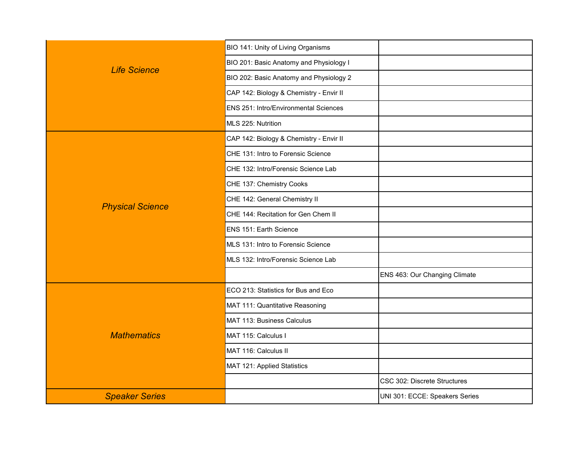|                         | BIO 141: Unity of Living Organisms      |                                |
|-------------------------|-----------------------------------------|--------------------------------|
| <b>Life Science</b>     | BIO 201: Basic Anatomy and Physiology I |                                |
|                         | BIO 202: Basic Anatomy and Physiology 2 |                                |
|                         | CAP 142: Biology & Chemistry - Envir II |                                |
|                         | ENS 251: Intro/Environmental Sciences   |                                |
|                         | MLS 225: Nutrition                      |                                |
|                         | CAP 142: Biology & Chemistry - Envir II |                                |
|                         | CHE 131: Intro to Forensic Science      |                                |
|                         | CHE 132: Intro/Forensic Science Lab     |                                |
|                         | CHE 137: Chemistry Cooks                |                                |
| <b>Physical Science</b> | CHE 142: General Chemistry II           |                                |
|                         | CHE 144: Recitation for Gen Chem II     |                                |
|                         | ENS 151: Earth Science                  |                                |
|                         | MLS 131: Intro to Forensic Science      |                                |
|                         | MLS 132: Intro/Forensic Science Lab     |                                |
|                         |                                         | ENS 463: Our Changing Climate  |
|                         | ECO 213: Statistics for Bus and Eco     |                                |
|                         | MAT 111: Quantitative Reasoning         |                                |
|                         | MAT 113: Business Calculus              |                                |
| <b>Mathematics</b>      | MAT 115: Calculus I                     |                                |
|                         | MAT 116: Calculus II                    |                                |
|                         | MAT 121: Applied Statistics             |                                |
|                         |                                         | CSC 302: Discrete Structures   |
| <b>Speaker Series</b>   |                                         | UNI 301: ECCE: Speakers Series |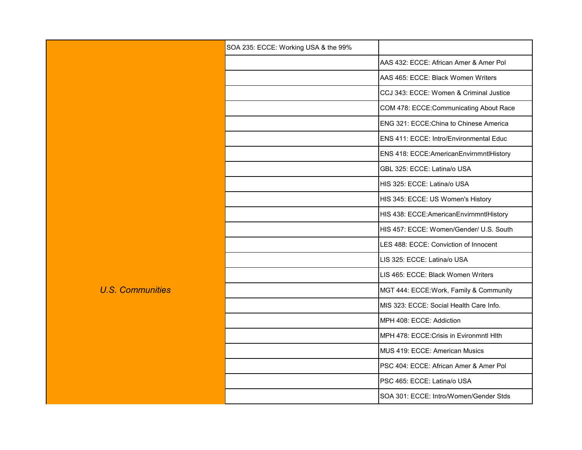|                         | SOA 235: ECCE: Working USA & the 99% |                                          |
|-------------------------|--------------------------------------|------------------------------------------|
|                         |                                      | AAS 432: ECCE: African Amer & Amer Pol   |
|                         |                                      | AAS 465: ECCE: Black Women Writers       |
|                         |                                      | CCJ 343: ECCE: Women & Criminal Justice  |
| <b>U.S. Communities</b> |                                      | COM 478: ECCE:Communicating About Race   |
|                         |                                      | ENG 321: ECCE: China to Chinese America  |
|                         |                                      | ENS 411: ECCE: Intro/Environmental Educ  |
|                         |                                      | ENS 418: ECCE:AmericanEnvirnmntlHistory  |
|                         |                                      | GBL 325: ECCE: Latina/o USA              |
|                         |                                      | HIS 325: ECCE: Latina/o USA              |
|                         |                                      | HIS 345: ECCE: US Women's History        |
|                         |                                      | HIS 438: ECCE:AmericanEnvirnmntlHistory  |
|                         |                                      | HIS 457: ECCE: Women/Gender/ U.S. South  |
|                         |                                      | LES 488: ECCE: Conviction of Innocent    |
|                         |                                      | LIS 325: ECCE: Latina/o USA              |
|                         |                                      | LIS 465: ECCE: Black Women Writers       |
|                         |                                      | MGT 444: ECCE: Work, Family & Community  |
|                         |                                      | MIS 323: ECCE: Social Health Care Info.  |
|                         |                                      | MPH 408: ECCE: Addiction                 |
|                         |                                      | MPH 478: ECCE: Crisis in Evironmntl Hlth |
|                         |                                      | MUS 419: ECCE: American Musics           |
|                         |                                      | PSC 404: ECCE: African Amer & Amer Pol   |
|                         |                                      | PSC 465: ECCE: Latina/o USA              |
|                         |                                      | SOA 301: ECCE: Intro/Women/Gender Stds   |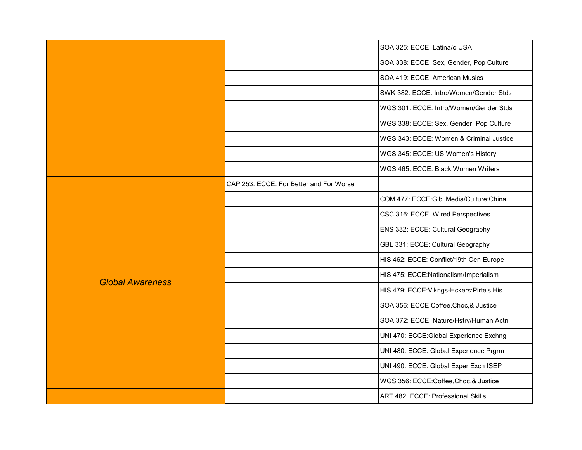|                         |                                         | SOA 325: ECCE: Latina/o USA               |
|-------------------------|-----------------------------------------|-------------------------------------------|
|                         |                                         | SOA 338: ECCE: Sex, Gender, Pop Culture   |
|                         |                                         | SOA 419: ECCE: American Musics            |
|                         |                                         | SWK 382: ECCE: Intro/Women/Gender Stds    |
|                         |                                         | WGS 301: ECCE: Intro/Women/Gender Stds    |
|                         |                                         | WGS 338: ECCE: Sex, Gender, Pop Culture   |
|                         |                                         | WGS 343: ECCE: Women & Criminal Justice   |
|                         |                                         | WGS 345: ECCE: US Women's History         |
|                         |                                         | WGS 465: ECCE: Black Women Writers        |
|                         | CAP 253: ECCE: For Better and For Worse |                                           |
|                         |                                         | COM 477: ECCE: GIbl Media/Culture: China  |
|                         |                                         | CSC 316: ECCE: Wired Perspectives         |
|                         |                                         | ENS 332: ECCE: Cultural Geography         |
|                         |                                         | GBL 331: ECCE: Cultural Geography         |
|                         |                                         | HIS 462: ECCE: Conflict/19th Cen Europe   |
| <b>Global Awareness</b> |                                         | HIS 475: ECCE:Nationalism/Imperialism     |
|                         |                                         | HIS 479: ECCE: Vikngs-Hckers: Pirte's His |
|                         |                                         | SOA 356: ECCE:Coffee,Choc,& Justice       |
|                         |                                         | SOA 372: ECCE: Nature/Hstry/Human Actn    |
|                         |                                         | UNI 470: ECCE: Global Experience Exchng   |
|                         |                                         | UNI 480: ECCE: Global Experience Prgrm    |
|                         |                                         | UNI 490: ECCE: Global Exper Exch ISEP     |
|                         |                                         | WGS 356: ECCE:Coffee, Choc, & Justice     |
|                         |                                         | ART 482: ECCE: Professional Skills        |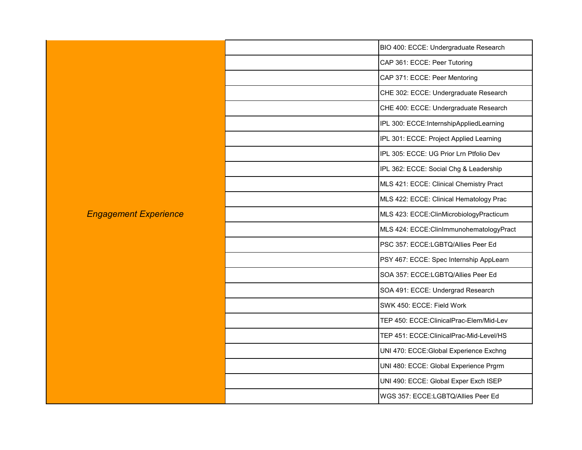|                              | BIO 400: ECCE: Undergraduate Research    |
|------------------------------|------------------------------------------|
|                              | CAP 361: ECCE: Peer Tutoring             |
|                              | CAP 371: ECCE: Peer Mentoring            |
|                              | CHE 302: ECCE: Undergraduate Research    |
|                              | CHE 400: ECCE: Undergraduate Research    |
|                              | IPL 300: ECCE:InternshipAppliedLearning  |
|                              | IPL 301: ECCE: Project Applied Learning  |
|                              | IPL 305: ECCE: UG Prior Lrn Ptfolio Dev  |
|                              | IPL 362: ECCE: Social Chg & Leadership   |
|                              | MLS 421: ECCE: Clinical Chemistry Pract  |
|                              | MLS 422: ECCE: Clinical Hematology Prac  |
| <b>Engagement Experience</b> | MLS 423: ECCE:ClinMicrobiologyPracticum  |
|                              | MLS 424: ECCE: ClinImmunohematologyPract |
|                              | PSC 357: ECCE:LGBTQ/Allies Peer Ed       |
|                              | PSY 467: ECCE: Spec Internship AppLearn  |
|                              | SOA 357: ECCE:LGBTQ/Allies Peer Ed       |
|                              | SOA 491: ECCE: Undergrad Research        |
|                              | SWK 450: ECCE: Field Work                |
|                              | TEP 450: ECCE: ClinicalPrac-Elem/Mid-Lev |
|                              | TEP 451: ECCE: ClinicalPrac-Mid-Level/HS |
|                              | UNI 470: ECCE: Global Experience Exchng  |
|                              | UNI 480: ECCE: Global Experience Prgrm   |
|                              | UNI 490: ECCE: Global Exper Exch ISEP    |
|                              | WGS 357: ECCE:LGBTQ/Allies Peer Ed       |